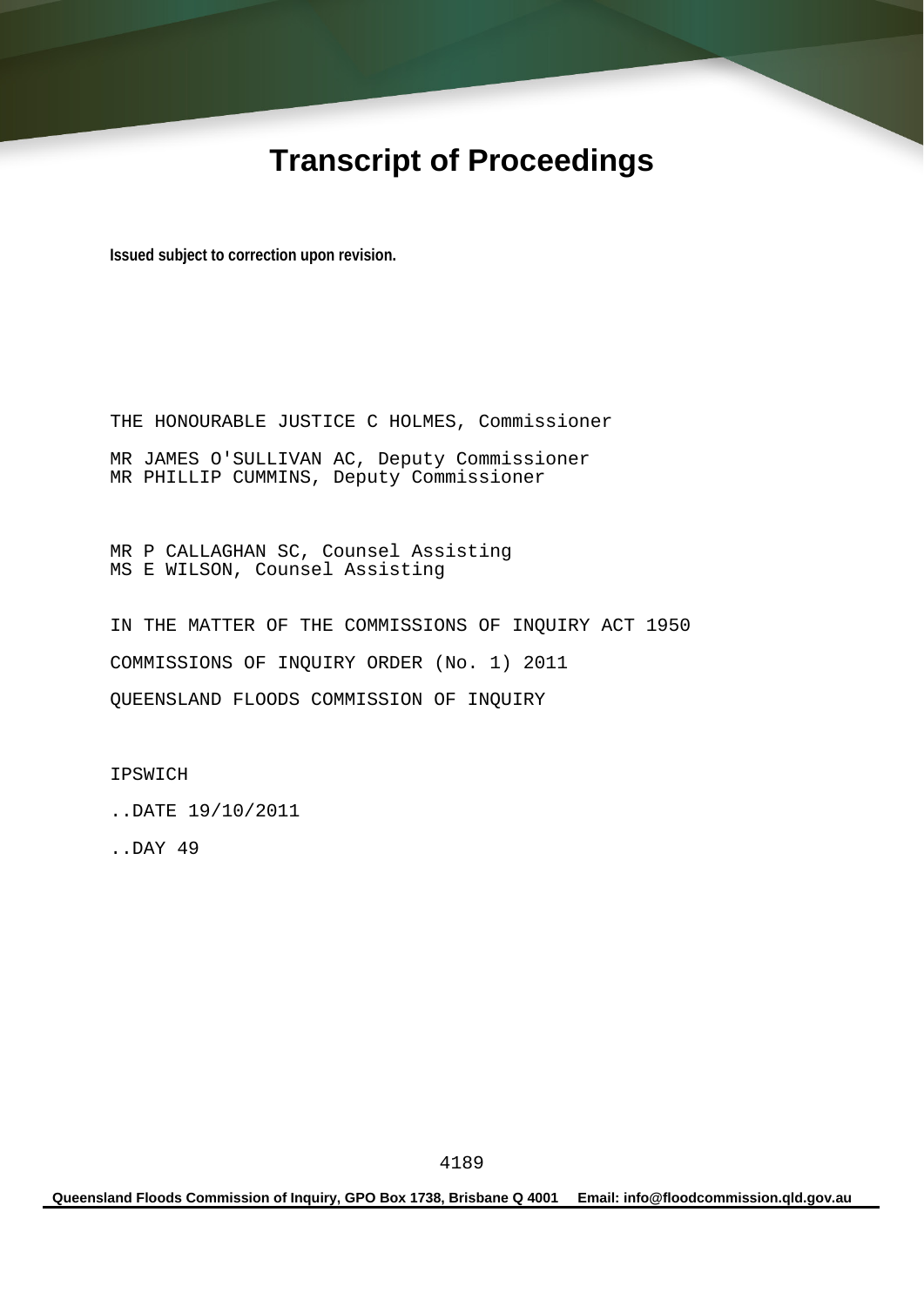# **Transcript of Proceedings**

**Issued subject to correction upon revision.** 

THE HONOURABLE JUSTICE C HOLMES, Commissioner MR JAMES O'SULLIVAN AC, Deputy Commissioner MR PHILLIP CUMMINS, Deputy Commissioner

MR P CALLAGHAN SC, Counsel Assisting MS E WILSON, Counsel Assisting

IN THE MATTER OF THE COMMISSIONS OF INQUIRY ACT 1950 COMMISSIONS OF INQUIRY ORDER (No. 1) 2011 QUEENSLAND FLOODS COMMISSION OF INQUIRY

IPSWICH

..DATE 19/10/2011

..DAY 49

**Queensland Floods Commission of Inquiry, GPO Box 1738, Brisbane Q 4001 Email: info@floodcommission.qld.gov.au**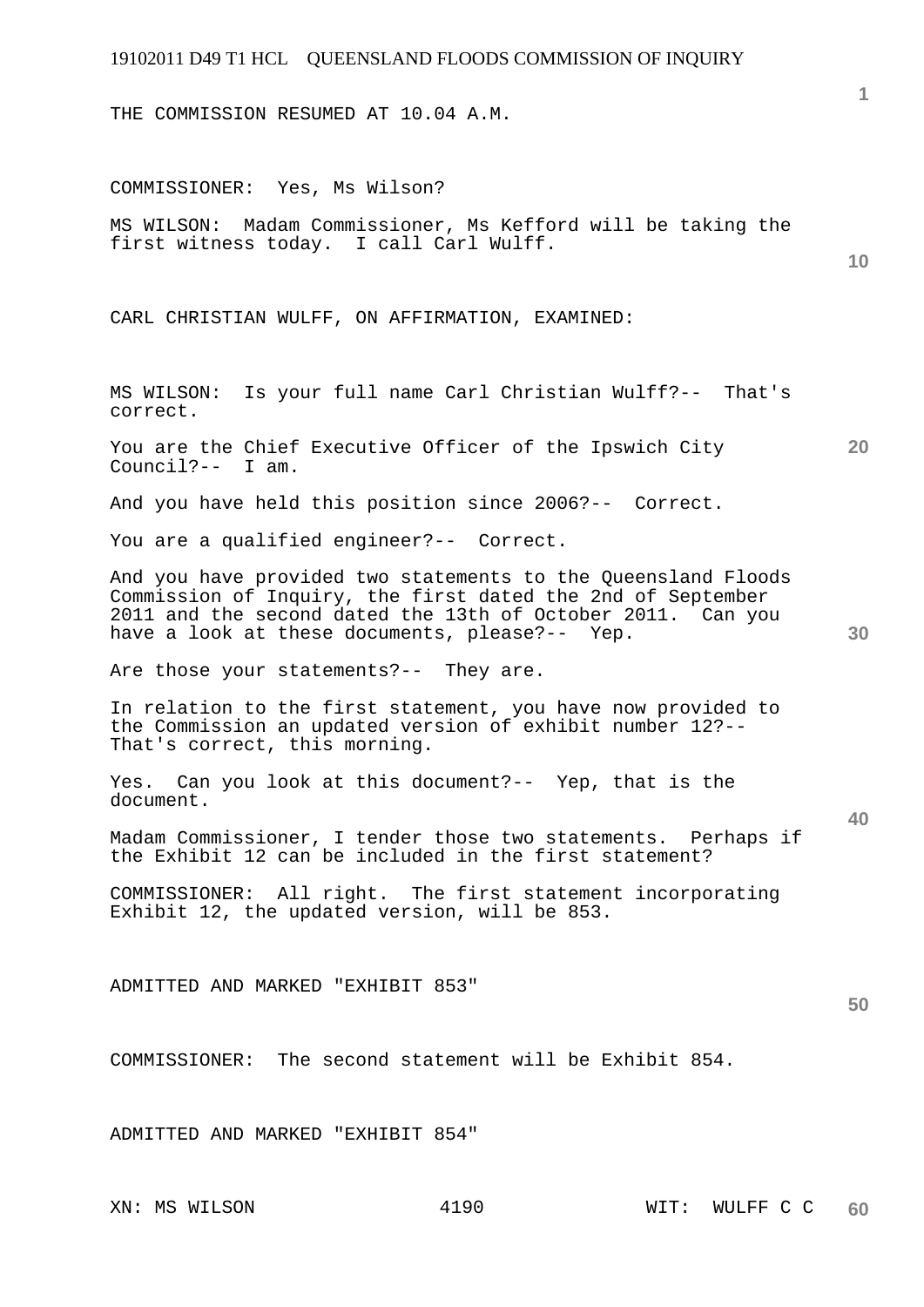THE COMMISSION RESUMED AT 10.04 A.M.

**10 20 30 40 50**  COMMISSIONER: Yes, Ms Wilson? MS WILSON: Madam Commissioner, Ms Kefford will be taking the first witness today. I call Carl Wulff. CARL CHRISTIAN WULFF, ON AFFIRMATION, EXAMINED: MS WILSON: Is your full name Carl Christian Wulff?-- That's correct. You are the Chief Executive Officer of the Ipswich City Council?-- I am. And you have held this position since 2006?-- Correct. You are a qualified engineer?-- Correct. And you have provided two statements to the Queensland Floods Commission of Inquiry, the first dated the 2nd of September 2011 and the second dated the 13th of October 2011. Can you have a look at these documents, please?-- Yep. Are those your statements?-- They are. In relation to the first statement, you have now provided to the Commission an updated version of exhibit number 12?-- That's correct, this morning. Yes. Can you look at this document?-- Yep, that is the document. Madam Commissioner, I tender those two statements. Perhaps if the Exhibit 12 can be included in the first statement? COMMISSIONER: All right. The first statement incorporating Exhibit 12, the updated version, will be 853. ADMITTED AND MARKED "EXHIBIT 853" COMMISSIONER: The second statement will be Exhibit 854. ADMITTED AND MARKED "EXHIBIT 854"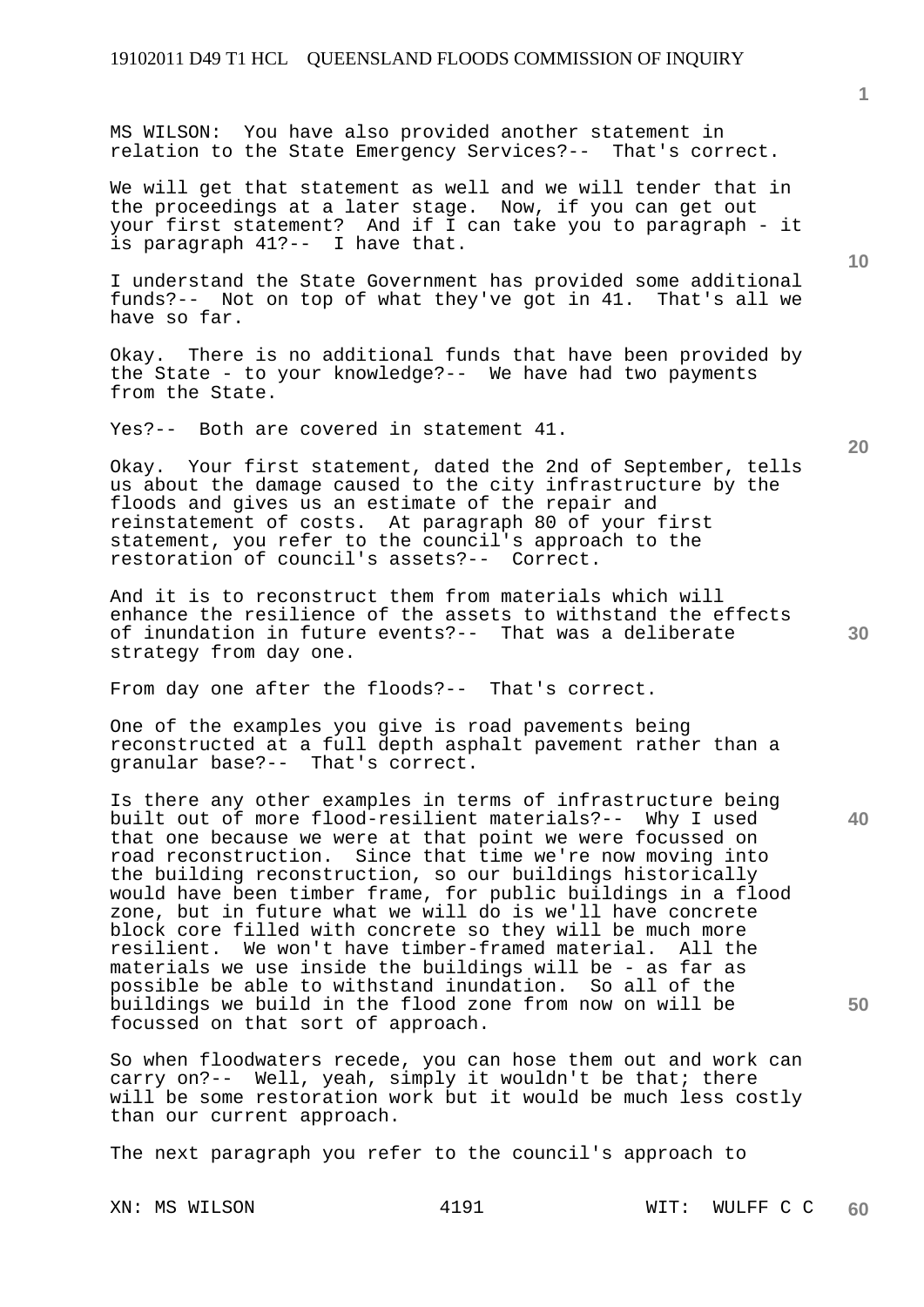MS WILSON: You have also provided another statement in relation to the State Emergency Services?-- That's correct.

We will get that statement as well and we will tender that in the proceedings at a later stage. Now, if you can get out your first statement? And if I can take you to paragraph - it is paragraph 41?-- I have that.

I understand the State Government has provided some additional funds?-- Not on top of what they've got in 41. That's all we have so far.

Okay. There is no additional funds that have been provided by the State - to your knowledge?-- We have had two payments from the State.

Yes?-- Both are covered in statement 41.

Okay. Your first statement, dated the 2nd of September, tells us about the damage caused to the city infrastructure by the floods and gives us an estimate of the repair and reinstatement of costs. At paragraph 80 of your first statement, you refer to the council's approach to the restoration of council's assets?-- Correct.

And it is to reconstruct them from materials which will enhance the resilience of the assets to withstand the effects of inundation in future events?-- That was a deliberate strategy from day one.

From day one after the floods?-- That's correct.

One of the examples you give is road pavements being reconstructed at a full depth asphalt pavement rather than a granular base?-- That's correct.

Is there any other examples in terms of infrastructure being built out of more flood-resilient materials?-- Why I used that one because we were at that point we were focussed on road reconstruction. Since that time we're now moving into the building reconstruction, so our buildings historically would have been timber frame, for public buildings in a flood zone, but in future what we will do is we'll have concrete block core filled with concrete so they will be much more resilient. We won't have timber-framed material. All the materials we use inside the buildings will be - as far as possible be able to withstand inundation. So all of the buildings we build in the flood zone from now on will be focussed on that sort of approach.

So when floodwaters recede, you can hose them out and work can carry on?-- Well, yeah, simply it wouldn't be that; there will be some restoration work but it would be much less costly than our current approach.

The next paragraph you refer to the council's approach to

**1**

**30** 

**20** 

**40** 

**50**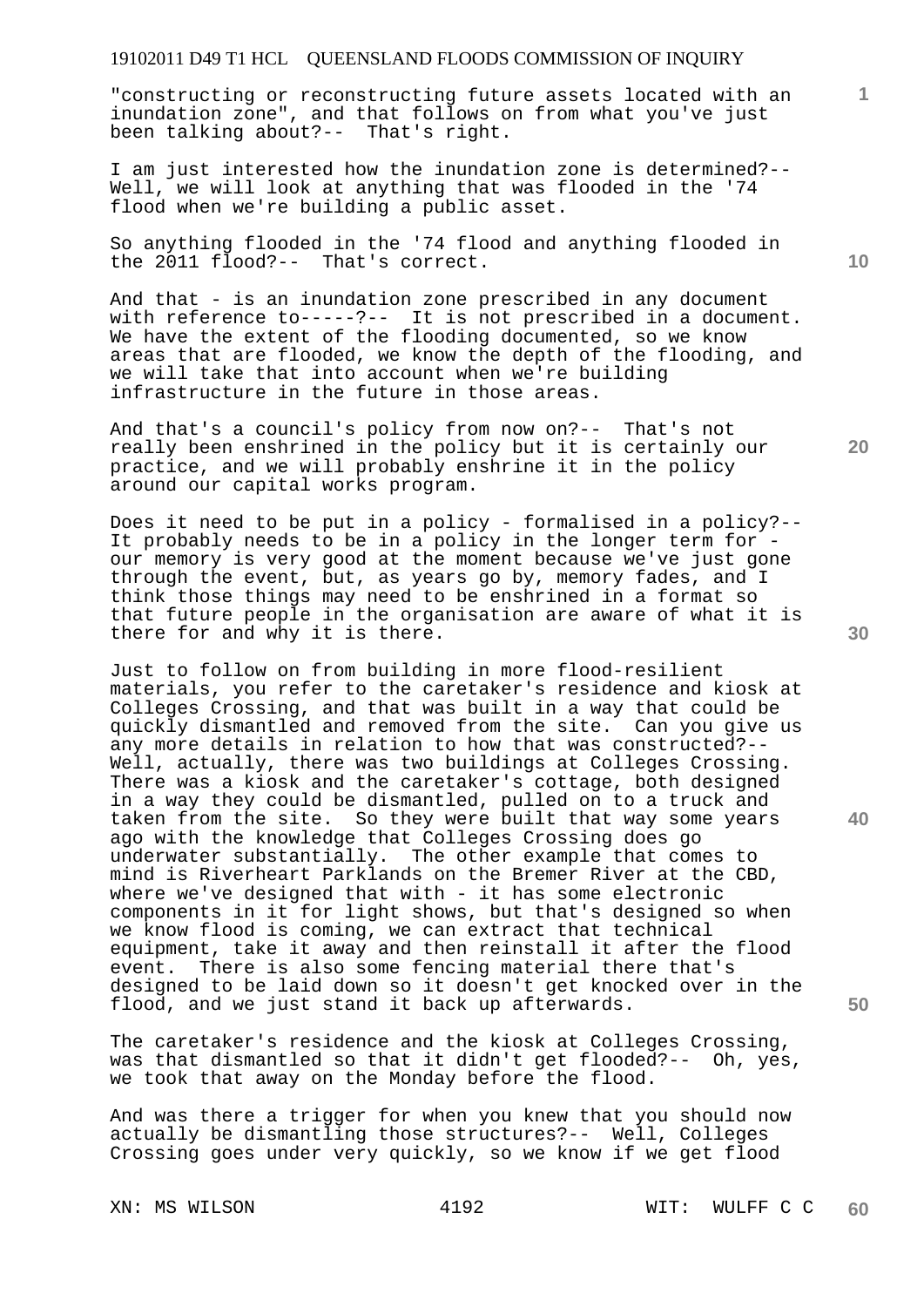"constructing or reconstructing future assets located with an inundation zone", and that follows on from what you've just been talking about?-- That's right.

I am just interested how the inundation zone is determined?-- Well, we will look at anything that was flooded in the '74 flood when we're building a public asset.

So anything flooded in the '74 flood and anything flooded in the 2011 flood?-- That's correct.

And that - is an inundation zone prescribed in any document with reference to-----?-- It is not prescribed in a document. We have the extent of the flooding documented, so we know areas that are flooded, we know the depth of the flooding, and we will take that into account when we're building infrastructure in the future in those areas.

And that's a council's policy from now on?-- That's not really been enshrined in the policy but it is certainly our practice, and we will probably enshrine it in the policy around our capital works program.

Does it need to be put in a policy - formalised in a policy?-- It probably needs to be in a policy in the longer term for our memory is very good at the moment because we've just gone through the event, but, as years go by, memory fades, and I think those things may need to be enshrined in a format so that future people in the organisation are aware of what it is there for and why it is there.

Just to follow on from building in more flood-resilient materials, you refer to the caretaker's residence and kiosk at Colleges Crossing, and that was built in a way that could be quickly dismantled and removed from the site. Can you give us any more details in relation to how that was constructed?-- Well, actually, there was two buildings at Colleges Crossing. There was a kiosk and the caretaker's cottage, both designed in a way they could be dismantled, pulled on to a truck and taken from the site. So they were built that way some years ago with the knowledge that Colleges Crossing does go underwater substantially. The other example that comes to mind is Riverheart Parklands on the Bremer River at the CBD, where we've designed that with - it has some electronic components in it for light shows, but that's designed so when we know flood is coming, we can extract that technical equipment, take it away and then reinstall it after the flood event. There is also some fencing material there that's designed to be laid down so it doesn't get knocked over in the flood, and we just stand it back up afterwards.

The caretaker's residence and the kiosk at Colleges Crossing, was that dismantled so that it didn't get flooded?-- Oh, yes, we took that away on the Monday before the flood.

And was there a trigger for when you knew that you should now actually be dismantling those structures?-- Well, Colleges Crossing goes under very quickly, so we know if we get flood

**30** 

**20** 

**40** 

**50** 

**10**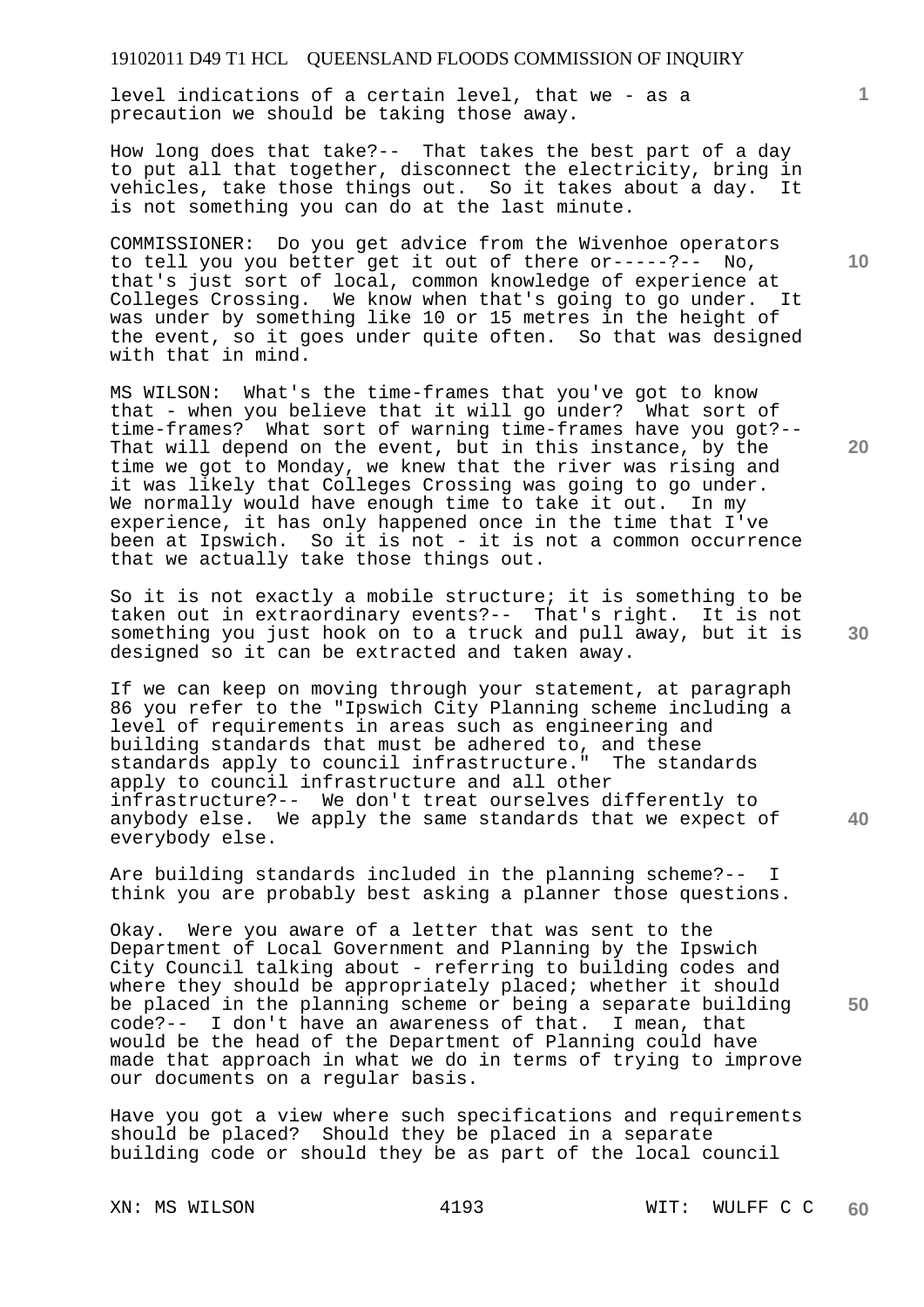level indications of a certain level, that we - as a precaution we should be taking those away.

How long does that take?-- That takes the best part of a day to put all that together, disconnect the electricity, bring in vehicles, take those things out. So it takes about a day. It is not something you can do at the last minute.

COMMISSIONER: Do you get advice from the Wivenhoe operators to tell you you better get it out of there or-----?-- No, that's just sort of local, common knowledge of experience at Colleges Crossing. We know when that's going to go under. It was under by something like 10 or 15 metres in the height of the event, so it goes under quite often. So that was designed with that in mind.

MS WILSON: What's the time-frames that you've got to know that - when you believe that it will go under? What sort of time-frames? What sort of warning time-frames have you got?-- That will depend on the event, but in this instance, by the time we got to Monday, we knew that the river was rising and it was likely that Colleges Crossing was going to go under. We normally would have enough time to take it out. In my experience, it has only happened once in the time that I've been at Ipswich. So it is not - it is not a common occurrence that we actually take those things out.

So it is not exactly a mobile structure; it is something to be taken out in extraordinary events?-- That's right. It is not something you just hook on to a truck and pull away, but it is designed so it can be extracted and taken away.

If we can keep on moving through your statement, at paragraph 86 you refer to the "Ipswich City Planning scheme including a level of requirements in areas such as engineering and building standards that must be adhered to, and these standards apply to council infrastructure." The standards apply to council infrastructure and all other infrastructure?-- We don't treat ourselves differently to anybody else. We apply the same standards that we expect of everybody else.

Are building standards included in the planning scheme?-- I think you are probably best asking a planner those questions.

Okay. Were you aware of a letter that was sent to the Department of Local Government and Planning by the Ipswich City Council talking about - referring to building codes and where they should be appropriately placed; whether it should be placed in the planning scheme or being a separate building code?-- I don't have an awareness of that. I mean, that would be the head of the Department of Planning could have made that approach in what we do in terms of trying to improve our documents on a regular basis.

Have you got a view where such specifications and requirements should be placed? Should they be placed in a separate building code or should they be as part of the local council

**10** 

**1**

**20** 

**30** 

**40**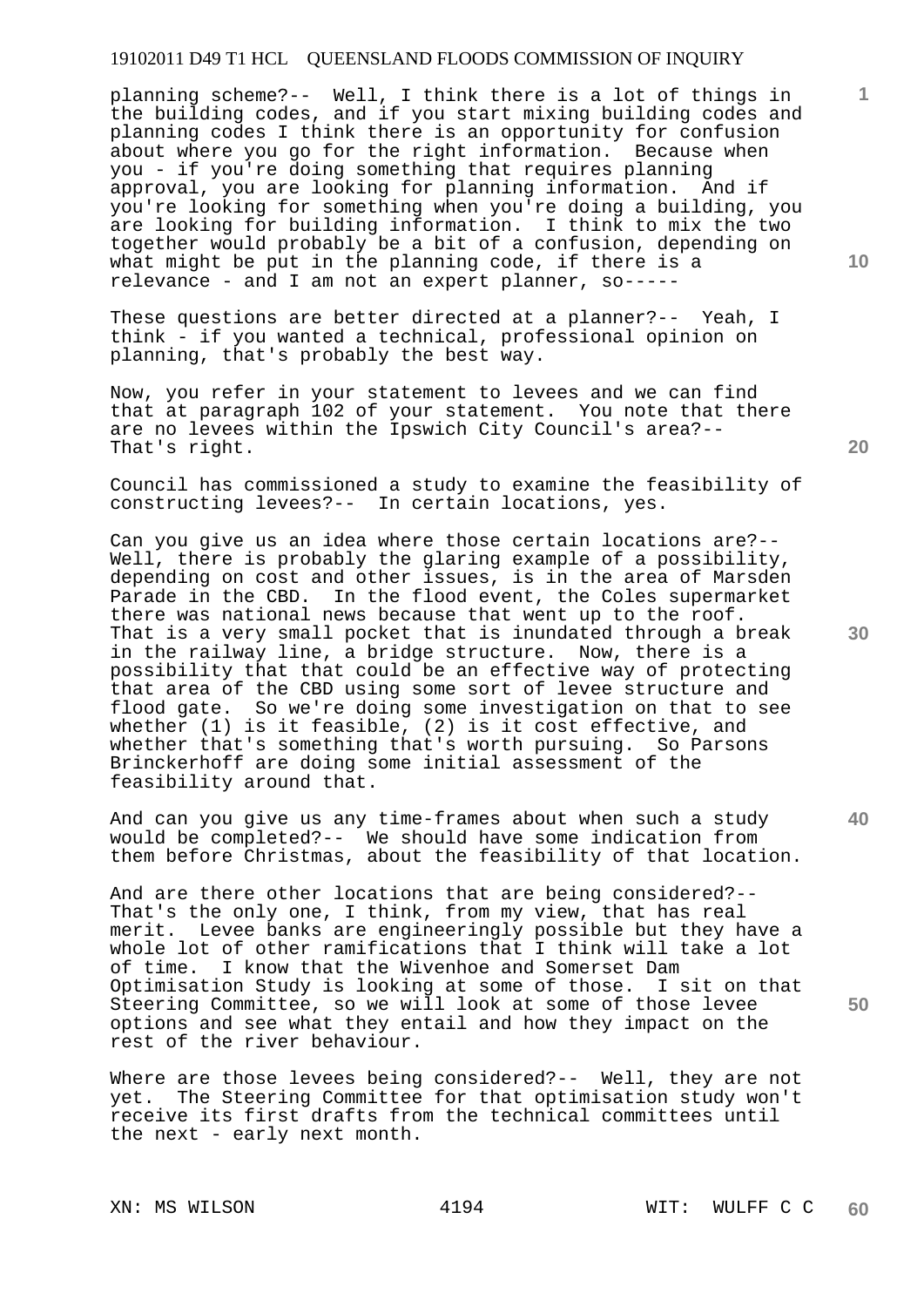planning scheme?-- Well, I think there is a lot of things in the building codes, and if you start mixing building codes and planning codes I think there is an opportunity for confusion about where you go for the right information. Because when you - if you're doing something that requires planning approval, you are looking for planning information. And if you're looking for something when you're doing a building, you are looking for building information. I think to mix the two together would probably be a bit of a confusion, depending on what might be put in the planning code, if there is a relevance - and I am not an expert planner, so-----

These questions are better directed at a planner?-- Yeah, I think - if you wanted a technical, professional opinion on planning, that's probably the best way.

Now, you refer in your statement to levees and we can find that at paragraph 102 of your statement. You note that there are no levees within the Ipswich City Council's area?-- That's right.

Council has commissioned a study to examine the feasibility of constructing levees?-- In certain locations, yes.

Can you give us an idea where those certain locations are?-- Well, there is probably the glaring example of a possibility, depending on cost and other issues, is in the area of Marsden Parade in the CBD. In the flood event, the Coles supermarket there was national news because that went up to the roof. That is a very small pocket that is inundated through a break in the railway line, a bridge structure. Now, there is a possibility that that could be an effective way of protecting that area of the CBD using some sort of levee structure and flood gate. So we're doing some investigation on that to see whether (1) is it feasible, (2) is it cost effective, and whether that's something that's worth pursuing. So Parsons Brinckerhoff are doing some initial assessment of the feasibility around that.

And can you give us any time-frames about when such a study would be completed?-- We should have some indication from them before Christmas, about the feasibility of that location.

And are there other locations that are being considered?-- That's the only one, I think, from my view, that has real merit. Levee banks are engineeringly possible but they have a whole lot of other ramifications that I think will take a lot of time. I know that the Wivenhoe and Somerset Dam<br>Optimisation Study is looking at some of those. I sit on that Optimisation Study is looking at some of those. Steering Committee, so we will look at some of those levee options and see what they entail and how they impact on the rest of the river behaviour.

Where are those levees being considered?-- Well, they are not yet. The Steering Committee for that optimisation study won't receive its first drafts from the technical committees until the next - early next month.

**10** 

**1**

**40** 

**50**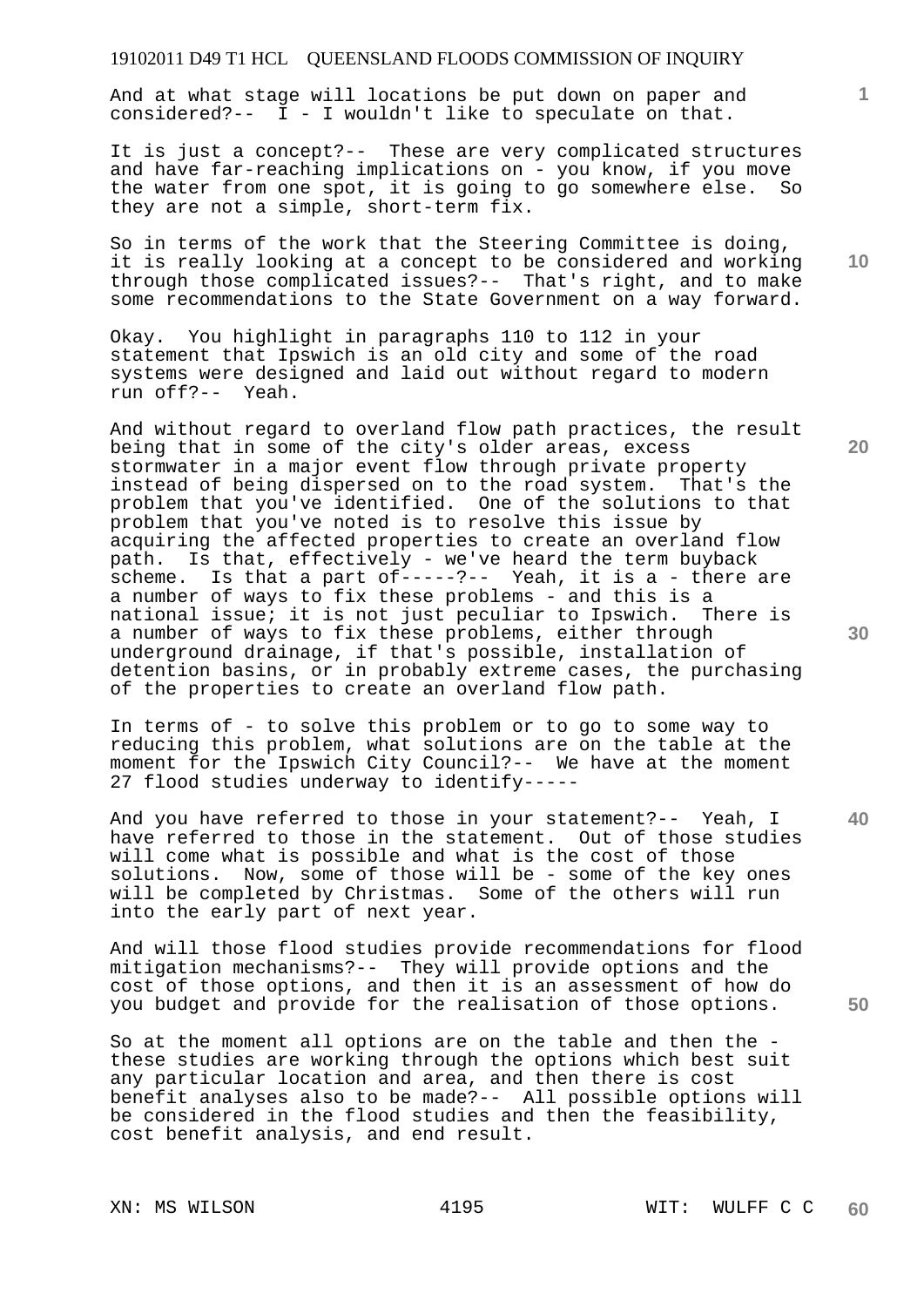And at what stage will locations be put down on paper and considered?-- I - I wouldn't like to speculate on that.

It is just a concept?-- These are very complicated structures and have far-reaching implications on - you know, if you move the water from one spot, it is going to go somewhere else. So they are not a simple, short-term fix.

So in terms of the work that the Steering Committee is doing, it is really looking at a concept to be considered and working through those complicated issues?-- That's right, and to make some recommendations to the State Government on a way forward.

Okay. You highlight in paragraphs 110 to 112 in your statement that Ipswich is an old city and some of the road systems were designed and laid out without regard to modern run off?-- Yeah.

And without regard to overland flow path practices, the result being that in some of the city's older areas, excess stormwater in a major event flow through private property instead of being dispersed on to the road system. That's the problem that you've identified. One of the solutions to that problem that you've noted is to resolve this issue by acquiring the affected properties to create an overland flow path. Is that, effectively - we've heard the term buyback scheme. Is that a part of-----?-- Yeah, it is a - there are a number of ways to fix these problems - and this is a national issue; it is not just peculiar to Ipswich. There is a number of ways to fix these problems, either through underground drainage, if that's possible, installation of detention basins, or in probably extreme cases, the purchasing of the properties to create an overland flow path.

In terms of - to solve this problem or to go to some way to reducing this problem, what solutions are on the table at the moment for the Ipswich City Council?-- We have at the moment 27 flood studies underway to identify-----

And you have referred to those in your statement?-- Yeah, I have referred to those in the statement. Out of those studies will come what is possible and what is the cost of those solutions. Now, some of those will be - some of the key ones will be completed by Christmas. Some of the others will run into the early part of next year.

And will those flood studies provide recommendations for flood mitigation mechanisms?-- They will provide options and the cost of those options, and then it is an assessment of how do you budget and provide for the realisation of those options.

So at the moment all options are on the table and then the these studies are working through the options which best suit any particular location and area, and then there is cost benefit analyses also to be made?-- All possible options will be considered in the flood studies and then the feasibility, cost benefit analysis, and end result.

**10** 

**1**

**20** 

**40** 

**30**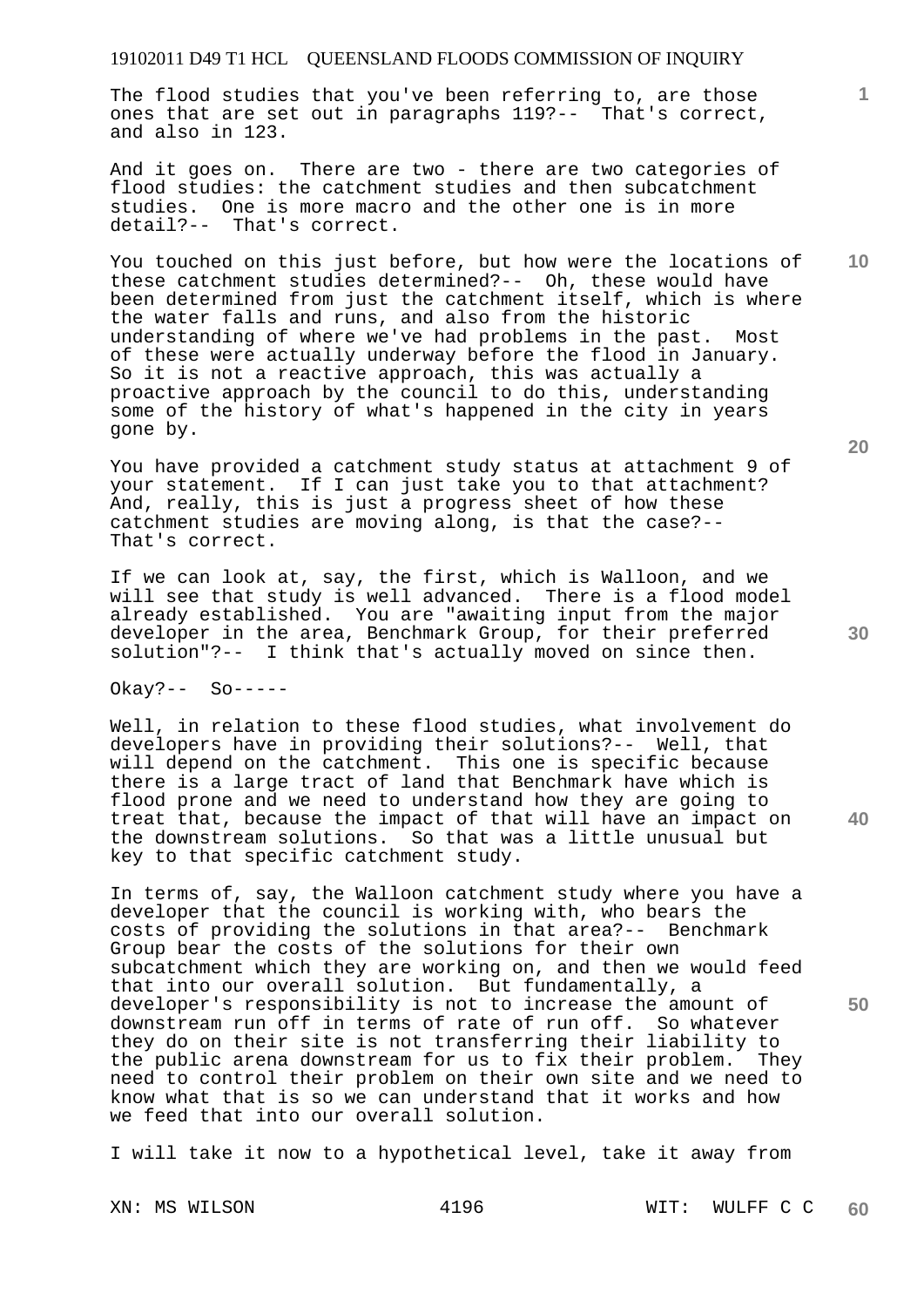The flood studies that you've been referring to, are those ones that are set out in paragraphs 119?-- That's correct, and also in 123.

And it goes on. There are two - there are two categories of flood studies: the catchment studies and then subcatchment studies. One is more macro and the other one is in more detail?-- That's correct.

You touched on this just before, but how were the locations of these catchment studies determined?-- Oh, these would have been determined from just the catchment itself, which is where the water falls and runs, and also from the historic understanding of where we've had problems in the past. Most of these were actually underway before the flood in January. So it is not a reactive approach, this was actually a proactive approach by the council to do this, understanding some of the history of what's happened in the city in years gone by.

You have provided a catchment study status at attachment 9 of your statement. If I can just take you to that attachment? And, really, this is just a progress sheet of how these catchment studies are moving along, is that the case?-- That's correct.

If we can look at, say, the first, which is Walloon, and we will see that study is well advanced. There is a flood model already established. You are "awaiting input from the major developer in the area, Benchmark Group, for their preferred solution"?-- I think that's actually moved on since then.

Okay?-- So-----

Well, in relation to these flood studies, what involvement do developers have in providing their solutions?-- Well, that will depend on the catchment. This one is specific because there is a large tract of land that Benchmark have which is flood prone and we need to understand how they are going to treat that, because the impact of that will have an impact on the downstream solutions. So that was a little unusual but key to that specific catchment study.

In terms of, say, the Walloon catchment study where you have a developer that the council is working with, who bears the costs of providing the solutions in that area?-- Benchmark Group bear the costs of the solutions for their own subcatchment which they are working on, and then we would feed that into our overall solution. But fundamentally, a developer's responsibility is not to increase the amount of downstream run off in terms of rate of run off. So whatever they do on their site is not transferring their liability to the public arena downstream for us to fix their problem. They need to control their problem on their own site and we need to know what that is so we can understand that it works and how we feed that into our overall solution.

I will take it now to a hypothetical level, take it away from

**20** 

**1**

**10** 

**40** 

**50**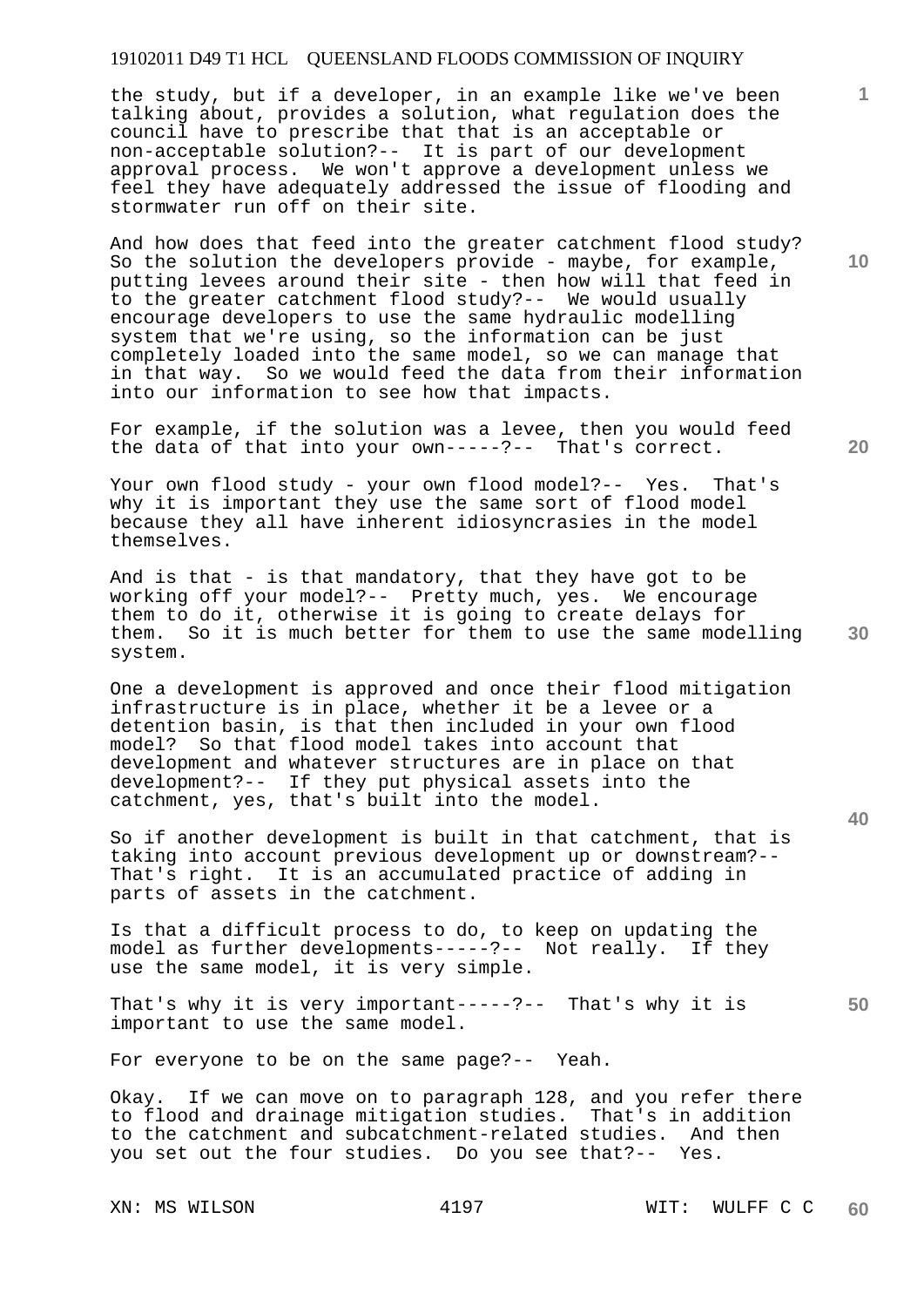the study, but if a developer, in an example like we've been talking about, provides a solution, what regulation does the council have to prescribe that that is an acceptable or non-acceptable solution?-- It is part of our development approval process. We won't approve a development unless we feel they have adequately addressed the issue of flooding and stormwater run off on their site.

And how does that feed into the greater catchment flood study? So the solution the developers provide - maybe, for example, putting levees around their site - then how will that feed in to the greater catchment flood study?-- We would usually encourage developers to use the same hydraulic modelling system that we're using, so the information can be just completely loaded into the same model, so we can manage that in that way. So we would feed the data from their information into our information to see how that impacts.

For example, if the solution was a levee, then you would feed the data of that into your own-----?-- That's correct.

Your own flood study - your own flood model?-- Yes. That's why it is important they use the same sort of flood model because they all have inherent idiosyncrasies in the model themselves.

**30**  And is that - is that mandatory, that they have got to be working off your model?-- Pretty much, yes. We encourage them to do it, otherwise it is going to create delays for them. So it is much better for them to use the same modelling system.

One a development is approved and once their flood mitigation infrastructure is in place, whether it be a levee or a detention basin, is that then included in your own flood model? So that flood model takes into account that development and whatever structures are in place on that development?-- If they put physical assets into the catchment, yes, that's built into the model.

So if another development is built in that catchment, that is taking into account previous development up or downstream?-- That's right. It is an accumulated practice of adding in parts of assets in the catchment.

Is that a difficult process to do, to keep on updating the model as further developments-----?-- Not really. If they use the same model, it is very simple.

**50**  That's why it is very important-----?-- That's why it is important to use the same model.

For everyone to be on the same page?-- Yeah.

Okay. If we can move on to paragraph 128, and you refer there to flood and drainage mitigation studies. That's in addition to the catchment and subcatchment-related studies. And then you set out the four studies. Do you see that?-- Yes.

**10** 

**1**

**20**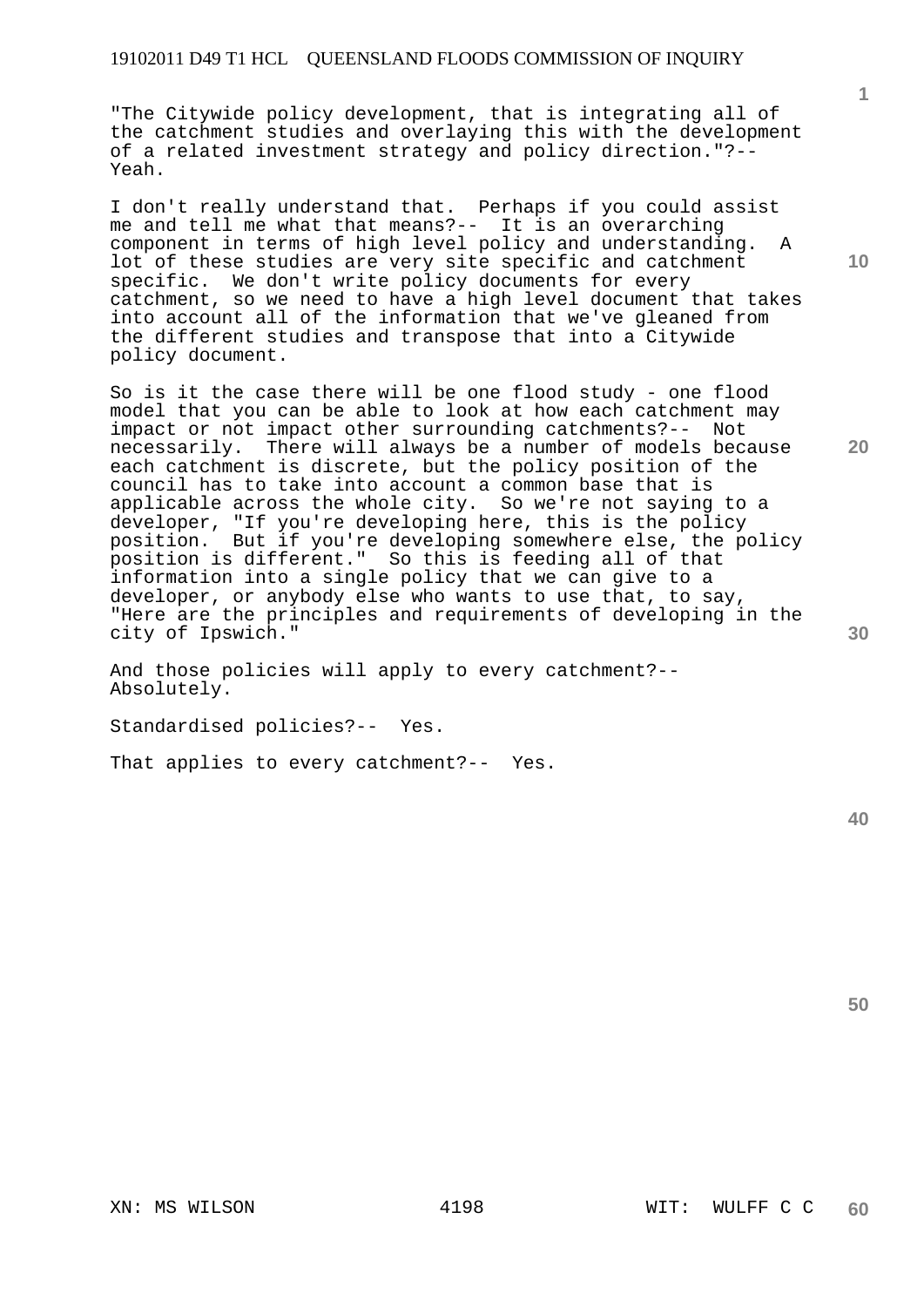"The Citywide policy development, that is integrating all of the catchment studies and overlaying this with the development of a related investment strategy and policy direction."?-- Yeah.

I don't really understand that. Perhaps if you could assist me and tell me what that means?-- It is an overarching component in terms of high level policy and understanding. A lot of these studies are very site specific and catchment specific. We don't write policy documents for every catchment, so we need to have a high level document that takes into account all of the information that we've gleaned from the different studies and transpose that into a Citywide policy document.

So is it the case there will be one flood study - one flood model that you can be able to look at how each catchment may impact or not impact other surrounding catchments?-- Not necessarily. There will always be a number of models because each catchment is discrete, but the policy position of the council has to take into account a common base that is applicable across the whole city. So we're not saying to a developer, "If you're developing here, this is the policy position. But if you're developing somewhere else, the policy position is different." So this is feeding all of that information into a single policy that we can give to a developer, or anybody else who wants to use that, to say, "Here are the principles and requirements of developing in the city of Ipswich."

And those policies will apply to every catchment?-- Absolutely.

Standardised policies?-- Yes.

That applies to every catchment?-- Yes.

**40** 

**50** 

**1**

**10** 

**20**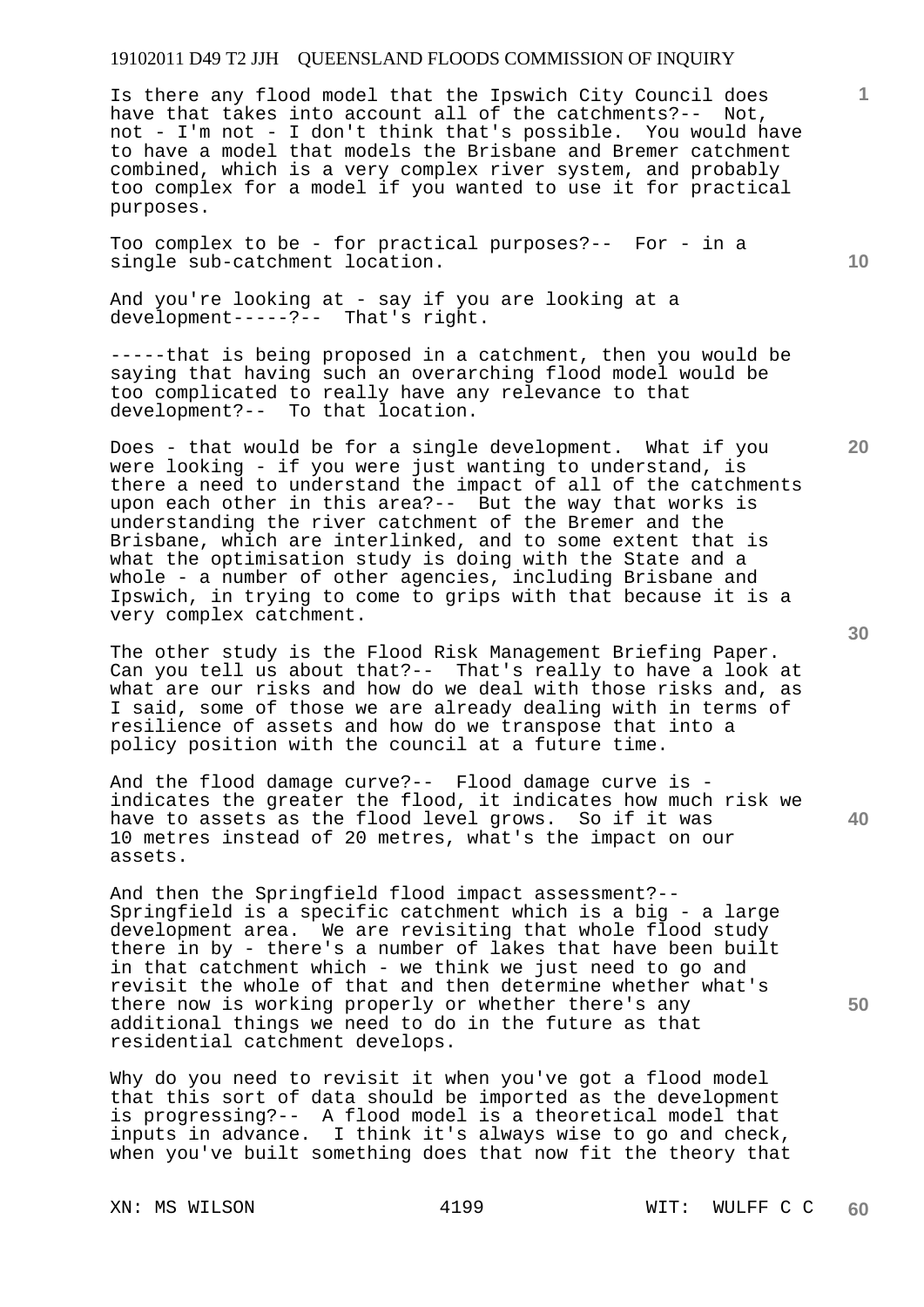Is there any flood model that the Ipswich City Council does have that takes into account all of the catchments?-- Not, not - I'm not - I don't think that's possible. You would have to have a model that models the Brisbane and Bremer catchment combined, which is a very complex river system, and probably too complex for a model if you wanted to use it for practical purposes.

Too complex to be - for practical purposes?-- For - in a single sub-catchment location.

And you're looking at - say if you are looking at a development-----?-- That's right.

-----that is being proposed in a catchment, then you would be saying that having such an overarching flood model would be too complicated to really have any relevance to that development?-- To that location.

Does - that would be for a single development. What if you were looking - if you were just wanting to understand, is there a need to understand the impact of all of the catchments upon each other in this area?-- But the way that works is understanding the river catchment of the Bremer and the Brisbane, which are interlinked, and to some extent that is what the optimisation study is doing with the State and a whole - a number of other agencies, including Brisbane and Ipswich, in trying to come to grips with that because it is a very complex catchment.

The other study is the Flood Risk Management Briefing Paper. Can you tell us about that?-- That's really to have a look at what are our risks and how do we deal with those risks and, as I said, some of those we are already dealing with in terms of resilience of assets and how do we transpose that into a policy position with the council at a future time.

And the flood damage curve?-- Flood damage curve is indicates the greater the flood, it indicates how much risk we have to assets as the flood level grows. So if it was 10 metres instead of 20 metres, what's the impact on our assets.

And then the Springfield flood impact assessment?-- Springfield is a specific catchment which is a big - a large development area. We are revisiting that whole flood study there in by - there's a number of lakes that have been built in that catchment which - we think we just need to go and revisit the whole of that and then determine whether what's there now is working properly or whether there's any additional things we need to do in the future as that residential catchment develops.

Why do you need to revisit it when you've got a flood model that this sort of data should be imported as the development is progressing?-- A flood model is a theoretical model that inputs in advance. I think it's always wise to go and check, when you've built something does that now fit the theory that

**20** 

**10** 

**1**

**50**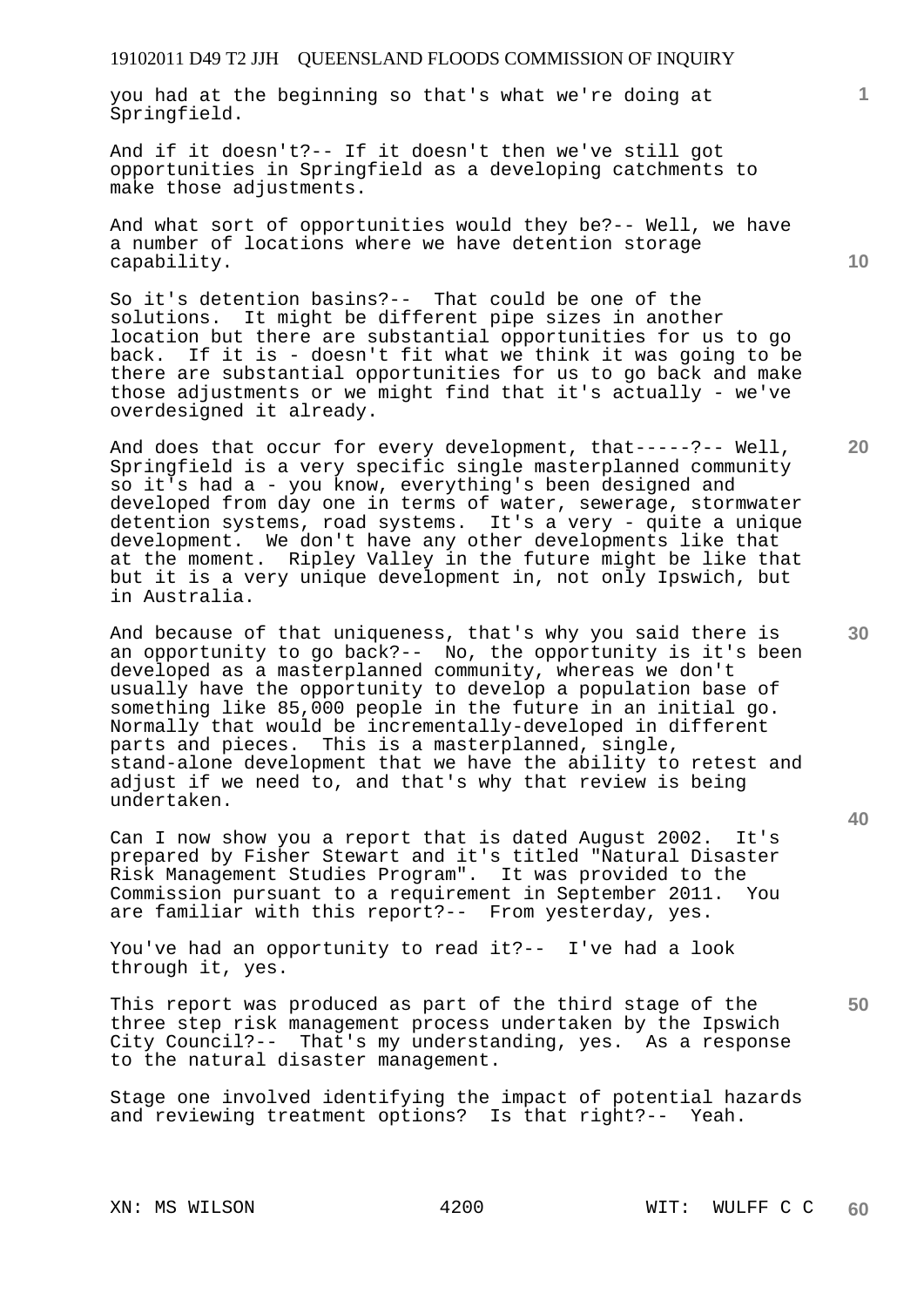you had at the beginning so that's what we're doing at Springfield.

And if it doesn't?-- If it doesn't then we've still got opportunities in Springfield as a developing catchments to make those adjustments.

And what sort of opportunities would they be?-- Well, we have a number of locations where we have detention storage capability.

So it's detention basins?-- That could be one of the solutions. It might be different pipe sizes in another location but there are substantial opportunities for us to go back. If it is - doesn't fit what we think it was going to be there are substantial opportunities for us to go back and make those adjustments or we might find that it's actually - we've overdesigned it already.

And does that occur for every development, that-----?-- Well, Springfield is a very specific single masterplanned community so it's had a - you know, everything's been designed and developed from day one in terms of water, sewerage, stormwater detention systems, road systems. It's a very - quite a unique development. We don't have any other developments like that at the moment. Ripley Valley in the future might be like that but it is a very unique development in, not only Ipswich, but in Australia.

And because of that uniqueness, that's why you said there is an opportunity to go back?-- No, the opportunity is it's been developed as a masterplanned community, whereas we don't usually have the opportunity to develop a population base of something like 85,000 people in the future in an initial go. Normally that would be incrementally-developed in different parts and pieces. This is a masterplanned, single, stand-alone development that we have the ability to retest and adjust if we need to, and that's why that review is being undertaken.

Can I now show you a report that is dated August 2002. It's prepared by Fisher Stewart and it's titled "Natural Disaster Risk Management Studies Program". It was provided to the Commission pursuant to a requirement in September 2011. You are familiar with this report?-- From yesterday, yes.

You've had an opportunity to read it?-- I've had a look through it, yes.

This report was produced as part of the third stage of the three step risk management process undertaken by the Ipswich City Council?-- That's my understanding, yes. As a response to the natural disaster management.

Stage one involved identifying the impact of potential hazards and reviewing treatment options? Is that right?-- Yeah.

**10** 

**1**

**20** 

**30** 

**50**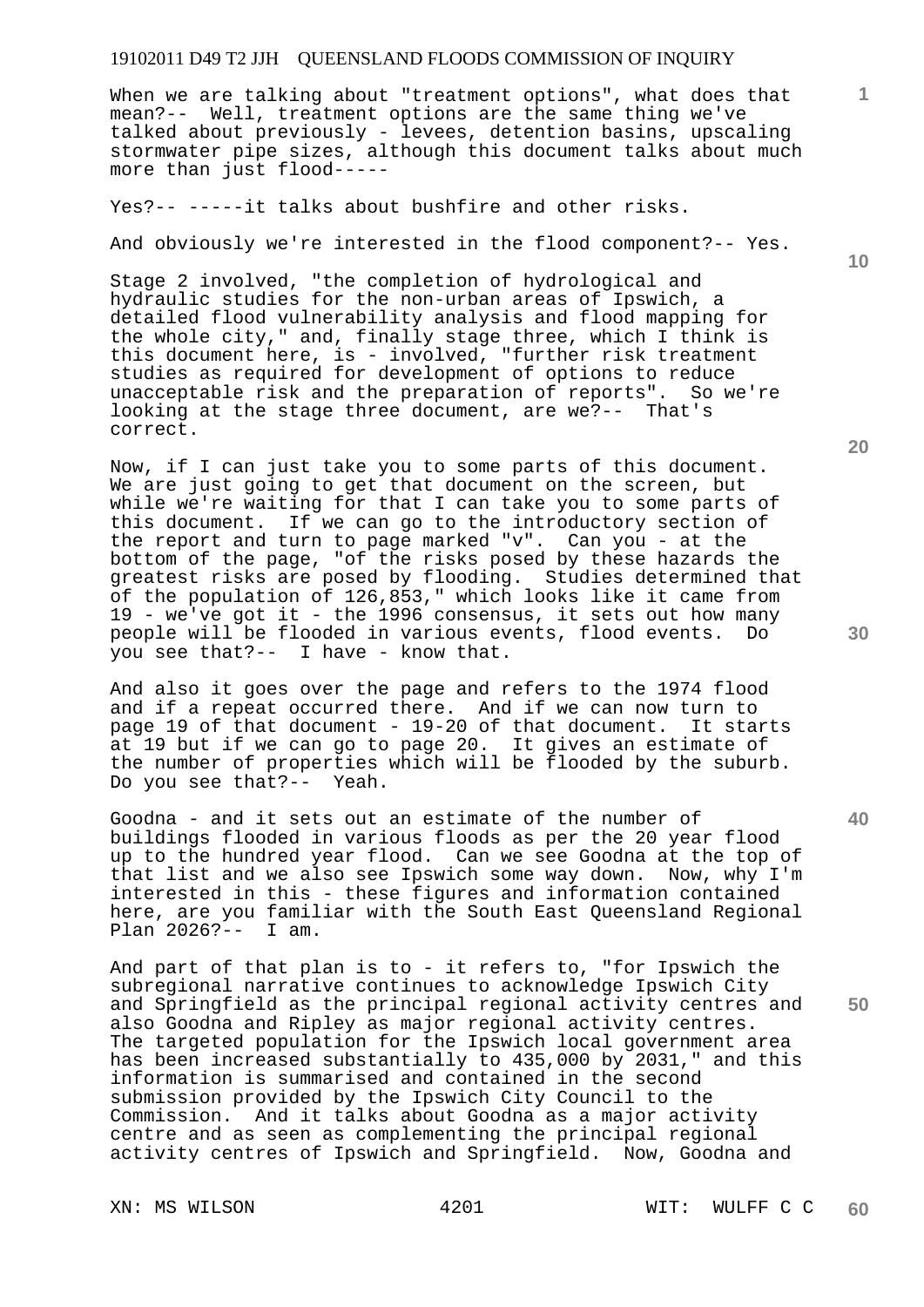When we are talking about "treatment options", what does that mean?-- Well, treatment options are the same thing we've talked about previously - levees, detention basins, upscaling stormwater pipe sizes, although this document talks about much more than just flood-----

Yes?-- -----it talks about bushfire and other risks.

And obviously we're interested in the flood component?-- Yes.

Stage 2 involved, "the completion of hydrological and hydraulic studies for the non-urban areas of Ipswich, a detailed flood vulnerability analysis and flood mapping for the whole city," and, finally stage three, which I think is this document here, is - involved, "further risk treatment studies as required for development of options to reduce unacceptable risk and the preparation of reports". So we're looking at the stage three document, are we?-- That's correct.

Now, if I can just take you to some parts of this document. We are just going to get that document on the screen, but while we're waiting for that I can take you to some parts of this document. If we can go to the introductory section of the report and turn to page marked "v". Can you - at the bottom of the page, "of the risks posed by these hazards the greatest risks are posed by flooding. Studies determined that of the population of 126,853," which looks like it came from 19 - we've got it - the 1996 consensus, it sets out how many people will be flooded in various events, flood events. Do you see that?-- I have - know that.

And also it goes over the page and refers to the 1974 flood and if a repeat occurred there. And if we can now turn to page 19 of that document - 19-20 of that document. It starts at 19 but if we can go to page 20. It gives an estimate of the number of properties which will be flooded by the suburb. Do you see that?-- Yeah.

Goodna - and it sets out an estimate of the number of buildings flooded in various floods as per the 20 year flood up to the hundred year flood. Can we see Goodna at the top of that list and we also see Ipswich some way down. Now, why I'm interested in this - these figures and information contained here, are you familiar with the South East Queensland Regional Plan 2026?-- I am.

And part of that plan is to - it refers to, "for Ipswich the subregional narrative continues to acknowledge Ipswich City and Springfield as the principal regional activity centres and also Goodna and Ripley as major regional activity centres. The targeted population for the Ipswich local government area has been increased substantially to 435,000 by 2031," and this information is summarised and contained in the second submission provided by the Ipswich City Council to the Commission. And it talks about Goodna as a major activity centre and as seen as complementing the principal regional activity centres of Ipswich and Springfield. Now, Goodna and

**20** 

**40** 

**50** 

**10**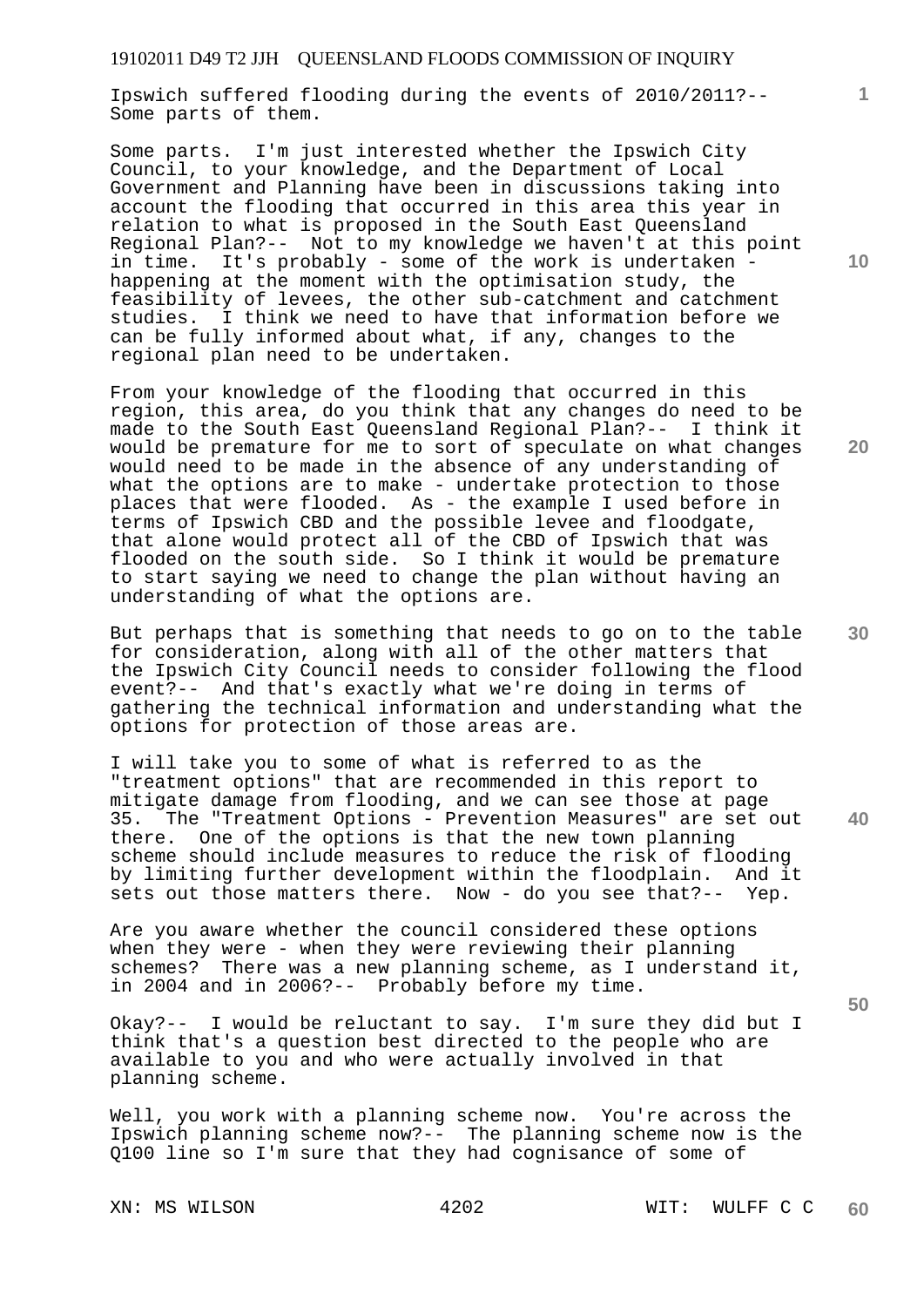Ipswich suffered flooding during the events of 2010/2011?-- Some parts of them.

Some parts. I'm just interested whether the Ipswich City Council, to your knowledge, and the Department of Local Government and Planning have been in discussions taking into account the flooding that occurred in this area this year in relation to what is proposed in the South East Queensland Regional Plan?-- Not to my knowledge we haven't at this point in time. It's probably - some of the work is undertaken happening at the moment with the optimisation study, the feasibility of levees, the other sub-catchment and catchment studies. I think we need to have that information before we can be fully informed about what, if any, changes to the regional plan need to be undertaken.

From your knowledge of the flooding that occurred in this region, this area, do you think that any changes do need to be made to the South East Queensland Regional Plan?-- I think it would be premature for me to sort of speculate on what changes would need to be made in the absence of any understanding of what the options are to make - undertake protection to those places that were flooded. As - the example I used before in terms of Ipswich CBD and the possible levee and floodgate, that alone would protect all of the CBD of Ipswich that was flooded on the south side. So I think it would be premature to start saying we need to change the plan without having an understanding of what the options are.

But perhaps that is something that needs to go on to the table for consideration, along with all of the other matters that the Ipswich City Council needs to consider following the flood event?-- And that's exactly what we're doing in terms of gathering the technical information and understanding what the options for protection of those areas are.

I will take you to some of what is referred to as the "treatment options" that are recommended in this report to mitigate damage from flooding, and we can see those at page 35. The "Treatment Options - Prevention Measures" are set out there. One of the options is that the new town planning One of the options is that the new town planning scheme should include measures to reduce the risk of flooding by limiting further development within the floodplain. And it sets out those matters there. Now - do you see that?-- Yep.

Are you aware whether the council considered these options when they were - when they were reviewing their planning schemes? There was a new planning scheme, as I understand it, in 2004 and in 2006?-- Probably before my time.

Okay?-- I would be reluctant to say. I'm sure they did but I think that's a question best directed to the people who are available to you and who were actually involved in that planning scheme.

Well, you work with a planning scheme now. You're across the Ipswich planning scheme now?-- The planning scheme now is the Q100 line so I'm sure that they had cognisance of some of

**10** 

**1**

**20** 

**30** 

**50**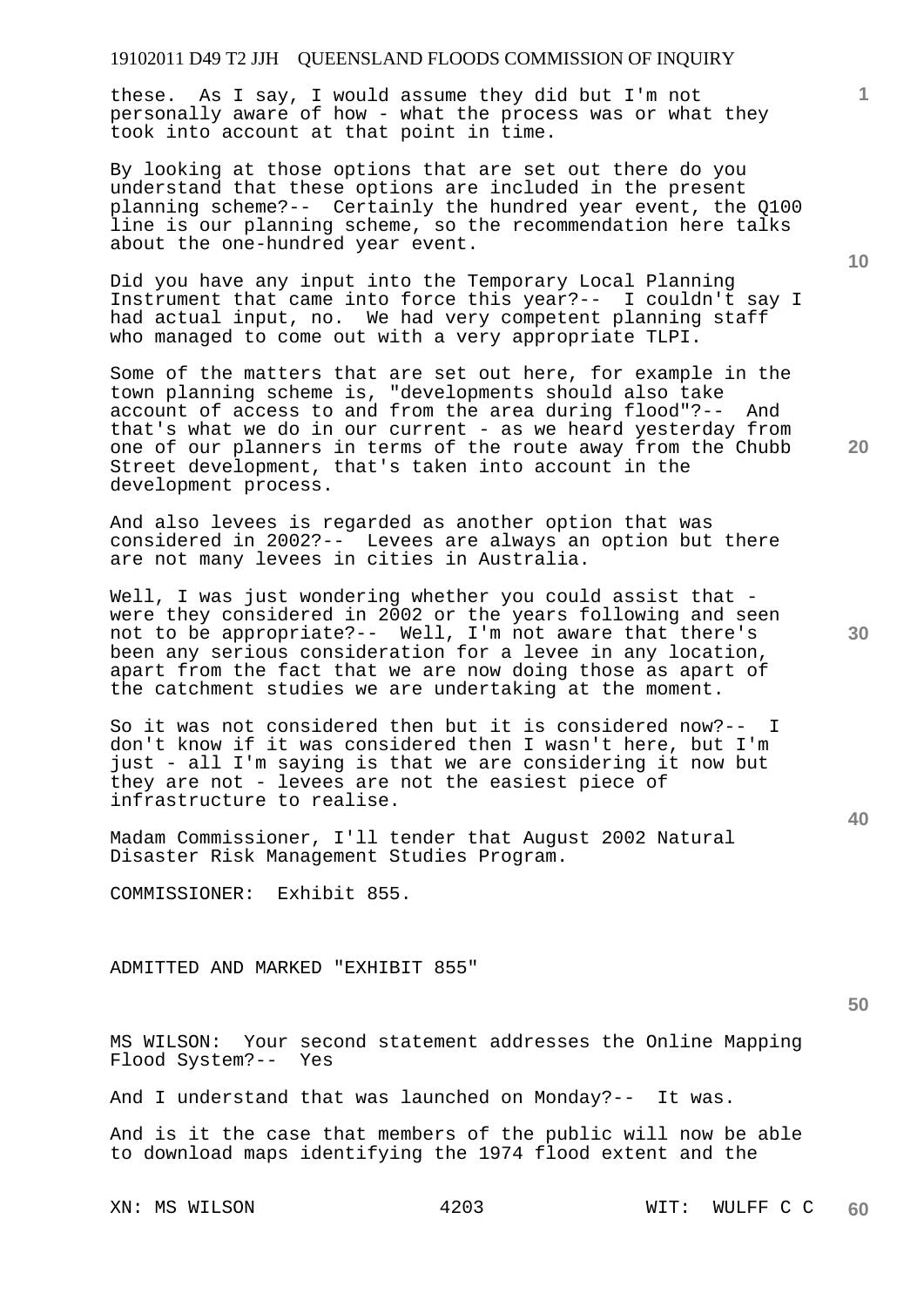these. As I say, I would assume they did but I'm not personally aware of how - what the process was or what they took into account at that point in time.

By looking at those options that are set out there do you understand that these options are included in the present planning scheme?-- Certainly the hundred year event, the Q100 line is our planning scheme, so the recommendation here talks about the one-hundred year event.

Did you have any input into the Temporary Local Planning Instrument that came into force this year?-- I couldn't say I had actual input, no. We had very competent planning staff who managed to come out with a very appropriate TLPI.

Some of the matters that are set out here, for example in the town planning scheme is, "developments should also take account of access to and from the area during flood"?-- And that's what we do in our current - as we heard yesterday from one of our planners in terms of the route away from the Chubb Street development, that's taken into account in the development process.

And also levees is regarded as another option that was considered in 2002?-- Levees are always an option but there are not many levees in cities in Australia.

Well, I was just wondering whether you could assist that were they considered in 2002 or the years following and seen not to be appropriate?-- Well, I'm not aware that there's been any serious consideration for a levee in any location, apart from the fact that we are now doing those as apart of the catchment studies we are undertaking at the moment.

So it was not considered then but it is considered now?-- I don't know if it was considered then I wasn't here, but I'm just - all I'm saying is that we are considering it now but they are not - levees are not the easiest piece of infrastructure to realise.

Madam Commissioner, I'll tender that August 2002 Natural Disaster Risk Management Studies Program.

COMMISSIONER: Exhibit 855.

ADMITTED AND MARKED "EXHIBIT 855"

**50** 

MS WILSON: Your second statement addresses the Online Mapping Flood System?-- Yes

And I understand that was launched on Monday?-- It was.

And is it the case that members of the public will now be able to download maps identifying the 1974 flood extent and the

**10** 

**1**

**20**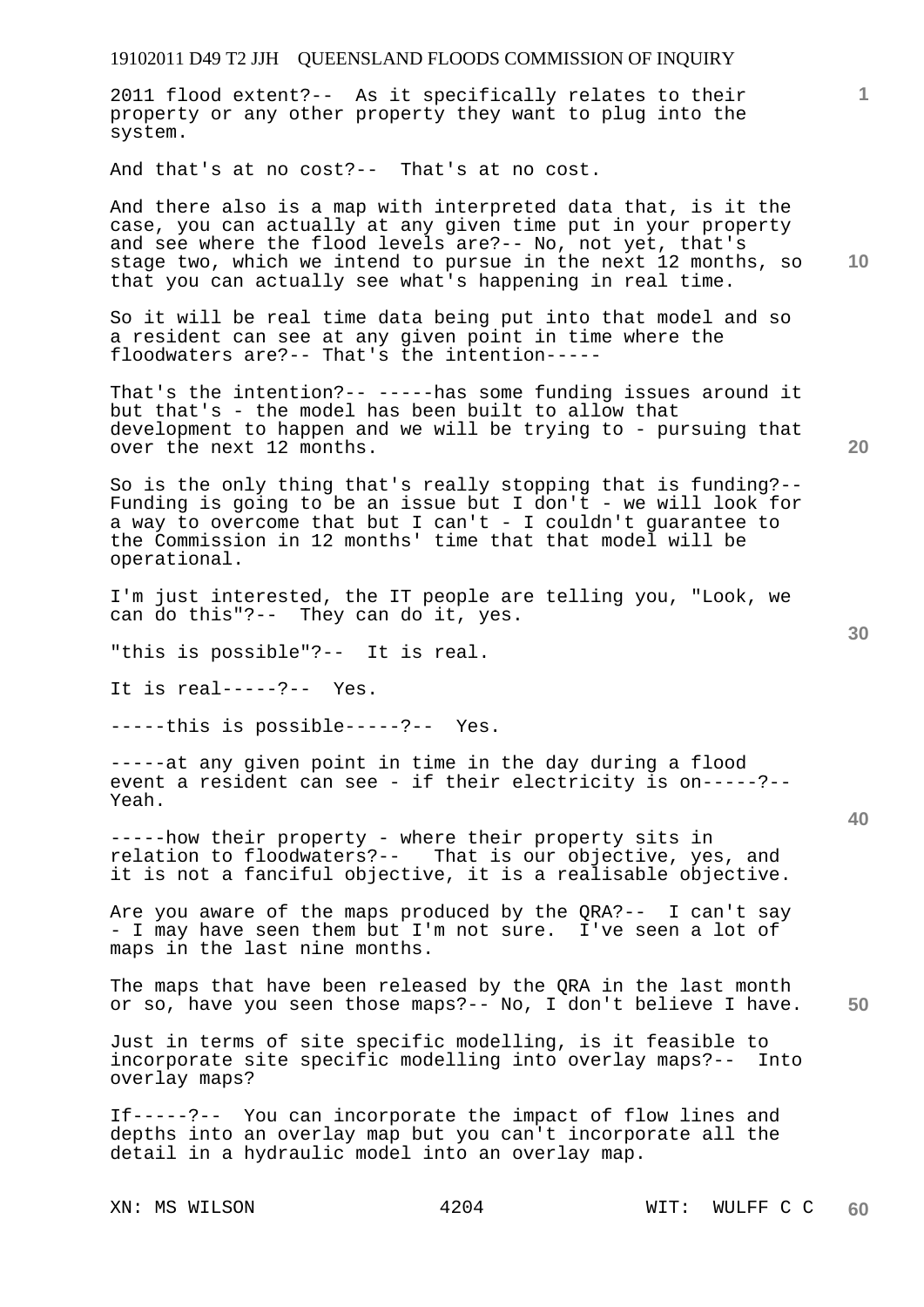# 19102011 D49 T2 JJH QUEENSLAND FLOODS COMMISSION OF INQUIRY **1 10 20 30 40 50**  2011 flood extent?-- As it specifically relates to their property or any other property they want to plug into the system. And that's at no cost?-- That's at no cost. And there also is a map with interpreted data that, is it the case, you can actually at any given time put in your property and see where the flood levels are?-- No, not yet, that's stage two, which we intend to pursue in the next 12 months, so that you can actually see what's happening in real time. So it will be real time data being put into that model and so a resident can see at any given point in time where the floodwaters are?-- That's the intention----- That's the intention?-- -----has some funding issues around it but that's - the model has been built to allow that development to happen and we will be trying to - pursuing that over the next 12 months. So is the only thing that's really stopping that is funding?-- Funding is going to be an issue but I don't - we will look for a way to overcome that but I can't - I couldn't guarantee to the Commission in 12 months' time that that model will be operational. I'm just interested, the IT people are telling you, "Look, we can do this"?-- They can do it, yes. "this is possible"?-- It is real. It is real-----?-- Yes. -----this is possible-----?-- Yes. -----at any given point in time in the day during a flood event a resident can see - if their electricity is on-----?-- Yeah. -----how their property - where their property sits in relation to floodwaters?-- That is our objective, yes, and it is not a fanciful objective, it is a realisable objective. Are you aware of the maps produced by the QRA?-- I can't say - I may have seen them but I'm not sure. I've seen a lot of maps in the last nine months. The maps that have been released by the QRA in the last month or so, have you seen those maps?-- No, I don't believe I have. Just in terms of site specific modelling, is it feasible to incorporate site specific modelling into overlay maps?-- Into overlay maps? If-----?-- You can incorporate the impact of flow lines and depths into an overlay map but you can't incorporate all the detail in a hydraulic model into an overlay map.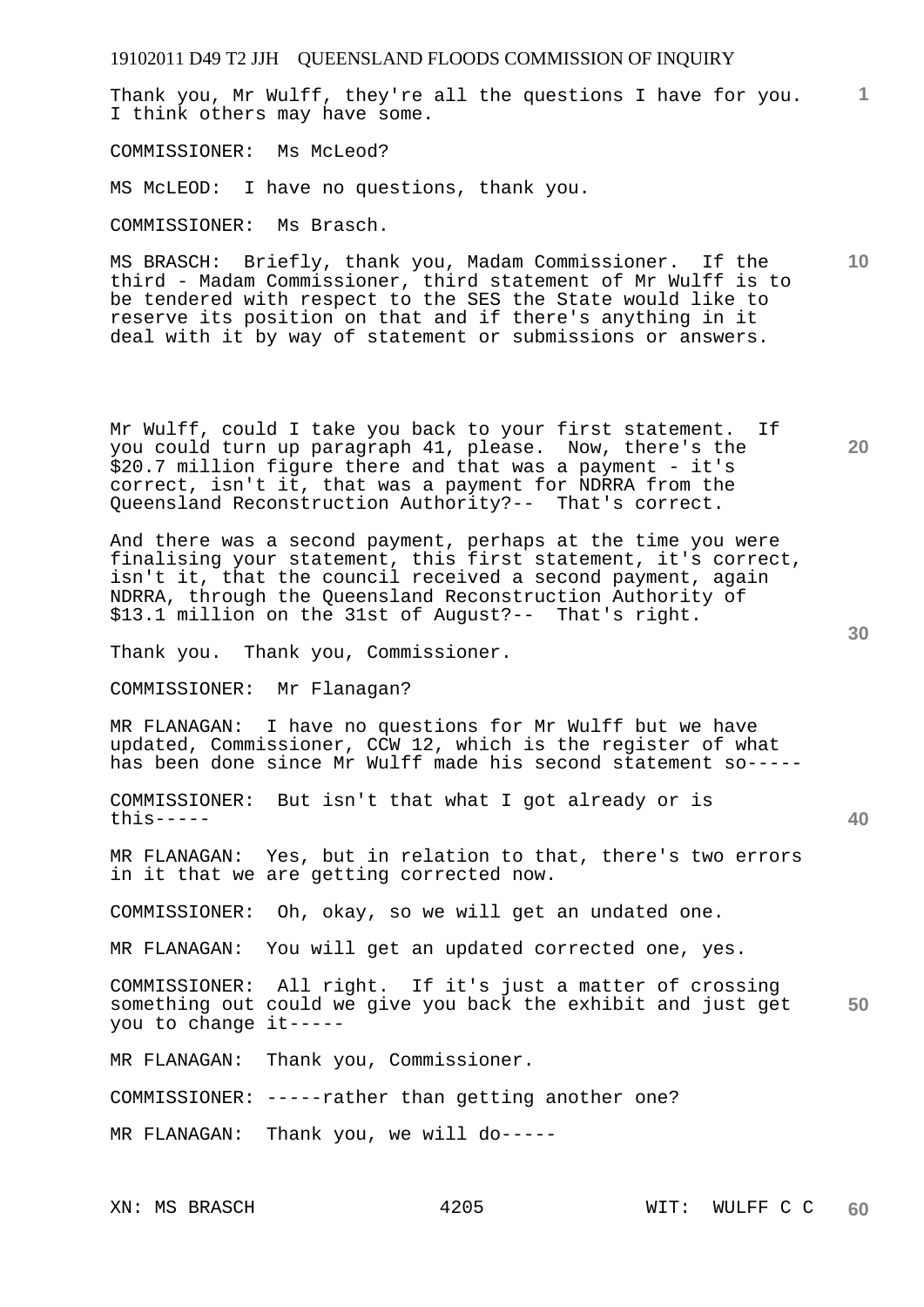19102011 D49 T2 JJH QUEENSLAND FLOODS COMMISSION OF INQUIRY **1** Thank you, Mr Wulff, they're all the questions I have for you. **10 20 30 40 50**  I think others may have some. COMMISSIONER: Ms McLeod? MS McLEOD: I have no questions, thank you. COMMISSIONER: Ms Brasch. MS BRASCH: Briefly, thank you, Madam Commissioner. If the third - Madam Commissioner, third statement of Mr Wulff is to be tendered with respect to the SES the State would like to reserve its position on that and if there's anything in it deal with it by way of statement or submissions or answers. Mr Wulff, could I take you back to your first statement. If you could turn up paragraph 41, please. Now, there's the \$20.7 million figure there and that was a payment - it's correct, isn't it, that was a payment for NDRRA from the Queensland Reconstruction Authority?-- That's correct. And there was a second payment, perhaps at the time you were finalising your statement, this first statement, it's correct, isn't it, that the council received a second payment, again NDRRA, through the Queensland Reconstruction Authority of \$13.1 million on the 31st of August?-- That's right. Thank you. Thank you, Commissioner. COMMISSIONER: Mr Flanagan? MR FLANAGAN: I have no questions for Mr Wulff but we have updated, Commissioner, CCW 12, which is the register of what has been done since Mr Wulff made his second statement so----- COMMISSIONER: But isn't that what I got already or is this----- MR FLANAGAN: Yes, but in relation to that, there's two errors in it that we are getting corrected now. COMMISSIONER: Oh, okay, so we will get an undated one. MR FLANAGAN: You will get an updated corrected one, yes. COMMISSIONER: All right. If it's just a matter of crossing something out could we give you back the exhibit and just get you to change it----- MR FLANAGAN: Thank you, Commissioner. COMMISSIONER: -----rather than getting another one? MR FLANAGAN: Thank you, we will do-----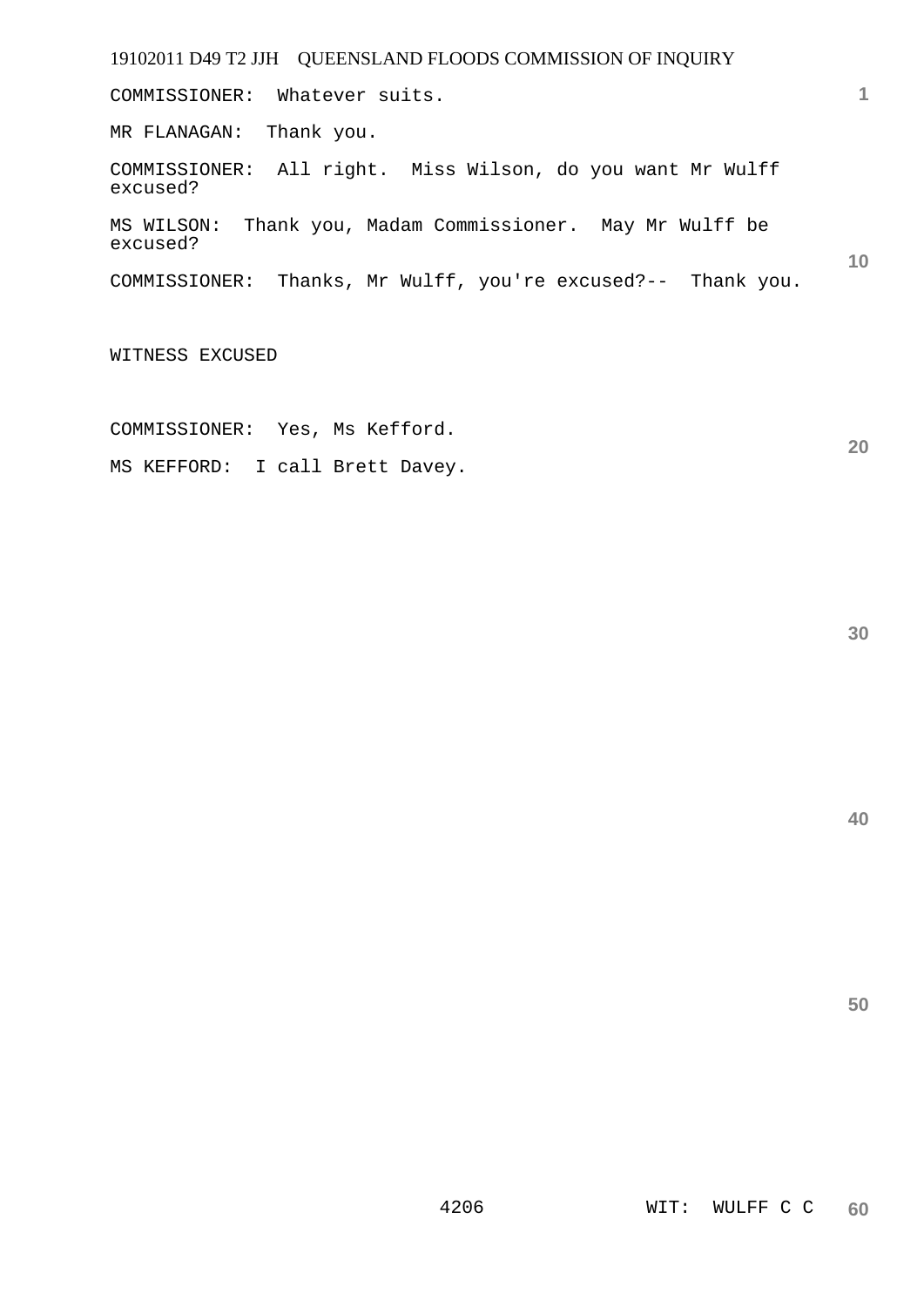COMMISSIONER: Whatever suits.

MR FLANAGAN: Thank you.

COMMISSIONER: All right. Miss Wilson, do you want Mr Wulff excused?

MS WILSON: Thank you, Madam Commissioner. May Mr Wulff be excused?

COMMISSIONER: Thanks, Mr Wulff, you're excused?-- Thank you.

WITNESS EXCUSED

COMMISSIONER: Yes, Ms Kefford.

MS KEFFORD: I call Brett Davey.

**30** 

**20** 

**40** 

**50** 

**1**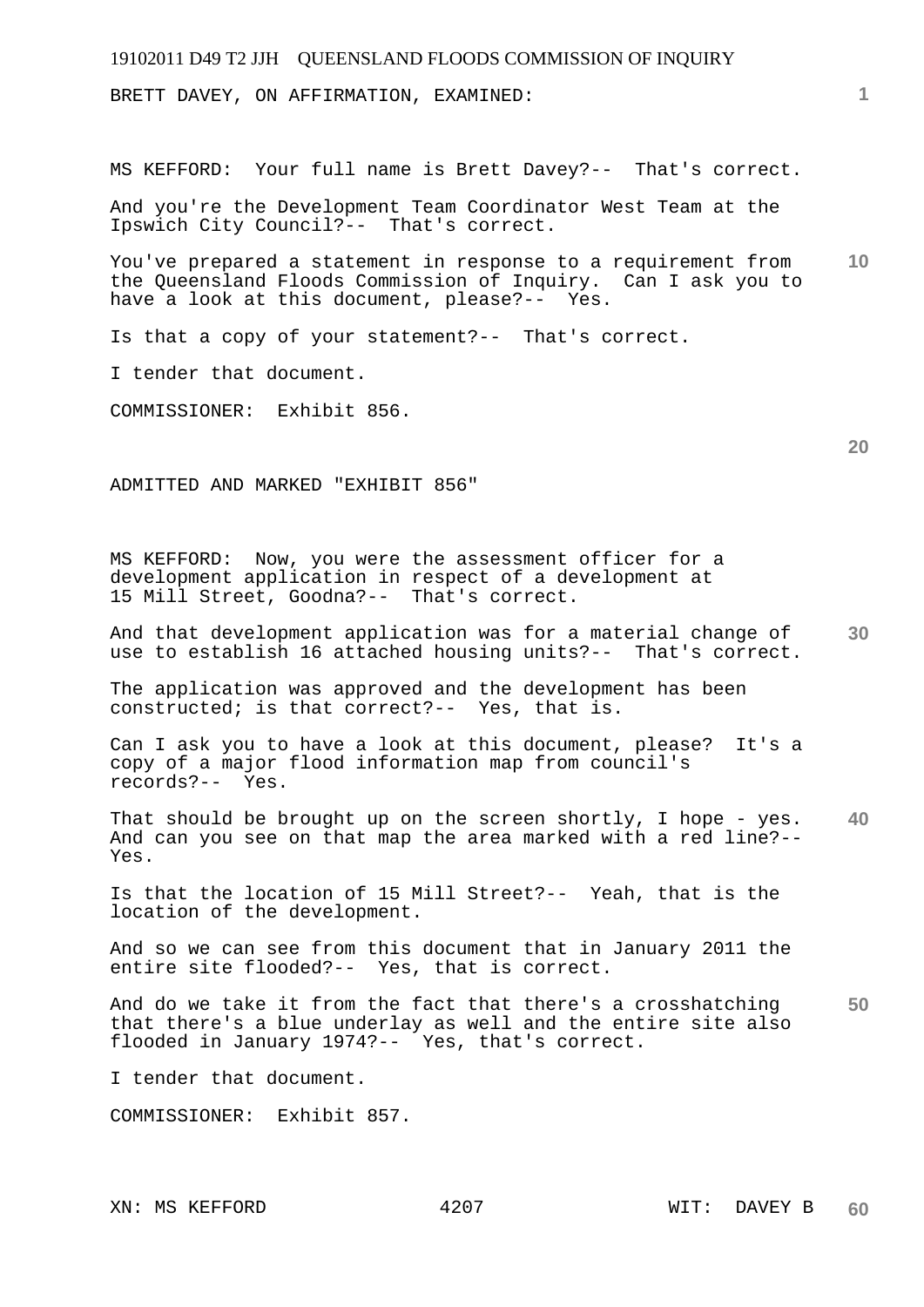BRETT DAVEY, ON AFFIRMATION, EXAMINED:

MS KEFFORD: Your full name is Brett Davey?-- That's correct.

And you're the Development Team Coordinator West Team at the Ipswich City Council?-- That's correct.

**10**  You've prepared a statement in response to a requirement from the Queensland Floods Commission of Inquiry. Can I ask you to have a look at this document, please?-- Yes.

Is that a copy of your statement?-- That's correct.

I tender that document.

COMMISSIONER: Exhibit 856.

ADMITTED AND MARKED "EXHIBIT 856"

MS KEFFORD: Now, you were the assessment officer for a development application in respect of a development at 15 Mill Street, Goodna?-- That's correct.

**30**  And that development application was for a material change of use to establish 16 attached housing units?-- That's correct.

The application was approved and the development has been constructed; is that correct?-- Yes, that is.

Can I ask you to have a look at this document, please? It's a copy of a major flood information map from council's records?-- Yes.

**40**  That should be brought up on the screen shortly, I hope - yes. And can you see on that map the area marked with a red line?-- Yes.

Is that the location of 15 Mill Street?-- Yeah, that is the location of the development.

And so we can see from this document that in January 2011 the entire site flooded?-- Yes, that is correct.

**50**  And do we take it from the fact that there's a crosshatching that there's a blue underlay as well and the entire site also flooded in January 1974?-- Yes, that's correct.

I tender that document.

COMMISSIONER: Exhibit 857.

**1**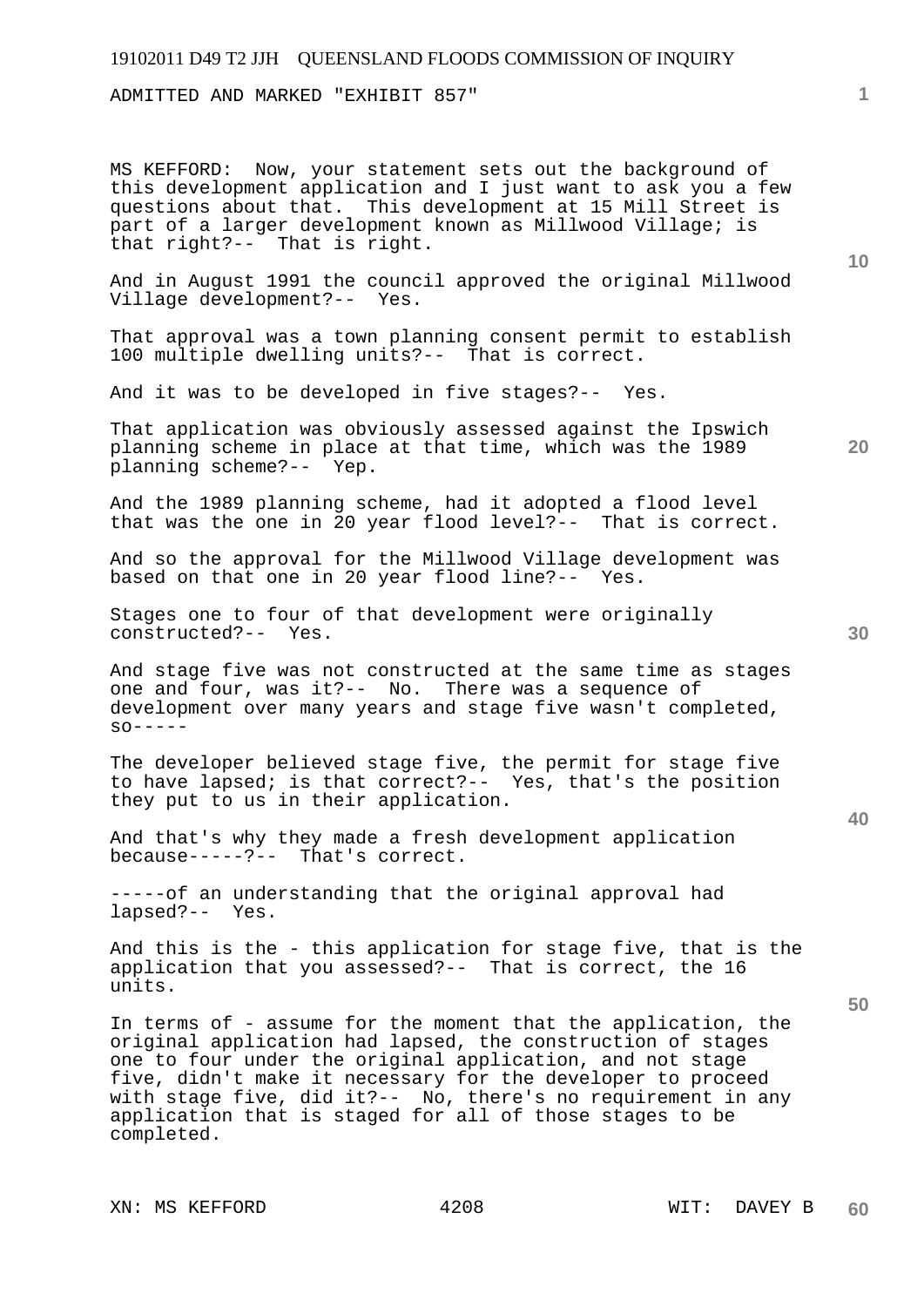ADMITTED AND MARKED "EXHIBIT 857"

MS KEFFORD: Now, your statement sets out the background of this development application and I just want to ask you a few questions about that. This development at 15 Mill Street is part of a larger development known as Millwood Village; is that right?-- That is right.

And in August 1991 the council approved the original Millwood Village development?-- Yes.

That approval was a town planning consent permit to establish 100 multiple dwelling units?-- That is correct.

And it was to be developed in five stages?-- Yes.

That application was obviously assessed against the Ipswich planning scheme in place at that time, which was the 1989 planning scheme?-- Yep.

And the 1989 planning scheme, had it adopted a flood level that was the one in 20 year flood level?-- That is correct.

And so the approval for the Millwood Village development was based on that one in 20 year flood line?-- Yes.

Stages one to four of that development were originally constructed?-- Yes.

And stage five was not constructed at the same time as stages one and four, was it?-- No. There was a sequence of development over many years and stage five wasn't completed,  $SO-----$ 

The developer believed stage five, the permit for stage five to have lapsed; is that correct?-- Yes, that's the position they put to us in their application.

And that's why they made a fresh development application because-----?-- That's correct.

-----of an understanding that the original approval had lapsed?-- Yes.

And this is the - this application for stage five, that is the application that you assessed?-- That is correct, the 16 units.

In terms of - assume for the moment that the application, the original application had lapsed, the construction of stages one to four under the original application, and not stage five, didn't make it necessary for the developer to proceed with stage five, did it?-- No, there's no requirement in any application that is staged for all of those stages to be completed.

**10** 

**20** 

**40**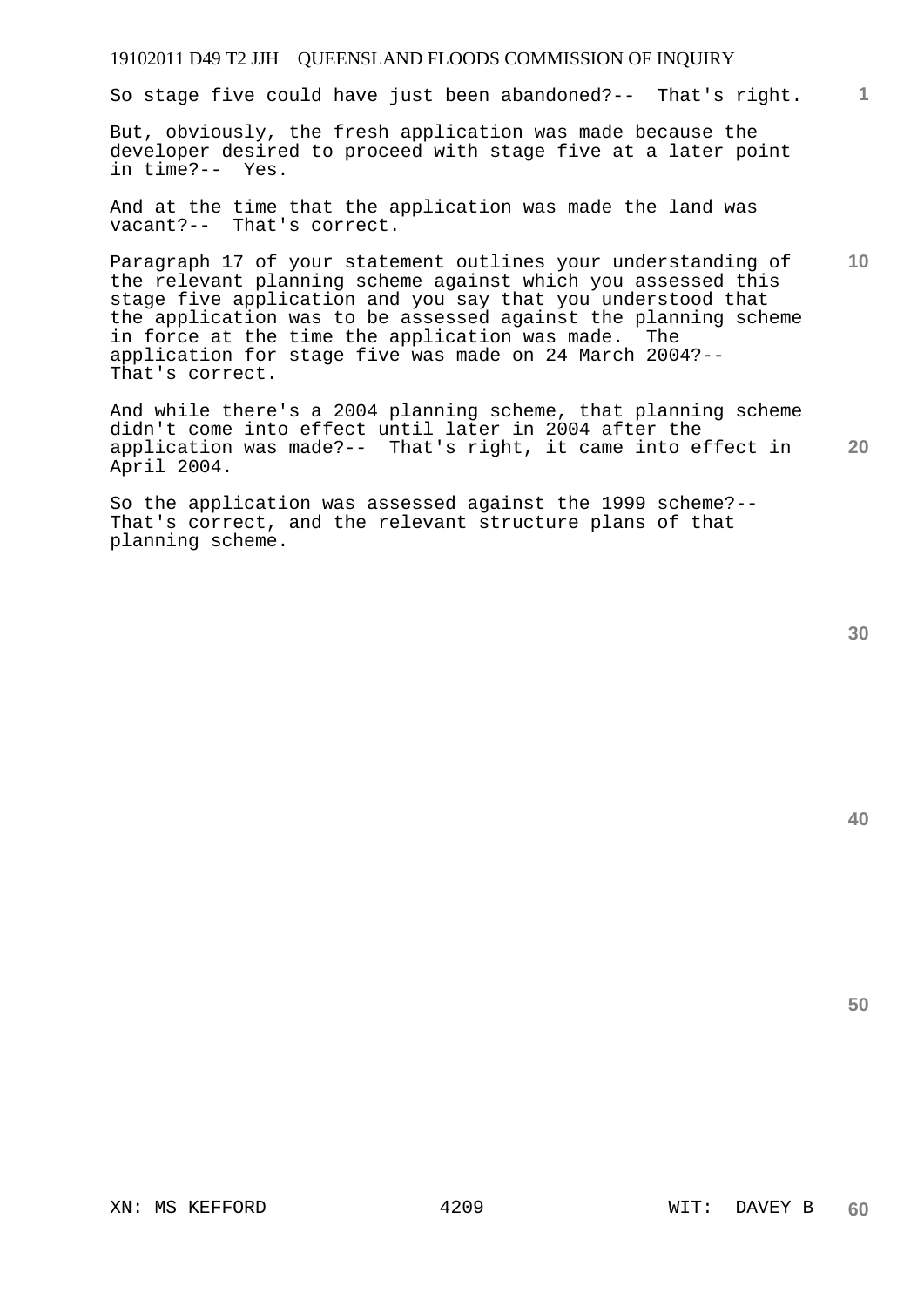So stage five could have just been abandoned?-- That's right.

But, obviously, the fresh application was made because the developer desired to proceed with stage five at a later point in time?-- Yes.

And at the time that the application was made the land was vacant?-- That's correct.

**10**  Paragraph 17 of your statement outlines your understanding of the relevant planning scheme against which you assessed this stage five application and you say that you understood that the application was to be assessed against the planning scheme in force at the time the application was made. The application for stage five was made on 24 March 2004?-- That's correct.

**20**  And while there's a 2004 planning scheme, that planning scheme didn't come into effect until later in 2004 after the application was made?-- That's right, it came into effect in April 2004.

So the application was assessed against the 1999 scheme?-- That's correct, and the relevant structure plans of that planning scheme.

**40** 

**50**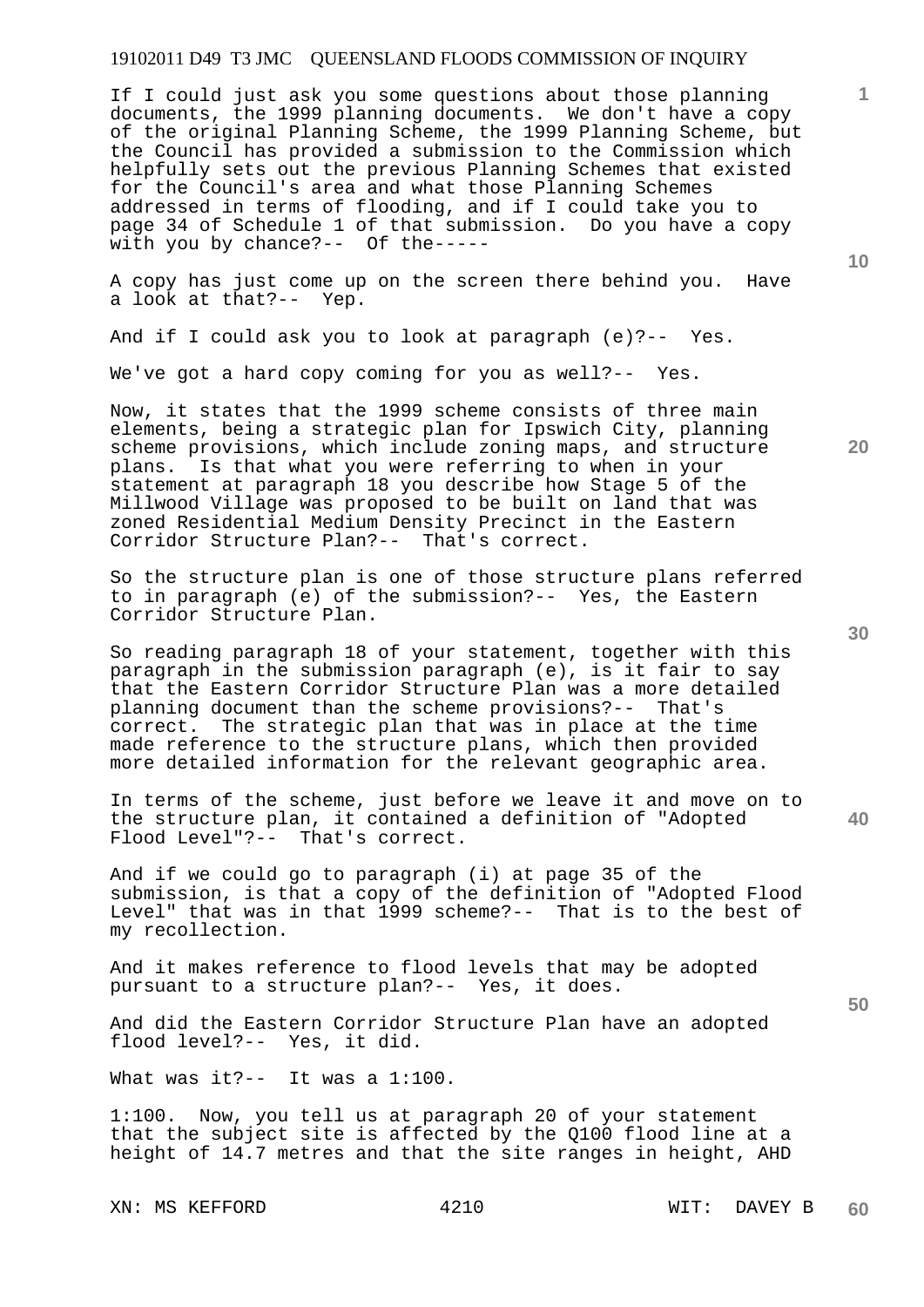If I could just ask you some questions about those planning documents, the 1999 planning documents. We don't have a copy of the original Planning Scheme, the 1999 Planning Scheme, but the Council has provided a submission to the Commission which helpfully sets out the previous Planning Schemes that existed for the Council's area and what those Planning Schemes addressed in terms of flooding, and if I could take you to page 34 of Schedule 1 of that submission. Do you have a copy with you by chance?-- Of the-----

A copy has just come up on the screen there behind you. Have a look at that?-- Yep.

And if I could ask you to look at paragraph (e)?-- Yes.

We've got a hard copy coming for you as well?-- Yes.

Now, it states that the 1999 scheme consists of three main elements, being a strategic plan for Ipswich City, planning scheme provisions, which include zoning maps, and structure plans. Is that what you were referring to when in your statement at paragraph 18 you describe how Stage 5 of the Millwood Village was proposed to be built on land that was zoned Residential Medium Density Precinct in the Eastern Corridor Structure Plan?-- That's correct.

So the structure plan is one of those structure plans referred to in paragraph (e) of the submission?-- Yes, the Eastern Corridor Structure Plan.

So reading paragraph 18 of your statement, together with this paragraph in the submission paragraph (e), is it fair to say that the Eastern Corridor Structure Plan was a more detailed planning document than the scheme provisions?-- That's correct. The strategic plan that was in place at the time made reference to the structure plans, which then provided more detailed information for the relevant geographic area.

In terms of the scheme, just before we leave it and move on to the structure plan, it contained a definition of "Adopted Flood Level"?-- That's correct.

And if we could go to paragraph (i) at page 35 of the submission, is that a copy of the definition of "Adopted Flood Level" that was in that 1999 scheme?-- That is to the best of my recollection.

And it makes reference to flood levels that may be adopted pursuant to a structure plan?-- Yes, it does.

And did the Eastern Corridor Structure Plan have an adopted flood level?-- Yes, it did.

What was it?-- It was a 1:100.

1:100. Now, you tell us at paragraph 20 of your statement that the subject site is affected by the Q100 flood line at a height of 14.7 metres and that the site ranges in height, AHD

XN: MS KEFFORD 4210 WIT: DAVEY B

**20** 

**10** 

**1**

**40**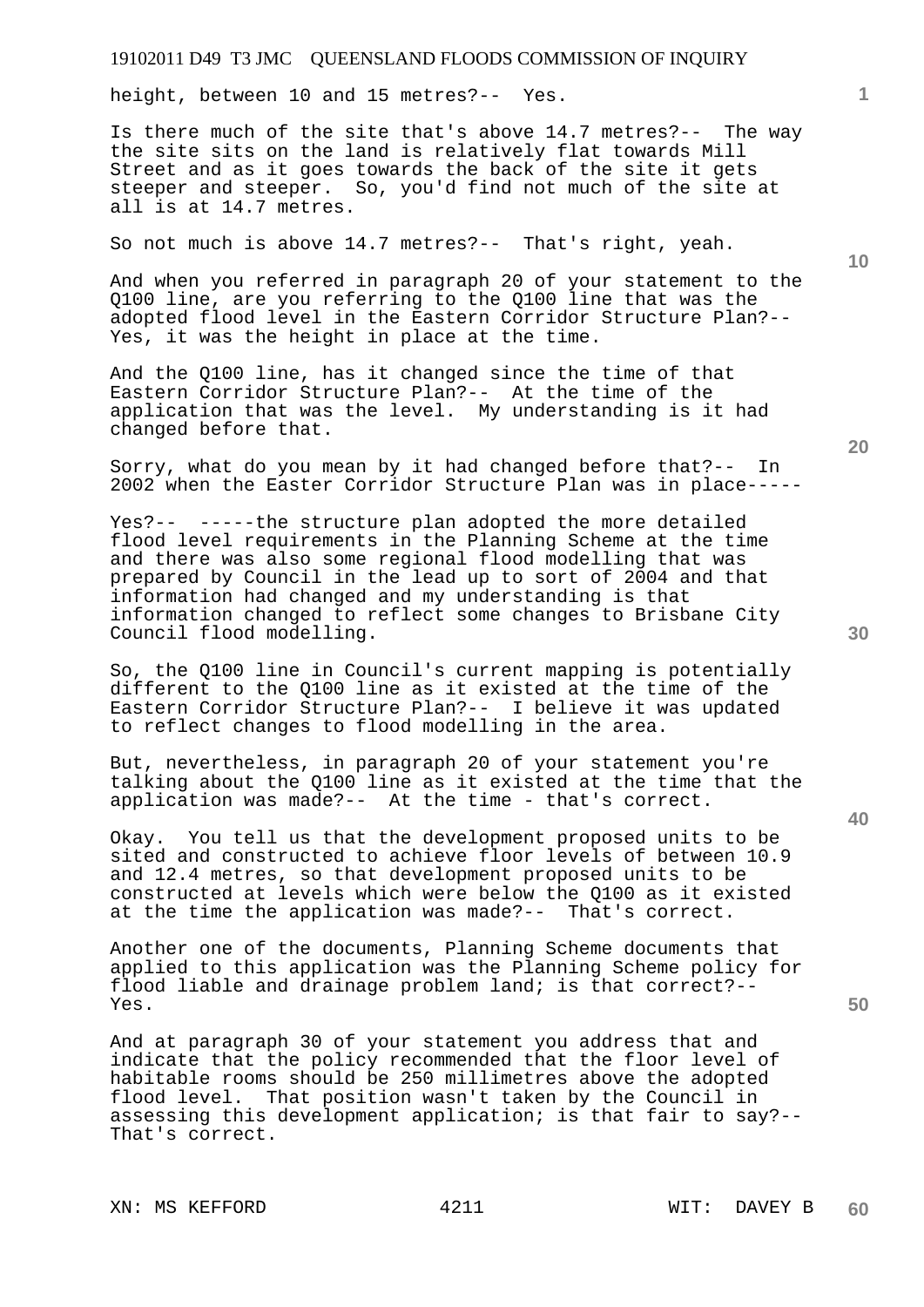height, between 10 and 15 metres?-- Yes.

Is there much of the site that's above 14.7 metres?-- The way the site sits on the land is relatively flat towards Mill Street and as it goes towards the back of the site it gets steeper and steeper. So, you'd find not much of the site at all is at 14.7 metres.

So not much is above 14.7 metres?-- That's right, yeah.

And when you referred in paragraph 20 of your statement to the Q100 line, are you referring to the Q100 line that was the adopted flood level in the Eastern Corridor Structure Plan?-- Yes, it was the height in place at the time.

And the Q100 line, has it changed since the time of that Eastern Corridor Structure Plan?-- At the time of the application that was the level. My understanding is it had changed before that.

Sorry, what do you mean by it had changed before that?-- In 2002 when the Easter Corridor Structure Plan was in place-----

Yes?-- -----the structure plan adopted the more detailed flood level requirements in the Planning Scheme at the time and there was also some regional flood modelling that was prepared by Council in the lead up to sort of 2004 and that information had changed and my understanding is that information changed to reflect some changes to Brisbane City Council flood modelling.

So, the Q100 line in Council's current mapping is potentially different to the Q100 line as it existed at the time of the Eastern Corridor Structure Plan?-- I believe it was updated to reflect changes to flood modelling in the area.

But, nevertheless, in paragraph 20 of your statement you're talking about the Q100 line as it existed at the time that the application was made?-- At the time - that's correct.

Okay. You tell us that the development proposed units to be sited and constructed to achieve floor levels of between 10.9 and 12.4 metres, so that development proposed units to be constructed at levels which were below the Q100 as it existed at the time the application was made?-- That's correct.

Another one of the documents, Planning Scheme documents that applied to this application was the Planning Scheme policy for flood liable and drainage problem land; is that correct?-- Yes.

And at paragraph 30 of your statement you address that and indicate that the policy recommended that the floor level of habitable rooms should be 250 millimetres above the adopted flood level. That position wasn't taken by the Council in assessing this development application; is that fair to say?-- That's correct.

XN: MS KEFFORD 4211 WIT: DAVEY B

**20** 

**50** 

**30** 

**10**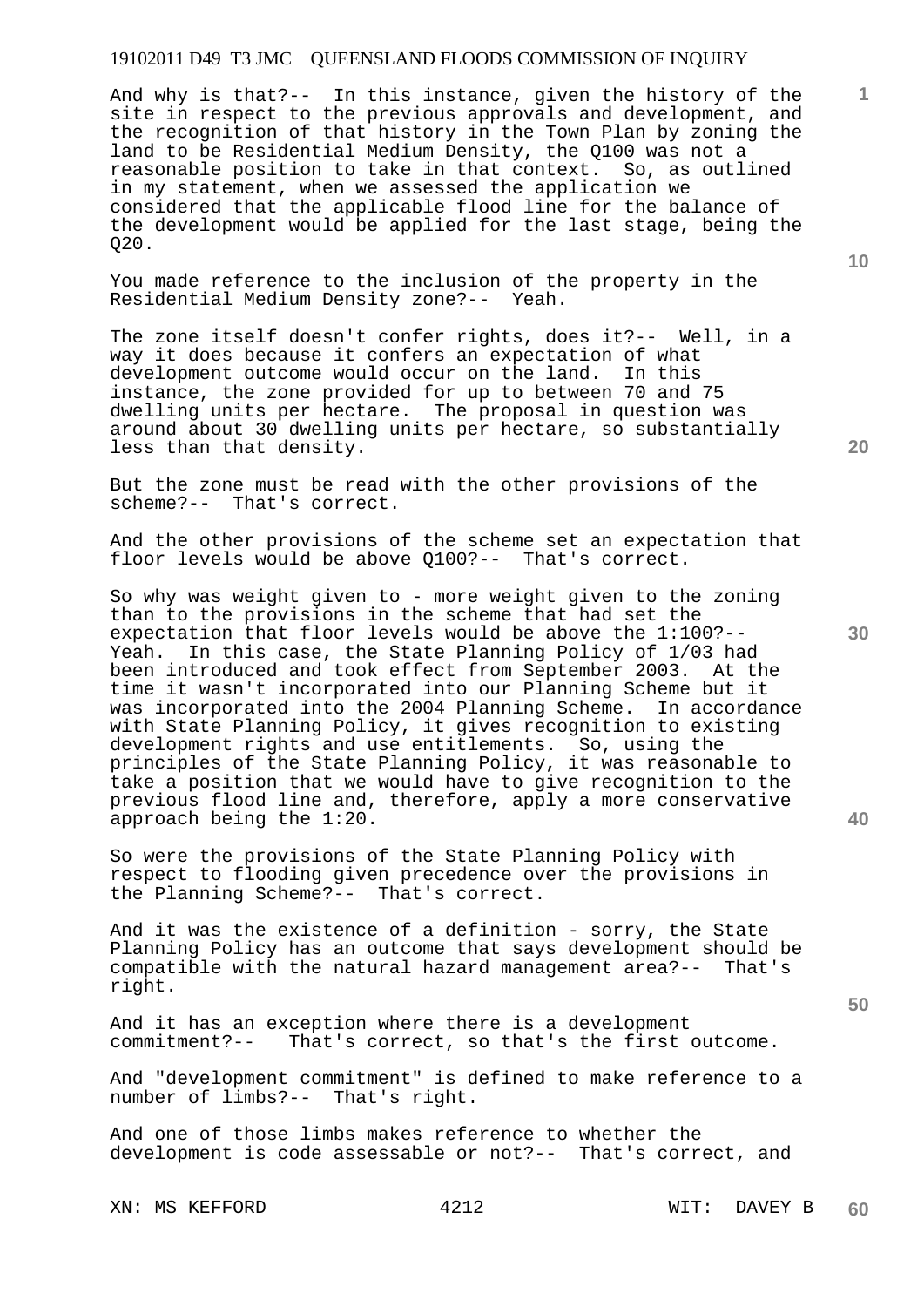And why is that?-- In this instance, given the history of the site in respect to the previous approvals and development, and the recognition of that history in the Town Plan by zoning the land to be Residential Medium Density, the Q100 was not a reasonable position to take in that context. So, as outlined in my statement, when we assessed the application we considered that the applicable flood line for the balance of the development would be applied for the last stage, being the Q20.

You made reference to the inclusion of the property in the Residential Medium Density zone?-- Yeah.

The zone itself doesn't confer rights, does it?-- Well, in a way it does because it confers an expectation of what development outcome would occur on the land. In this instance, the zone provided for up to between 70 and 75 dwelling units per hectare. The proposal in question was around about 30 dwelling units per hectare, so substantially less than that density.

But the zone must be read with the other provisions of the scheme?-- That's correct.

And the other provisions of the scheme set an expectation that floor levels would be above Q100?-- That's correct.

So why was weight given to - more weight given to the zoning than to the provisions in the scheme that had set the expectation that floor levels would be above the 1:100?-- Yeah. In this case, the State Planning Policy of 1/03 had been introduced and took effect from September 2003. At the time it wasn't incorporated into our Planning Scheme but it was incorporated into the 2004 Planning Scheme. In accordance with State Planning Policy, it gives recognition to existing development rights and use entitlements. So, using the principles of the State Planning Policy, it was reasonable to take a position that we would have to give recognition to the previous flood line and, therefore, apply a more conservative approach being the 1:20.

So were the provisions of the State Planning Policy with respect to flooding given precedence over the provisions in the Planning Scheme?-- That's correct.

And it was the existence of a definition - sorry, the State Planning Policy has an outcome that says development should be compatible with the natural hazard management area?-- That's right.

And it has an exception where there is a development commitment?-- That's correct, so that's the first That's correct, so that's the first outcome.

And "development commitment" is defined to make reference to a number of limbs?-- That's right.

And one of those limbs makes reference to whether the development is code assessable or not?-- That's correct, and

XN: MS KEFFORD 4212 WIT: DAVEY B

**20** 

**10** 

**1**

**50**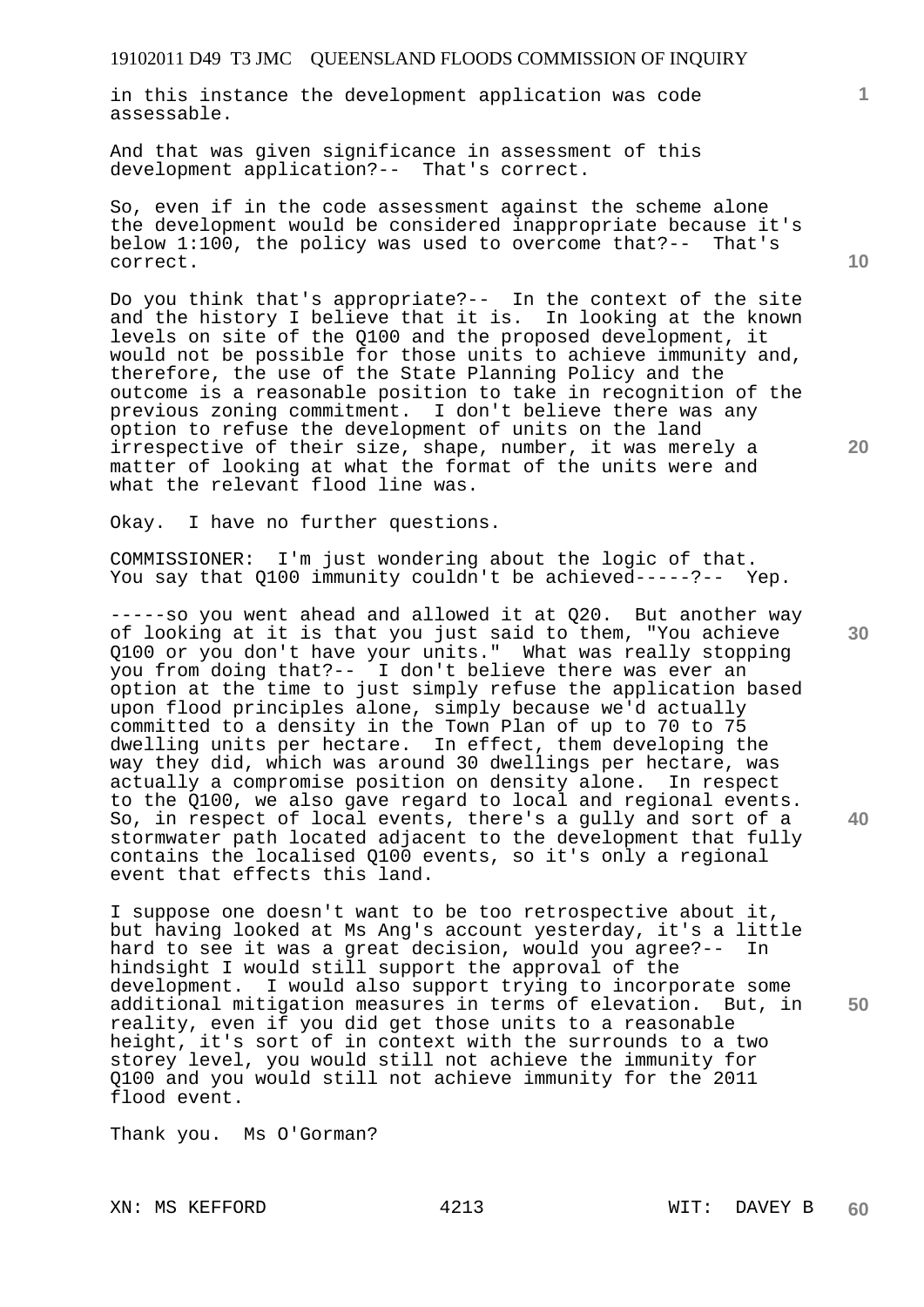in this instance the development application was code assessable.

And that was given significance in assessment of this development application?-- That's correct.

So, even if in the code assessment against the scheme alone the development would be considered inappropriate because it's below 1:100, the policy was used to overcome that?-- That's correct.

Do you think that's appropriate?-- In the context of the site and the history I believe that it is. In looking at the known levels on site of the Q100 and the proposed development, it would not be possible for those units to achieve immunity and, therefore, the use of the State Planning Policy and the outcome is a reasonable position to take in recognition of the previous zoning commitment. I don't believe there was any option to refuse the development of units on the land irrespective of their size, shape, number, it was merely a matter of looking at what the format of the units were and what the relevant flood line was.

Okay. I have no further questions.

COMMISSIONER: I'm just wondering about the logic of that. You say that Q100 immunity couldn't be achieved-----?-- Yep.

-----so you went ahead and allowed it at Q20. But another way of looking at it is that you just said to them, "You achieve Q100 or you don't have your units." What was really stopping you from doing that?-- I don't believe there was ever an option at the time to just simply refuse the application based upon flood principles alone, simply because we'd actually committed to a density in the Town Plan of up to 70 to 75 dwelling units per hectare. In effect, them developing the way they did, which was around 30 dwellings per hectare, was actually a compromise position on density alone. In respect to the Q100, we also gave regard to local and regional events. So, in respect of local events, there's a gully and sort of a stormwater path located adjacent to the development that fully contains the localised Q100 events, so it's only a regional event that effects this land.

I suppose one doesn't want to be too retrospective about it, but having looked at Ms Ang's account yesterday, it's a little hard to see it was a great decision, would you agree?-- In hindsight I would still support the approval of the development. I would also support trying to incorporate some additional mitigation measures in terms of elevation. But, in reality, even if you did get those units to a reasonable height, it's sort of in context with the surrounds to a two storey level, you would still not achieve the immunity for Q100 and you would still not achieve immunity for the 2011 flood event.

Thank you. Ms O'Gorman?

**10** 

**20** 

**30** 

**40**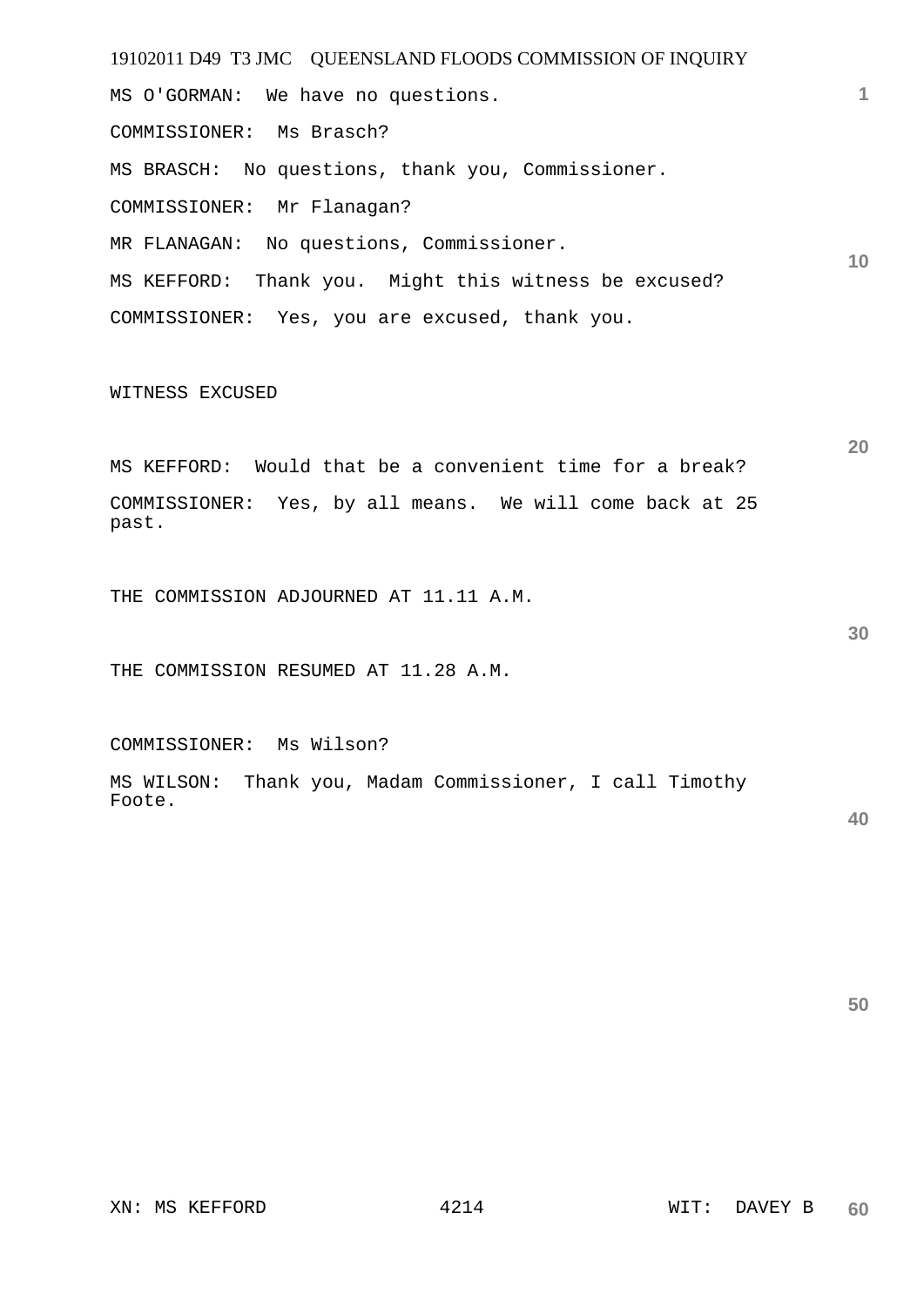19102011 D49 T3 JMC QUEENSLAND FLOODS COMMISSION OF INQUIRY **1 10**  MS O'GORMAN: We have no questions. COMMISSIONER: Ms Brasch? MS BRASCH: No questions, thank you, Commissioner. COMMISSIONER: Mr Flanagan? MR FLANAGAN: No questions, Commissioner. MS KEFFORD: Thank you. Might this witness be excused? COMMISSIONER: Yes, you are excused, thank you.

WITNESS EXCUSED

MS KEFFORD: Would that be a convenient time for a break? COMMISSIONER: Yes, by all means. We will come back at 25 past.

THE COMMISSION ADJOURNED AT 11.11 A.M.

THE COMMISSION RESUMED AT 11.28 A.M.

COMMISSIONER: Ms Wilson?

MS WILSON: Thank you, Madam Commissioner, I call Timothy Foote.

**50** 

**20**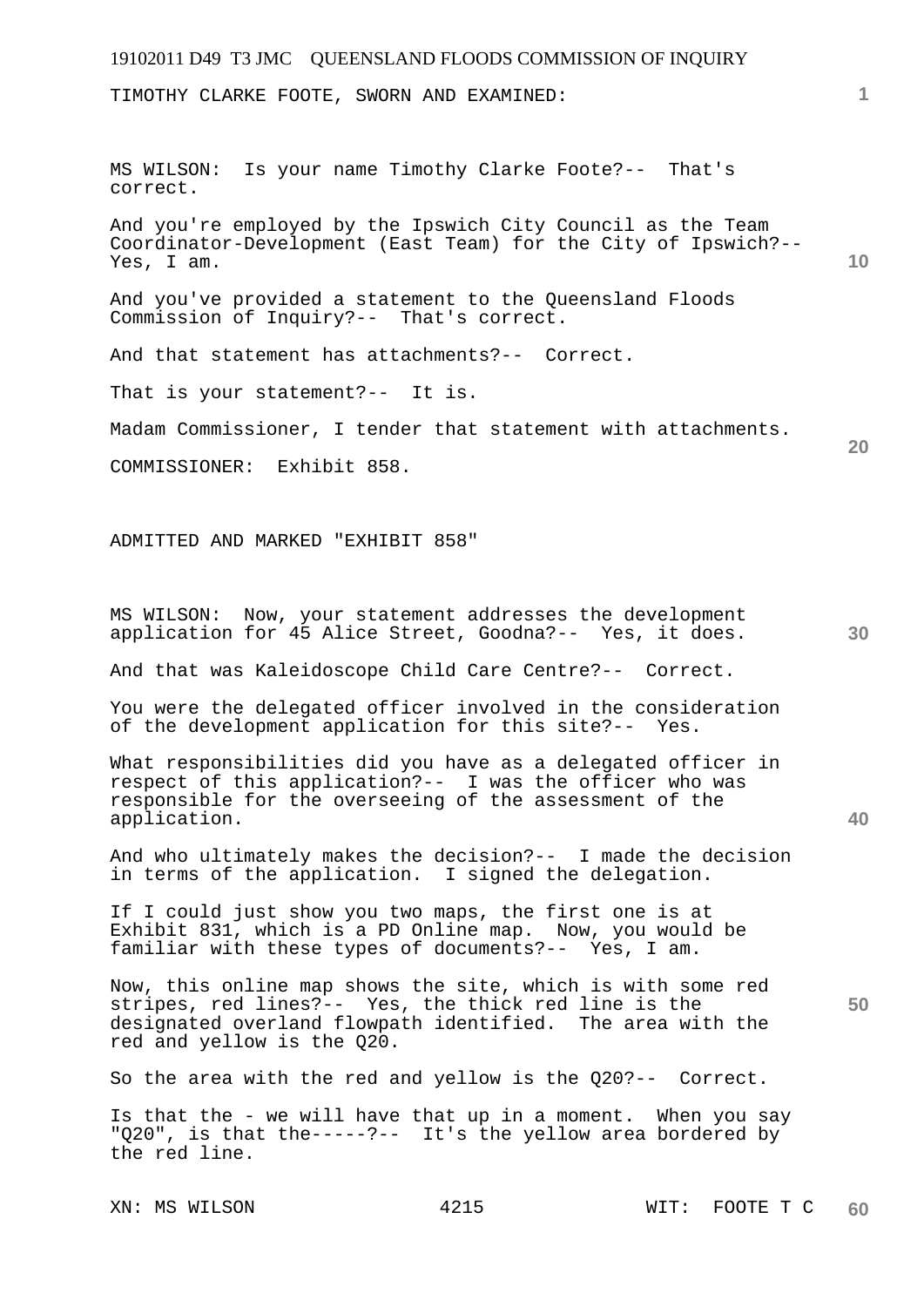# 19102011 D49 T3 JMC QUEENSLAND FLOODS COMMISSION OF INQUIRY XN: MS WILSON 4215 WIT: FOOTE T C **1 10 20 30 40 50**  TIMOTHY CLARKE FOOTE, SWORN AND EXAMINED: MS WILSON: Is your name Timothy Clarke Foote?-- That's correct. And you're employed by the Ipswich City Council as the Team Coordinator-Development (East Team) for the City of Ipswich?-- Yes, I am. And you've provided a statement to the Queensland Floods Commission of Inquiry?-- That's correct. And that statement has attachments?-- Correct. That is your statement?-- It is. Madam Commissioner, I tender that statement with attachments. COMMISSIONER: Exhibit 858. ADMITTED AND MARKED "EXHIBIT 858" MS WILSON: Now, your statement addresses the development application for 45 Alice Street, Goodna?-- Yes, it does. And that was Kaleidoscope Child Care Centre?-- Correct. You were the delegated officer involved in the consideration of the development application for this site?-- Yes. What responsibilities did you have as a delegated officer in respect of this application?-- I was the officer who was responsible for the overseeing of the assessment of the application. And who ultimately makes the decision?-- I made the decision in terms of the application. I signed the delegation. If I could just show you two maps, the first one is at Exhibit 831, which is a PD Online map. Now, you would be familiar with these types of documents?-- Yes, I am. Now, this online map shows the site, which is with some red stripes, red lines?-- Yes, the thick red line is the designated overland flowpath identified. The area with the red and yellow is the Q20. So the area with the red and yellow is the Q20?-- Correct. Is that the - we will have that up in a moment. When you say "Q20", is that the-----?-- It's the yellow area bordered by the red line.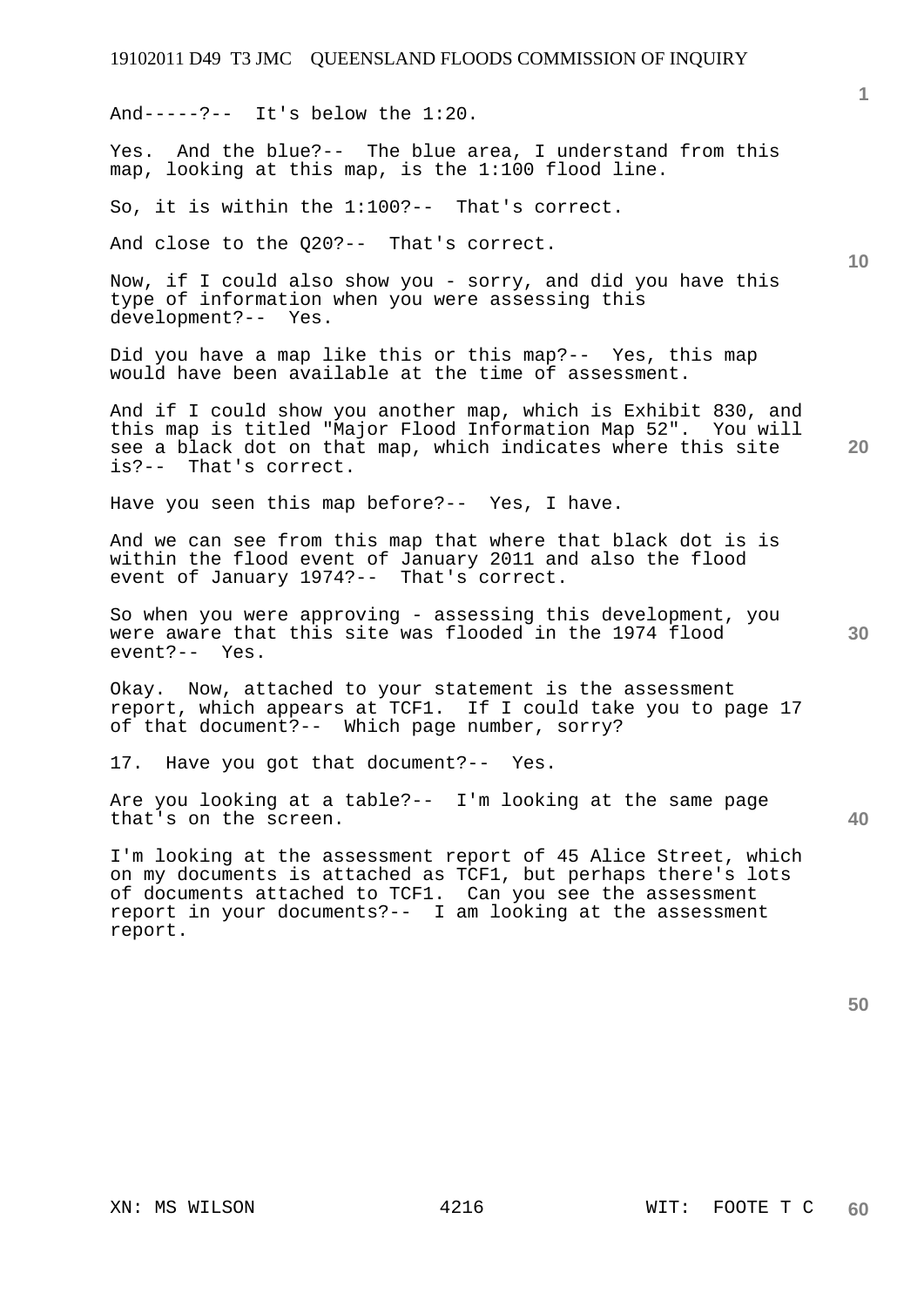And-----?-- It's below the  $1:20$ .

Yes. And the blue?-- The blue area, I understand from this map, looking at this map, is the 1:100 flood line.

So, it is within the 1:100?-- That's correct.

And close to the Q20?-- That's correct.

Now, if I could also show you - sorry, and did you have this type of information when you were assessing this development?-- Yes.

Did you have a map like this or this map?-- Yes, this map would have been available at the time of assessment.

And if I could show you another map, which is Exhibit 830, and this map is titled "Major Flood Information Map 52". You will see a black dot on that map, which indicates where this site is?-- That's correct.

Have you seen this map before?-- Yes, I have.

And we can see from this map that where that black dot is is within the flood event of January 2011 and also the flood event of January 1974?-- That's correct.

So when you were approving - assessing this development, you were aware that this site was flooded in the 1974 flood event?-- Yes.

Okay. Now, attached to your statement is the assessment report, which appears at TCF1. If I could take you to page 17 of that document?-- Which page number, sorry?

17. Have you got that document?-- Yes.

Are you looking at a table?-- I'm looking at the same page that's on the screen.

I'm looking at the assessment report of 45 Alice Street, which on my documents is attached as TCF1, but perhaps there's lots of documents attached to TCF1. Can you see the assessment report in your documents?-- I am looking at the assessment report.

**50** 

**1**

**10** 

**20** 

**30**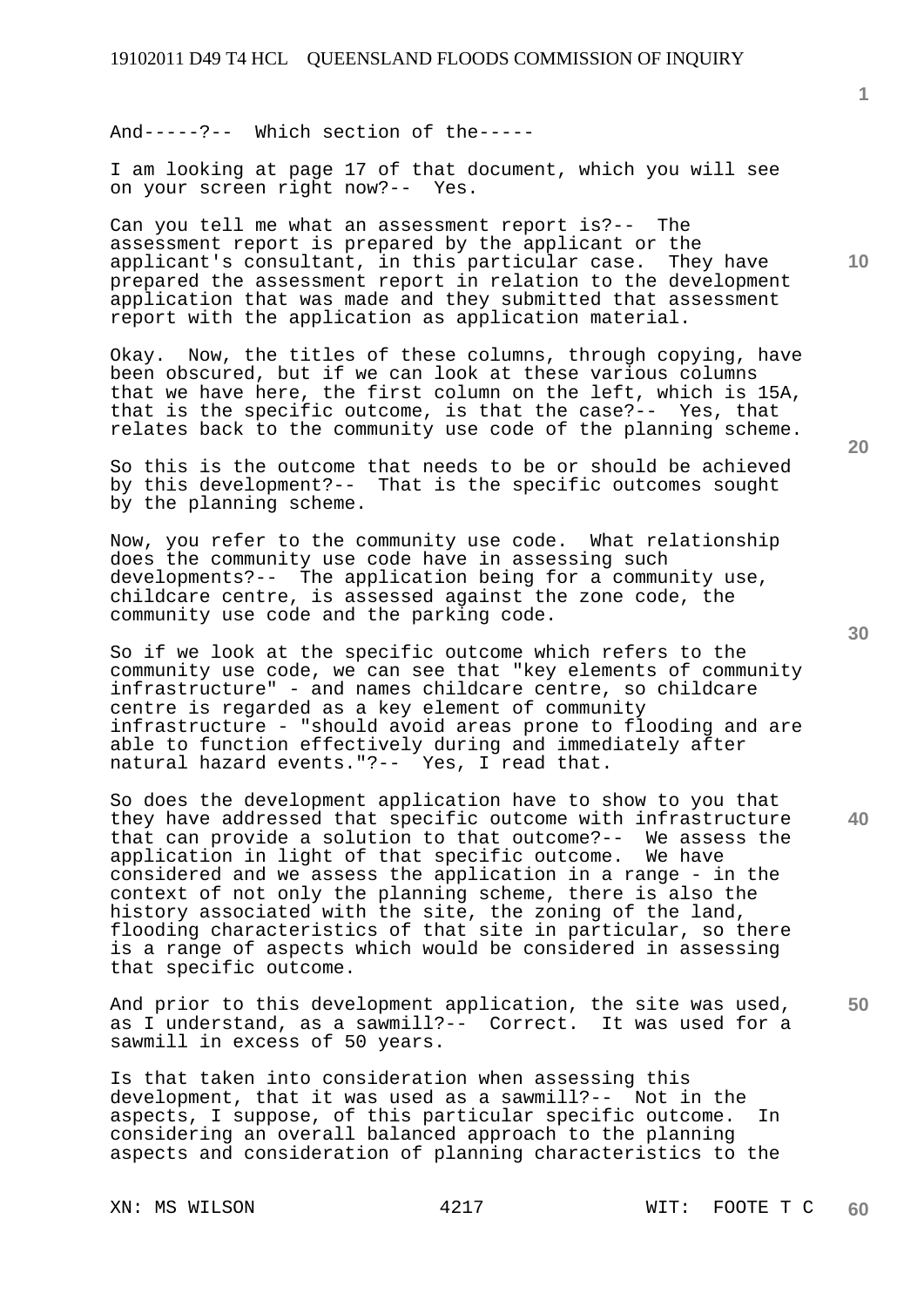And-----?-- Which section of the-----

I am looking at page 17 of that document, which you will see on your screen right now?-- Yes.

Can you tell me what an assessment report is?-- The assessment report is prepared by the applicant or the applicant's consultant, in this particular case. They have prepared the assessment report in relation to the development application that was made and they submitted that assessment report with the application as application material.

Okay. Now, the titles of these columns, through copying, have been obscured, but if we can look at these various columns that we have here, the first column on the left, which is 15A, that is the specific outcome, is that the case?-- Yes, that relates back to the community use code of the planning scheme.

So this is the outcome that needs to be or should be achieved by this development?-- That is the specific outcomes sought by the planning scheme.

Now, you refer to the community use code. What relationship does the community use code have in assessing such developments?-- The application being for a community use, childcare centre, is assessed against the zone code, the community use code and the parking code.

So if we look at the specific outcome which refers to the community use code, we can see that "key elements of community infrastructure" - and names childcare centre, so childcare centre is regarded as a key element of community infrastructure - "should avoid areas prone to flooding and are able to function effectively during and immediately after natural hazard events."?-- Yes, I read that.

So does the development application have to show to you that they have addressed that specific outcome with infrastructure that can provide a solution to that outcome?-- We assess the application in light of that specific outcome. We have considered and we assess the application in a range - in the context of not only the planning scheme, there is also the history associated with the site, the zoning of the land, flooding characteristics of that site in particular, so there is a range of aspects which would be considered in assessing that specific outcome.

**50**  And prior to this development application, the site was used, as I understand, as a sawmill?-- Correct. It was used for a sawmill in excess of 50 years.

Is that taken into consideration when assessing this development, that it was used as a sawmill?-- Not in the aspects, I suppose, of this particular specific outcome. In considering an overall balanced approach to the planning aspects and consideration of planning characteristics to the

**20** 

**30** 

**40** 

**1**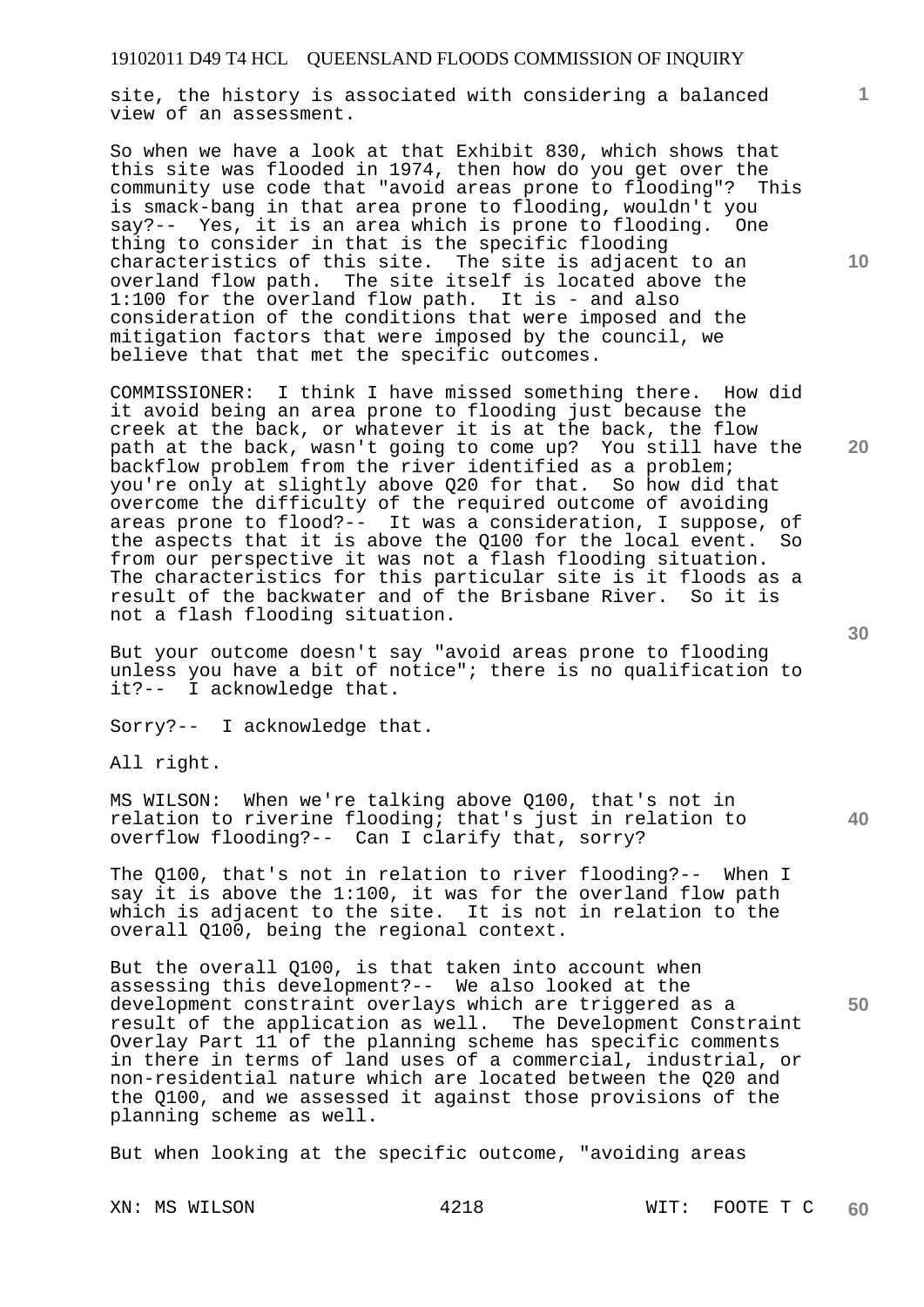site, the history is associated with considering a balanced view of an assessment.

So when we have a look at that Exhibit 830, which shows that this site was flooded in 1974, then how do you get over the community use code that "avoid areas prone to flooding"? This is smack-bang in that area prone to flooding, wouldn't you say?-- Yes, it is an area which is prone to flooding. One thing to consider in that is the specific flooding characteristics of this site. The site is adjacent to an overland flow path. The site itself is located above the 1:100 for the overland flow path. It is - and also consideration of the conditions that were imposed and the mitigation factors that were imposed by the council, we believe that that met the specific outcomes.

COMMISSIONER: I think I have missed something there. How did it avoid being an area prone to flooding just because the creek at the back, or whatever it is at the back, the flow path at the back, wasn't going to come up? You still have the backflow problem from the river identified as a problem; you're only at slightly above Q20 for that. So how did that overcome the difficulty of the required outcome of avoiding areas prone to flood?-- It was a consideration, I suppose, of the aspects that it is above the Q100 for the local event. So from our perspective it was not a flash flooding situation. The characteristics for this particular site is it floods as a result of the backwater and of the Brisbane River. So it is not a flash flooding situation.

But your outcome doesn't say "avoid areas prone to flooding unless you have a bit of notice"; there is no qualification to it?-- I acknowledge that.

Sorry?-- I acknowledge that.

All right.

MS WILSON: When we're talking above Q100, that's not in relation to riverine flooding; that's just in relation to overflow flooding?-- Can I clarify that, sorry?

The Q100, that's not in relation to river flooding?-- When I say it is above the 1:100, it was for the overland flow path which is adjacent to the site. It is not in relation to the overall Q100, being the regional context.

**50**  But the overall Q100, is that taken into account when assessing this development?-- We also looked at the development constraint overlays which are triggered as a result of the application as well. The Development Constraint Overlay Part 11 of the planning scheme has specific comments in there in terms of land uses of a commercial, industrial, or non-residential nature which are located between the Q20 and the Q100, and we assessed it against those provisions of the planning scheme as well.

But when looking at the specific outcome, "avoiding areas

**10** 

**1**

**20**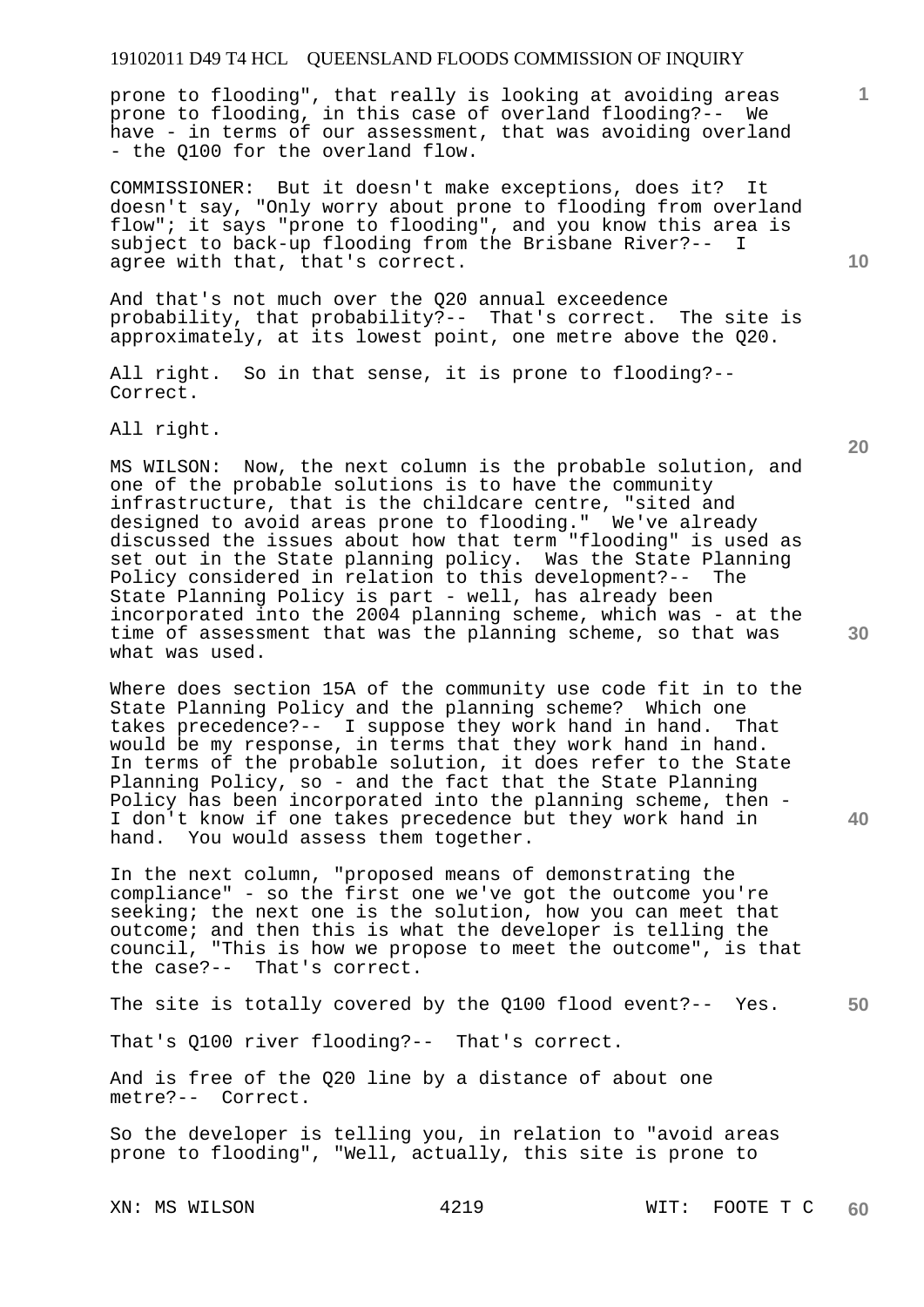prone to flooding", that really is looking at avoiding areas prone to flooding, in this case of overland flooding?-- We have - in terms of our assessment, that was avoiding overland - the Q100 for the overland flow.

COMMISSIONER: But it doesn't make exceptions, does it? It doesn't say, "Only worry about prone to flooding from overland flow"; it says "prone to flooding", and you know this area is subject to back-up flooding from the Brisbane River?-- I agree with that, that's correct.

And that's not much over the Q20 annual exceedence probability, that probability?-- That's correct. The site is approximately, at its lowest point, one metre above the Q20.

All right. So in that sense, it is prone to flooding?-- Correct.

All right.

MS WILSON: Now, the next column is the probable solution, and one of the probable solutions is to have the community infrastructure, that is the childcare centre, "sited and designed to avoid areas prone to flooding." We've already discussed the issues about how that term "flooding" is used as set out in the State planning policy. Was the State Planning Policy considered in relation to this development?-- The State Planning Policy is part - well, has already been incorporated into the 2004 planning scheme, which was - at the time of assessment that was the planning scheme, so that was what was used.

Where does section 15A of the community use code fit in to the State Planning Policy and the planning scheme? Which one takes precedence?-- I suppose they work hand in hand. That would be my response, in terms that they work hand in hand. In terms of the probable solution, it does refer to the State Planning Policy, so - and the fact that the State Planning Policy has been incorporated into the planning scheme, then - I don't know if one takes precedence but they work hand in hand. You would assess them together.

In the next column, "proposed means of demonstrating the compliance" - so the first one we've got the outcome you're seeking; the next one is the solution, how you can meet that outcome; and then this is what the developer is telling the council, "This is how we propose to meet the outcome", is that the case?-- That's correct.

**50**  The site is totally covered by the Q100 flood event?-- Yes.

That's Q100 river flooding?-- That's correct.

And is free of the Q20 line by a distance of about one metre?-- Correct.

So the developer is telling you, in relation to "avoid areas prone to flooding", "Well, actually, this site is prone to

**10** 

**1**

**20** 

**30**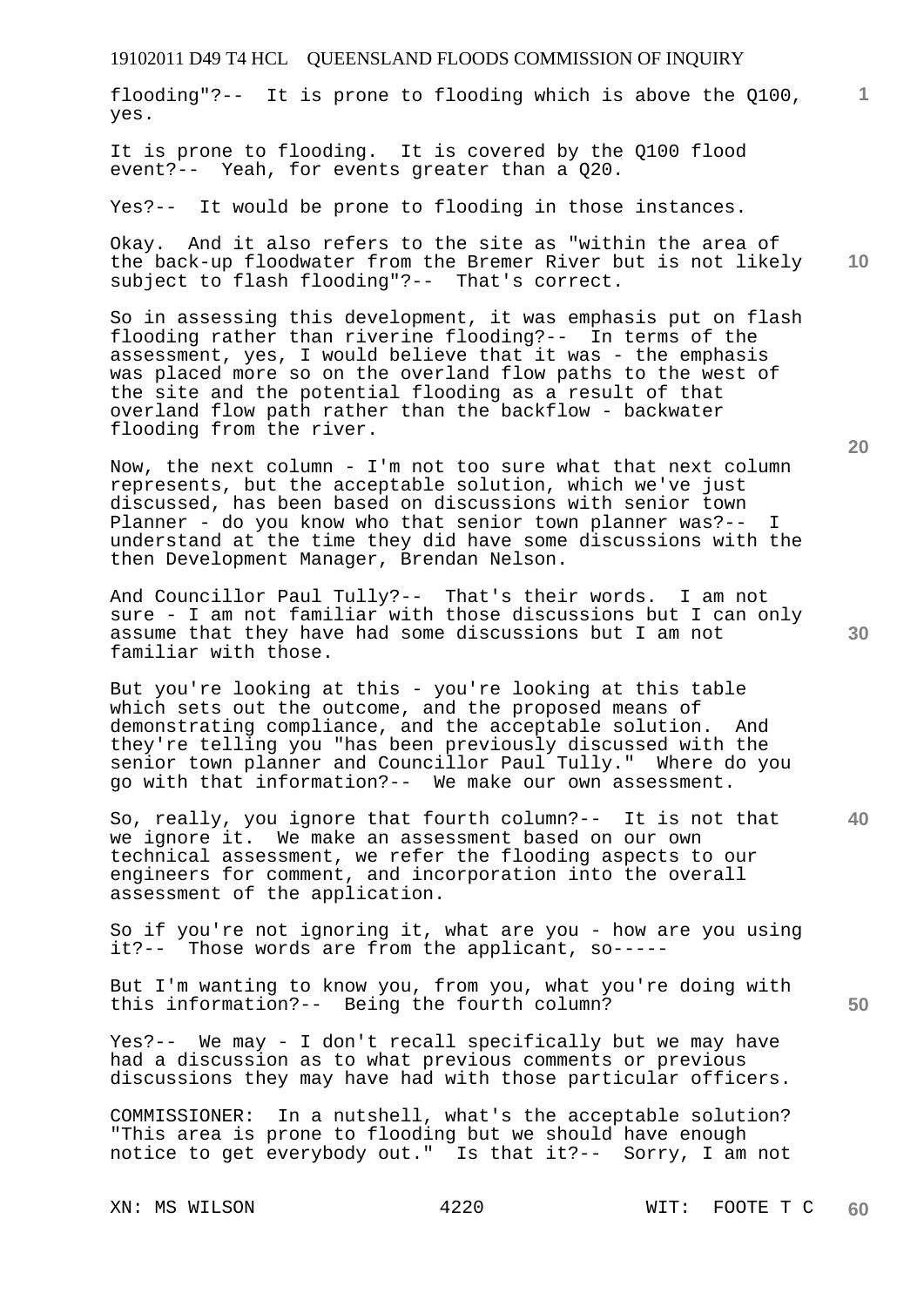flooding"?-- It is prone to flooding which is above the Q100, yes.

It is prone to flooding. It is covered by the Q100 flood event?-- Yeah, for events greater than a Q20.

Yes?-- It would be prone to flooding in those instances.

**10**  Okay. And it also refers to the site as "within the area of the back-up floodwater from the Bremer River but is not likely subject to flash flooding"?-- That's correct.

So in assessing this development, it was emphasis put on flash flooding rather than riverine flooding?-- In terms of the assessment, yes, I would believe that it was - the emphasis was placed more so on the overland flow paths to the west of the site and the potential flooding as a result of that overland flow path rather than the backflow - backwater flooding from the river.

Now, the next column - I'm not too sure what that next column represents, but the acceptable solution, which we've just discussed, has been based on discussions with senior town Planner - do you know who that senior town planner was?-- I understand at the time they did have some discussions with the then Development Manager, Brendan Nelson.

And Councillor Paul Tully?-- That's their words. I am not sure - I am not familiar with those discussions but I can only assume that they have had some discussions but I am not familiar with those.

But you're looking at this - you're looking at this table which sets out the outcome, and the proposed means of demonstrating compliance, and the acceptable solution. And they're telling you "has been previously discussed with the senior town planner and Councillor Paul Tully." Where do you go with that information?-- We make our own assessment.

**40**  So, really, you ignore that fourth column?-- It is not that we ignore it. We make an assessment based on our own technical assessment, we refer the flooding aspects to our engineers for comment, and incorporation into the overall assessment of the application.

So if you're not ignoring it, what are you - how are you using it?-- Those words are from the applicant, so-----

But I'm wanting to know you, from you, what you're doing with this information?-- Being the fourth column?

Yes?-- We may - I don't recall specifically but we may have had a discussion as to what previous comments or previous discussions they may have had with those particular officers.

COMMISSIONER: In a nutshell, what's the acceptable solution? "This area is prone to flooding but we should have enough notice to get everybody out." Is that it?-- Sorry, I am not

**20** 

**50**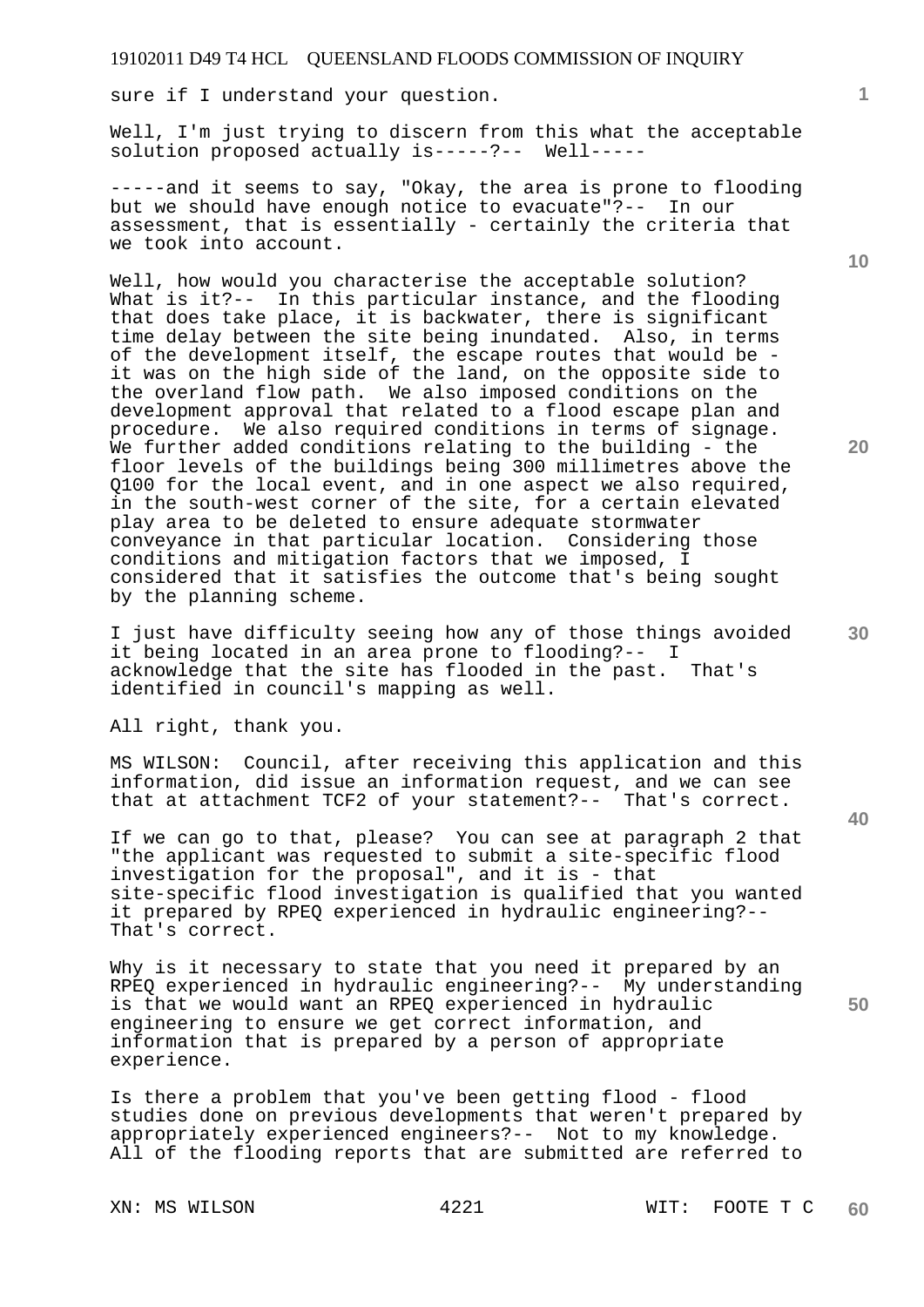sure if I understand your question.

Well, I'm just trying to discern from this what the acceptable solution proposed actually is-----?-- Well-----

-----and it seems to say, "Okay, the area is prone to flooding but we should have enough notice to evacuate"?-- In our assessment, that is essentially - certainly the criteria that we took into account.

Well, how would you characterise the acceptable solution? What is it?-- In this particular instance, and the flooding that does take place, it is backwater, there is significant time delay between the site being inundated. Also, in terms of the development itself, the escape routes that would be it was on the high side of the land, on the opposite side to the overland flow path. We also imposed conditions on the development approval that related to a flood escape plan and procedure. We also required conditions in terms of signage. We further added conditions relating to the building - the floor levels of the buildings being 300 millimetres above the Q100 for the local event, and in one aspect we also required, in the south-west corner of the site, for a certain elevated play area to be deleted to ensure adequate stormwater conveyance in that particular location. Considering those conditions and mitigation factors that we imposed, I considered that it satisfies the outcome that's being sought by the planning scheme.

I just have difficulty seeing how any of those things avoided it being located in an area prone to flooding?-- I acknowledge that the site has flooded in the past. That's identified in council's mapping as well.

All right, thank you.

MS WILSON: Council, after receiving this application and this information, did issue an information request, and we can see that at attachment TCF2 of your statement?-- That's correct.

If we can go to that, please? You can see at paragraph 2 that "the applicant was requested to submit a site-specific flood investigation for the proposal", and it is - that site-specific flood investigation is qualified that you wanted it prepared by RPEQ experienced in hydraulic engineering?-- That's correct.

Why is it necessary to state that you need it prepared by an RPEQ experienced in hydraulic engineering?-- My understanding is that we would want an RPEQ experienced in hydraulic engineering to ensure we get correct information, and information that is prepared by a person of appropriate experience.

Is there a problem that you've been getting flood - flood studies done on previous developments that weren't prepared by appropriately experienced engineers?-- Not to my knowledge. All of the flooding reports that are submitted are referred to

**10** 

**20** 

**40** 

**50**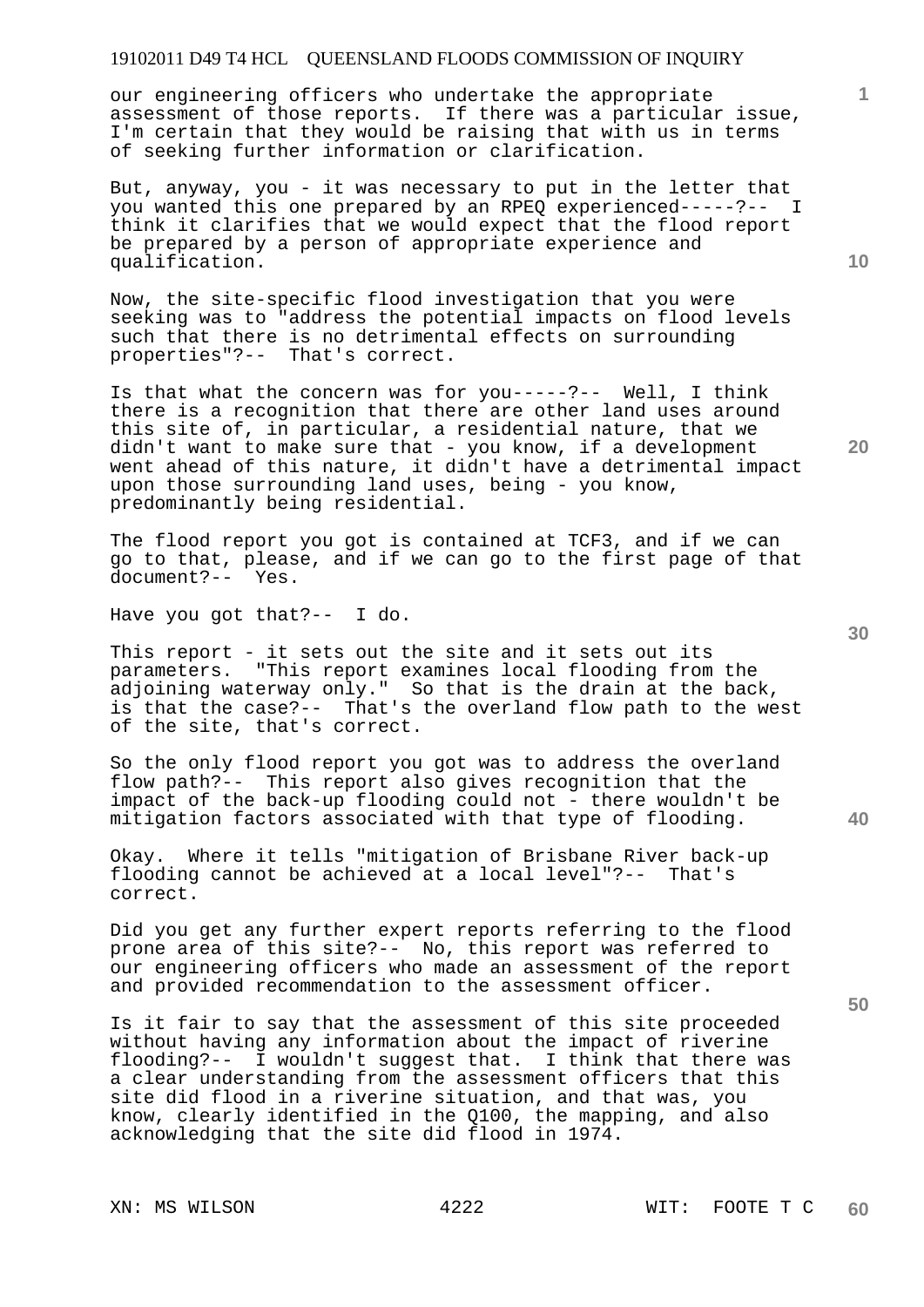our engineering officers who undertake the appropriate assessment of those reports. If there was a particular issue, I'm certain that they would be raising that with us in terms of seeking further information or clarification.

But, anyway, you - it was necessary to put in the letter that you wanted this one prepared by an RPEQ experienced-----?-- I think it clarifies that we would expect that the flood report be prepared by a person of appropriate experience and qualification.

Now, the site-specific flood investigation that you were seeking was to "address the potential impacts on flood levels such that there is no detrimental effects on surrounding properties"?-- That's correct.

Is that what the concern was for you-----?-- Well, I think there is a recognition that there are other land uses around this site of, in particular, a residential nature, that we didn't want to make sure that - you know, if a development went ahead of this nature, it didn't have a detrimental impact upon those surrounding land uses, being - you know, predominantly being residential.

The flood report you got is contained at TCF3, and if we can go to that, please, and if we can go to the first page of that document?-- Yes.

Have you got that?-- I do.

This report - it sets out the site and it sets out its parameters. "This report examines local flooding from the adjoining waterway only." So that is the drain at the back, is that the case?-- That's the overland flow path to the west of the site, that's correct.

So the only flood report you got was to address the overland flow path?-- This report also gives recognition that the impact of the back-up flooding could not - there wouldn't be mitigation factors associated with that type of flooding.

Okay. Where it tells "mitigation of Brisbane River back-up flooding cannot be achieved at a local level"?-- That's correct.

Did you get any further expert reports referring to the flood prone area of this site?-- No, this report was referred to our engineering officers who made an assessment of the report and provided recommendation to the assessment officer.

Is it fair to say that the assessment of this site proceeded without having any information about the impact of riverine flooding?-- I wouldn't suggest that. I think that there was a clear understanding from the assessment officers that this site did flood in a riverine situation, and that was, you know, clearly identified in the Q100, the mapping, and also acknowledging that the site did flood in 1974.

**10** 

**1**

**30** 

**20** 

**40**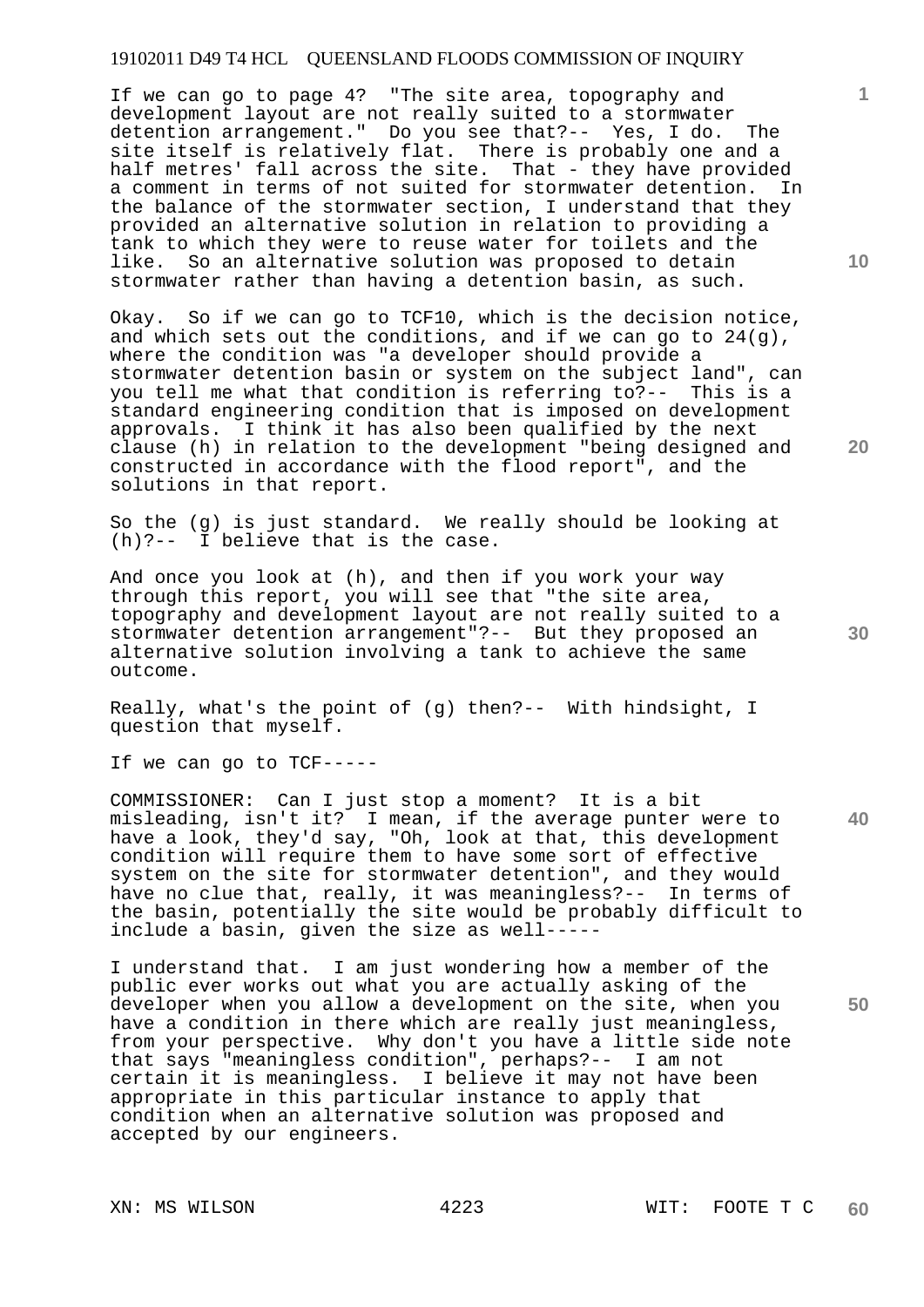If we can go to page 4? "The site area, topography and development layout are not really suited to a stormwater detention arrangement." Do you see that?-- Yes, I do. The site itself is relatively flat. There is probably one and a half metres' fall across the site. That - they have provided a comment in terms of not suited for stormwater detention. In the balance of the stormwater section, I understand that they provided an alternative solution in relation to providing a tank to which they were to reuse water for toilets and the like. So an alternative solution was proposed to detain stormwater rather than having a detention basin, as such.

Okay. So if we can go to TCF10, which is the decision notice, and which sets out the conditions, and if we can go to  $24(q)$ , where the condition was "a developer should provide a stormwater detention basin or system on the subject land", can you tell me what that condition is referring to?-- This is a standard engineering condition that is imposed on development approvals. I think it has also been qualified by the next clause (h) in relation to the development "being designed and constructed in accordance with the flood report", and the solutions in that report.

So the (g) is just standard. We really should be looking at (h)?-- I believe that is the case.

And once you look at (h), and then if you work your way through this report, you will see that "the site area, topography and development layout are not really suited to a stormwater detention arrangement"?-- But they proposed an alternative solution involving a tank to achieve the same outcome.

Really, what's the point of (g) then?-- With hindsight, I question that myself.

If we can go to TCF-----

COMMISSIONER: Can I just stop a moment? It is a bit misleading, isn't it? I mean, if the average punter were to have a look, they'd say, "Oh, look at that, this development condition will require them to have some sort of effective system on the site for stormwater detention", and they would have no clue that, really, it was meaningless?-- In terms of the basin, potentially the site would be probably difficult to include a basin, given the size as well-----

I understand that. I am just wondering how a member of the public ever works out what you are actually asking of the developer when you allow a development on the site, when you have a condition in there which are really just meaningless, from your perspective. Why don't you have a little side note that says "meaningless condition", perhaps?-- I am not certain it is meaningless. I believe it may not have been appropriate in this particular instance to apply that condition when an alternative solution was proposed and accepted by our engineers.

**20** 

**10** 

**1**

**30** 

**40**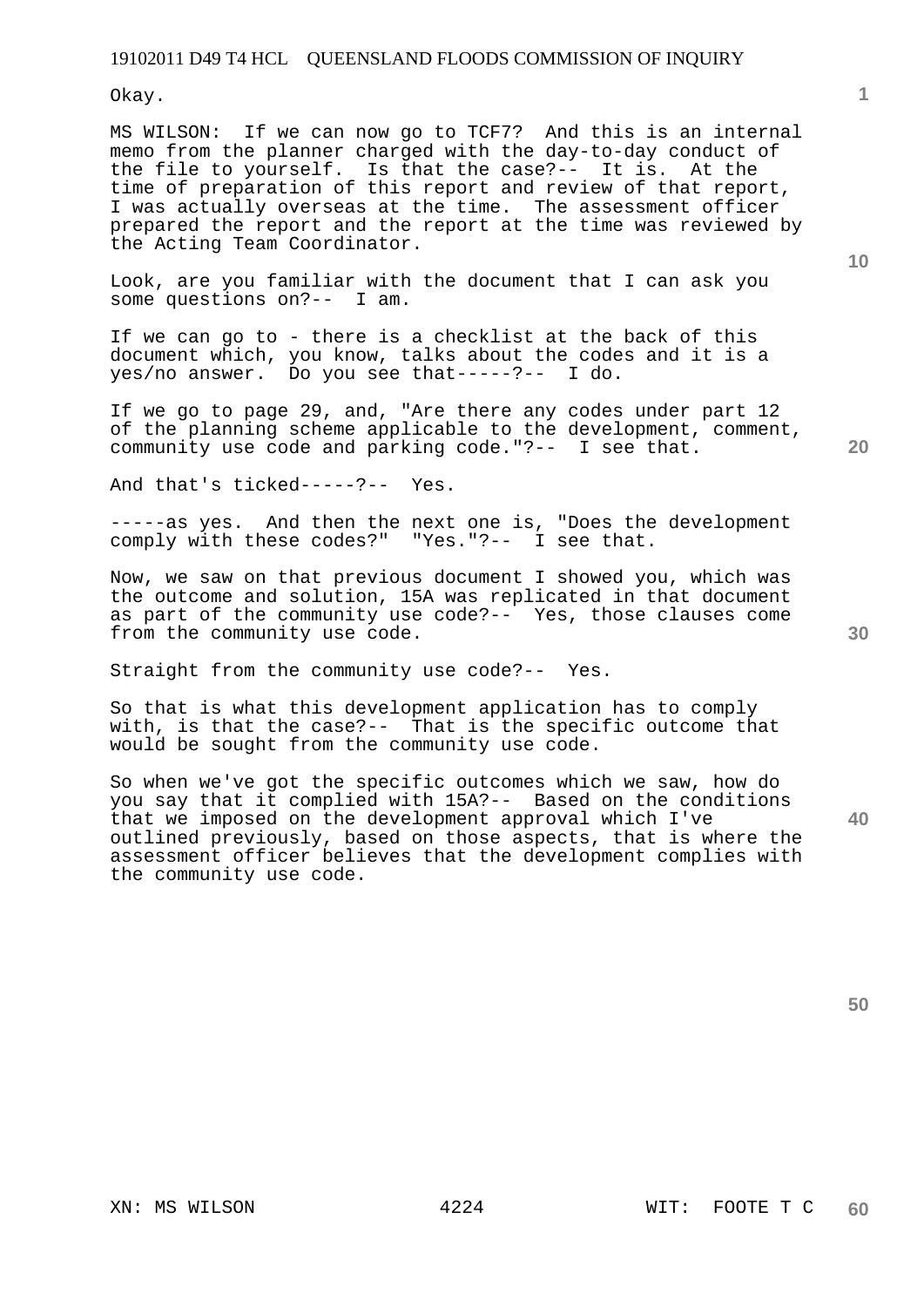Okay.

MS WILSON: If we can now go to TCF7? And this is an internal memo from the planner charged with the day-to-day conduct of the file to yourself. Is that the case?-- It is. At the time of preparation of this report and review of that report, I was actually overseas at the time. The assessment officer prepared the report and the report at the time was reviewed by the Acting Team Coordinator.

Look, are you familiar with the document that I can ask you some questions on?-- I am.

If we can go to - there is a checklist at the back of this document which, you know, talks about the codes and it is a yes/no answer. Do you see that-----?-- I do.

If we go to page 29, and, "Are there any codes under part 12 of the planning scheme applicable to the development, comment, community use code and parking code."?-- I see that.

And that's ticked-----?-- Yes.

-----as yes. And then the next one is, "Does the development comply with these codes?" "Yes."?-- I see that.

Now, we saw on that previous document I showed you, which was the outcome and solution, 15A was replicated in that document as part of the community use code?-- Yes, those clauses come from the community use code.

Straight from the community use code?-- Yes.

So that is what this development application has to comply with, is that the case?-- That is the specific outcome that would be sought from the community use code.

**40**  So when we've got the specific outcomes which we saw, how do you say that it complied with 15A?-- Based on the conditions that we imposed on the development approval which I've outlined previously, based on those aspects, that is where the assessment officer believes that the development complies with the community use code.

**30** 

**50** 

**1**

**20**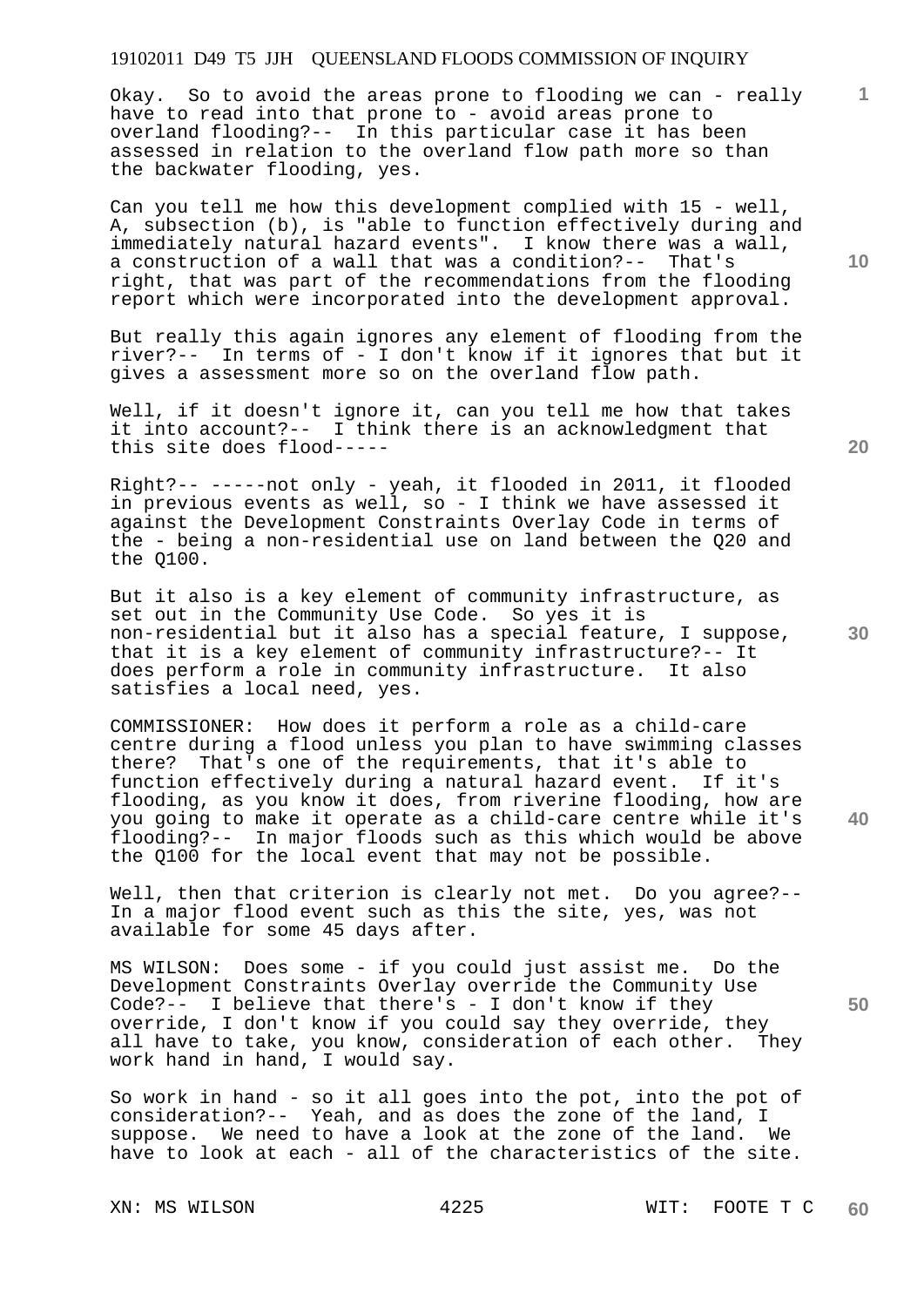Okay. So to avoid the areas prone to flooding we can - really have to read into that prone to - avoid areas prone to overland flooding?-- In this particular case it has been assessed in relation to the overland flow path more so than the backwater flooding, yes.

Can you tell me how this development complied with 15 - well, A, subsection (b), is "able to function effectively during and immediately natural hazard events". I know there was a wall, a construction of a wall that was a condition?-- That's right, that was part of the recommendations from the flooding report which were incorporated into the development approval.

But really this again ignores any element of flooding from the river?-- In terms of - I don't know if it ignores that but it gives a assessment more so on the overland flow path.

Well, if it doesn't ignore it, can you tell me how that takes it into account?-- I think there is an acknowledgment that this site does flood-----

Right?-- -----not only - yeah, it flooded in 2011, it flooded in previous events as well, so - I think we have assessed it against the Development Constraints Overlay Code in terms of the - being a non-residential use on land between the Q20 and the Q100.

But it also is a key element of community infrastructure, as set out in the Community Use Code. So yes it is non-residential but it also has a special feature, I suppose, that it is a key element of community infrastructure?-- It does perform a role in community infrastructure. It also satisfies a local need, yes.

COMMISSIONER: How does it perform a role as a child-care centre during a flood unless you plan to have swimming classes there? That's one of the requirements, that it's able to function effectively during a natural hazard event. If it's flooding, as you know it does, from riverine flooding, how are you going to make it operate as a child-care centre while it's flooding?-- In major floods such as this which would be above the Q100 for the local event that may not be possible.

Well, then that criterion is clearly not met. Do you agree?--In a major flood event such as this the site, yes, was not available for some 45 days after.

MS WILSON: Does some - if you could just assist me. Do the Development Constraints Overlay override the Community Use Code?-- I believe that there's - I don't know if they override, I don't know if you could say they override, they all have to take, you know, consideration of each other. They work hand in hand, I would say.

So work in hand - so it all goes into the pot, into the pot of consideration?-- Yeah, and as does the zone of the land, I suppose. We need to have a look at the zone of the land. We have to look at each - all of the characteristics of the site.

**10** 

**20** 

**1**

**30** 

**40**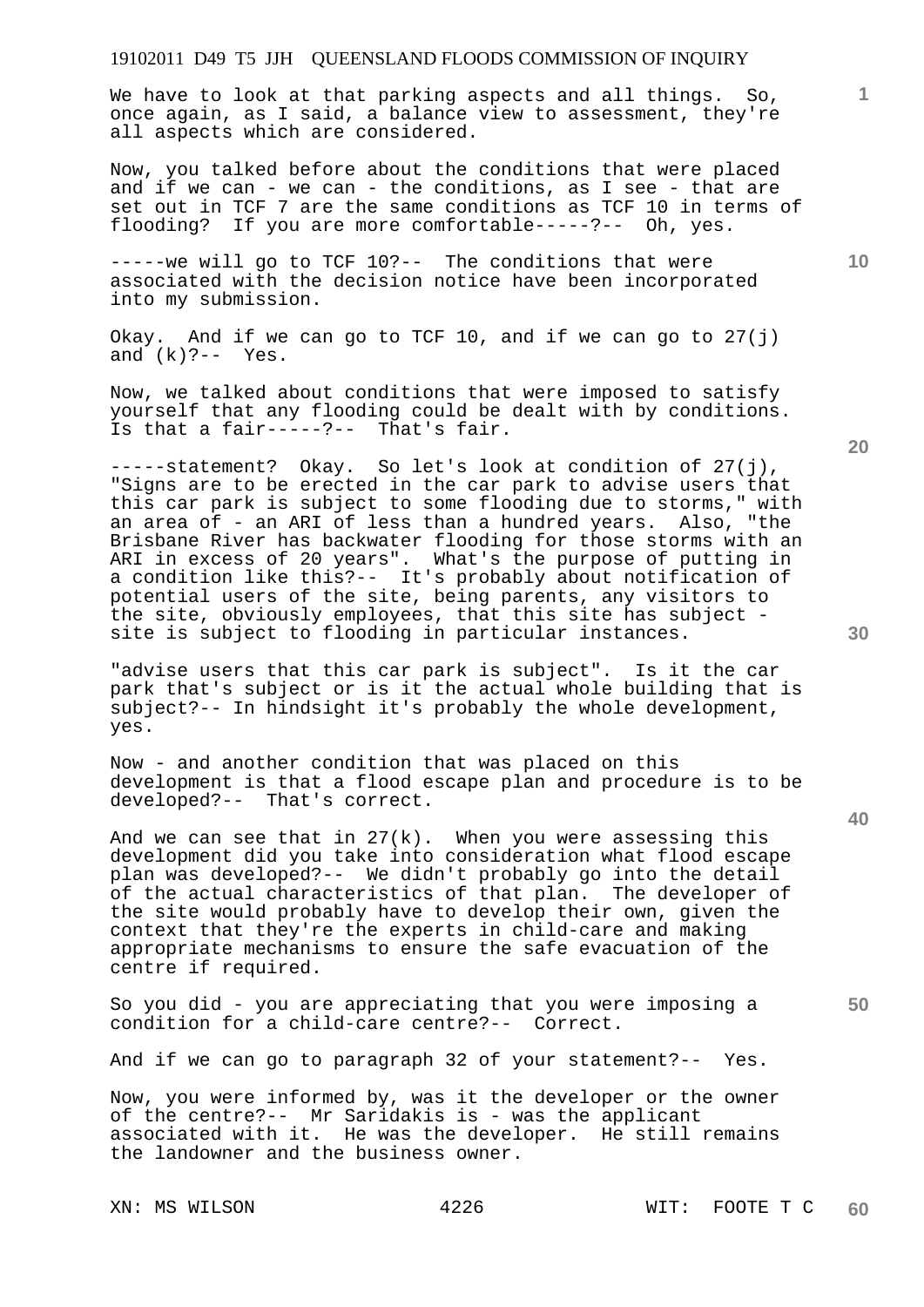We have to look at that parking aspects and all things. So, once again, as I said, a balance view to assessment, they're all aspects which are considered.

Now, you talked before about the conditions that were placed and if we can - we can - the conditions, as I see - that are set out in TCF 7 are the same conditions as TCF 10 in terms of flooding? If you are more comfortable-----?-- Oh, yes.

-----we will go to TCF 10?-- The conditions that were associated with the decision notice have been incorporated into my submission.

Okay. And if we can go to TCF 10, and if we can go to  $27(i)$ and  $(k)$  ? - - Yes.

Now, we talked about conditions that were imposed to satisfy yourself that any flooding could be dealt with by conditions. Is that a fair-----?-- That's fair.

-----statement? Okay. So let's look at condition of 27(j), "Signs are to be erected in the car park to advise users that this car park is subject to some flooding due to storms," with an area of - an ARI of less than a hundred years. Also, "the Brisbane River has backwater flooding for those storms with an ARI in excess of 20 years". What's the purpose of putting in a condition like this?-- It's probably about notification of potential users of the site, being parents, any visitors to the site, obviously employees, that this site has subject site is subject to flooding in particular instances.

"advise users that this car park is subject". Is it the car park that's subject or is it the actual whole building that is subject?-- In hindsight it's probably the whole development, yes.

Now - and another condition that was placed on this development is that a flood escape plan and procedure is to be developed?-- That's correct.

And we can see that in  $27(k)$ . When you were assessing this development did you take into consideration what flood escape plan was developed?-- We didn't probably go into the detail of the actual characteristics of that plan. The developer of the site would probably have to develop their own, given the context that they're the experts in child-care and making appropriate mechanisms to ensure the safe evacuation of the centre if required.

So you did - you are appreciating that you were imposing a condition for a child-care centre?-- Correct.

And if we can go to paragraph 32 of your statement?-- Yes.

Now, you were informed by, was it the developer or the owner of the centre?-- Mr Saridakis is - was the applicant associated with it. He was the developer. He still remains the landowner and the business owner.

**20** 

**40** 

**50** 

**30** 

**10**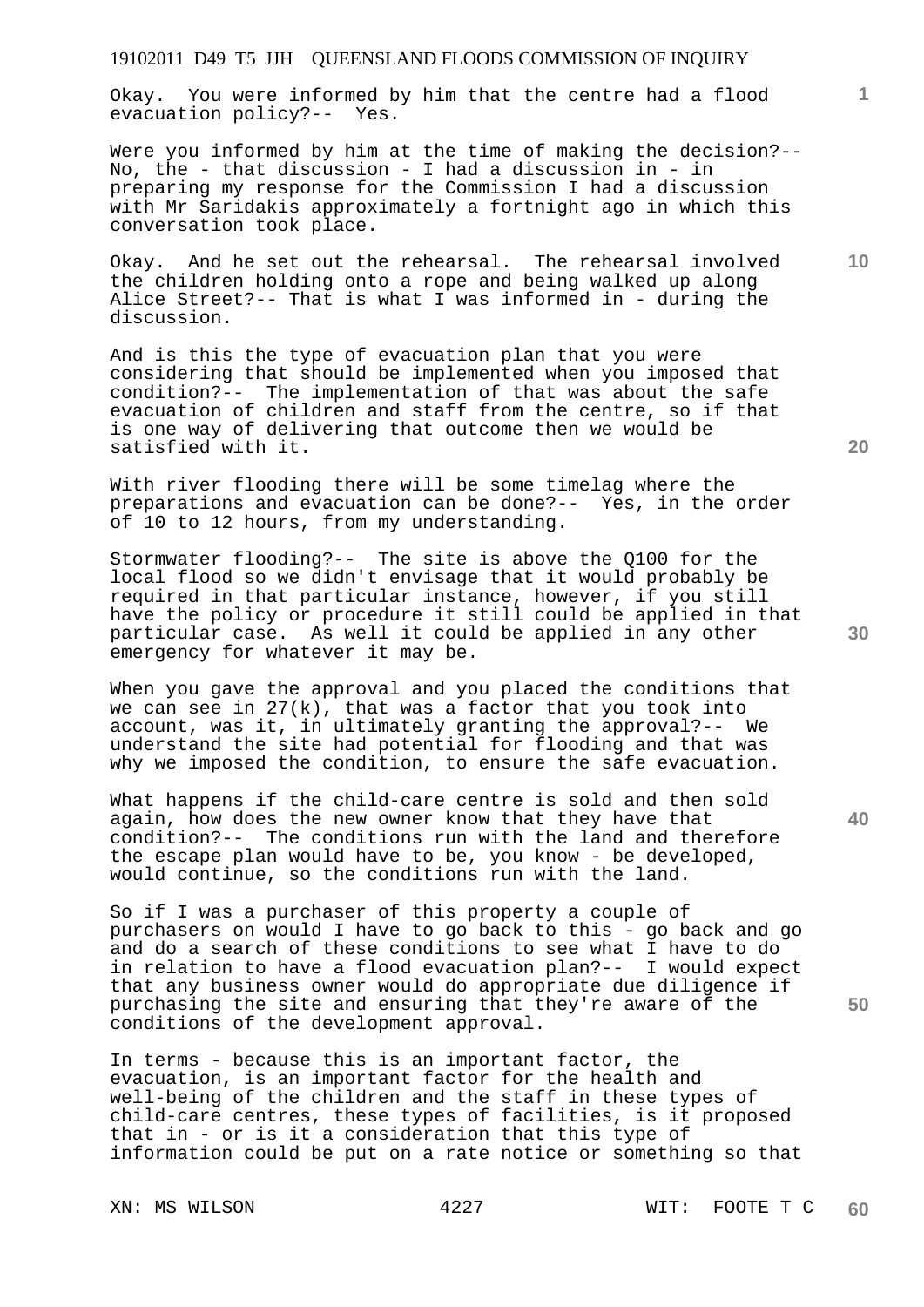Okay. You were informed by him that the centre had a flood evacuation policy?-- Yes.

Were you informed by him at the time of making the decision?-- No, the - that discussion - I had a discussion in - in preparing my response for the Commission I had a discussion with Mr Saridakis approximately a fortnight ago in which this conversation took place.

Okay. And he set out the rehearsal. The rehearsal involved the children holding onto a rope and being walked up along Alice Street?-- That is what I was informed in - during the discussion.

And is this the type of evacuation plan that you were considering that should be implemented when you imposed that condition?-- The implementation of that was about the safe evacuation of children and staff from the centre, so if that is one way of delivering that outcome then we would be satisfied with it.

With river flooding there will be some timelag where the preparations and evacuation can be done?-- Yes, in the order of 10 to 12 hours, from my understanding.

Stormwater flooding?-- The site is above the Q100 for the local flood so we didn't envisage that it would probably be required in that particular instance, however, if you still have the policy or procedure it still could be applied in that particular case. As well it could be applied in any other emergency for whatever it may be.

When you gave the approval and you placed the conditions that we can see in  $27(k)$ , that was a factor that you took into account, was it, in ultimately granting the approval?-- We understand the site had potential for flooding and that was why we imposed the condition, to ensure the safe evacuation.

What happens if the child-care centre is sold and then sold again, how does the new owner know that they have that condition?-- The conditions run with the land and therefore the escape plan would have to be, you know - be developed, would continue, so the conditions run with the land.

So if I was a purchaser of this property a couple of purchasers on would I have to go back to this - go back and go and do a search of these conditions to see what I have to do in relation to have a flood evacuation plan?-- I would expect that any business owner would do appropriate due diligence if purchasing the site and ensuring that they're aware of the conditions of the development approval.

In terms - because this is an important factor, the evacuation, is an important factor for the health and well-being of the children and the staff in these types of child-care centres, these types of facilities, is it proposed that in - or is it a consideration that this type of information could be put on a rate notice or something so that

**20** 

**10** 

**1**

**40**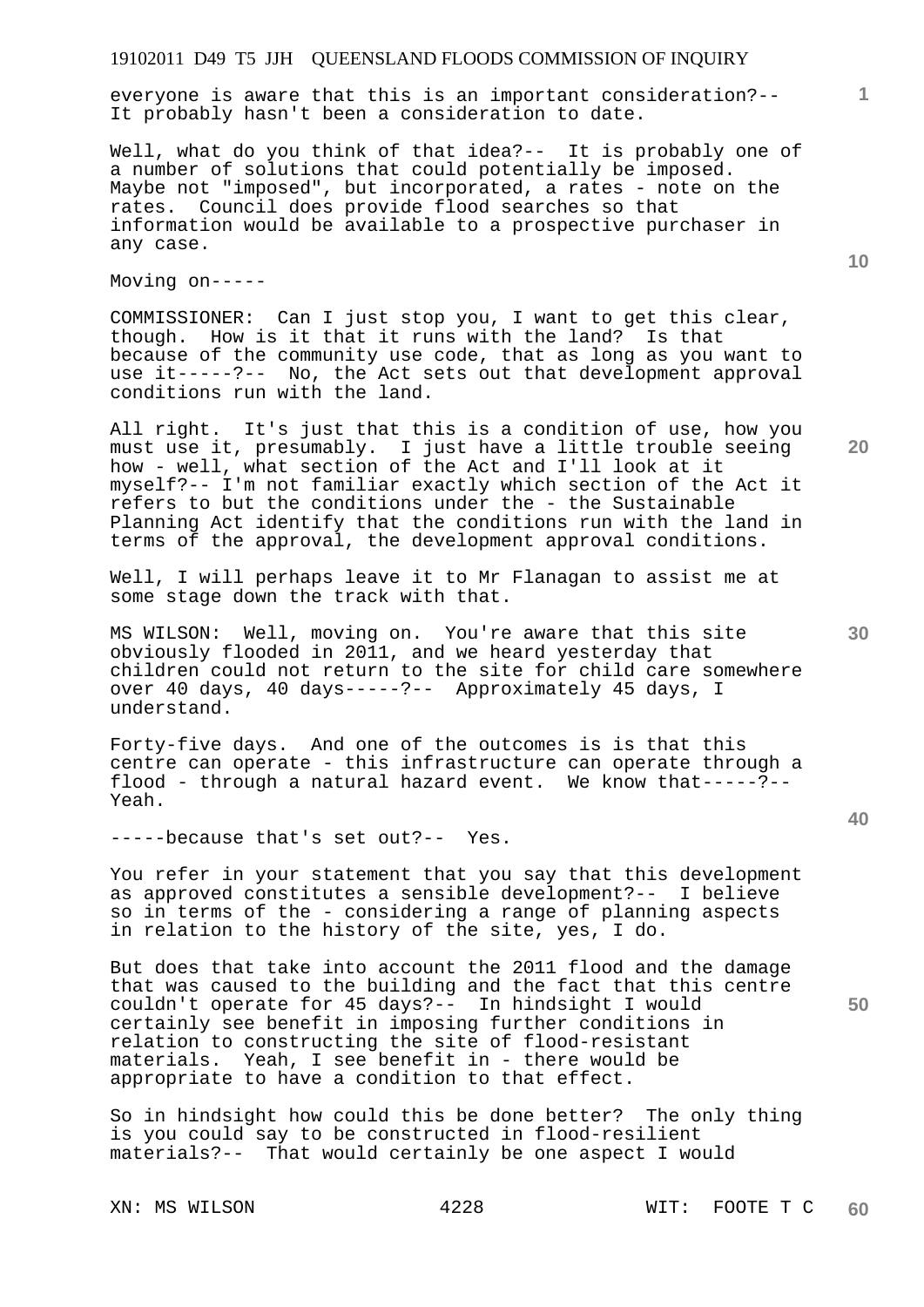everyone is aware that this is an important consideration?-- It probably hasn't been a consideration to date.

Well, what do you think of that idea?-- It is probably one of a number of solutions that could potentially be imposed. Maybe not "imposed", but incorporated, a rates - note on the rates. Council does provide flood searches so that information would be available to a prospective purchaser in any case.

Moving on-----

COMMISSIONER: Can I just stop you, I want to get this clear, though. How is it that it runs with the land? Is that because of the community use code, that as long as you want to use it-----?-- No, the Act sets out that development approval conditions run with the land.

All right. It's just that this is a condition of use, how you must use it, presumably. I just have a little trouble seeing how - well, what section of the Act and I'll look at it myself?-- I'm not familiar exactly which section of the Act it refers to but the conditions under the - the Sustainable Planning Act identify that the conditions run with the land in terms of the approval, the development approval conditions.

Well, I will perhaps leave it to Mr Flanagan to assist me at some stage down the track with that.

MS WILSON: Well, moving on. You're aware that this site obviously flooded in 2011, and we heard yesterday that children could not return to the site for child care somewhere over 40 days, 40 days-----?-- Approximately 45 days, I understand.

Forty-five days. And one of the outcomes is is that this centre can operate - this infrastructure can operate through a flood - through a natural hazard event. We know that-----?-- Yeah.

-----because that's set out?-- Yes.

You refer in your statement that you say that this development as approved constitutes a sensible development?-- I believe so in terms of the - considering a range of planning aspects in relation to the history of the site, yes, I do.

But does that take into account the 2011 flood and the damage that was caused to the building and the fact that this centre couldn't operate for 45 days?-- In hindsight I would certainly see benefit in imposing further conditions in relation to constructing the site of flood-resistant<br>materials. Yeah, I see benefit in - there would be Yeah, I see benefit in - there would be appropriate to have a condition to that effect.

So in hindsight how could this be done better? The only thing is you could say to be constructed in flood-resilient materials?-- That would certainly be one aspect I would

**10** 

**20** 

**1**

**30** 

**40**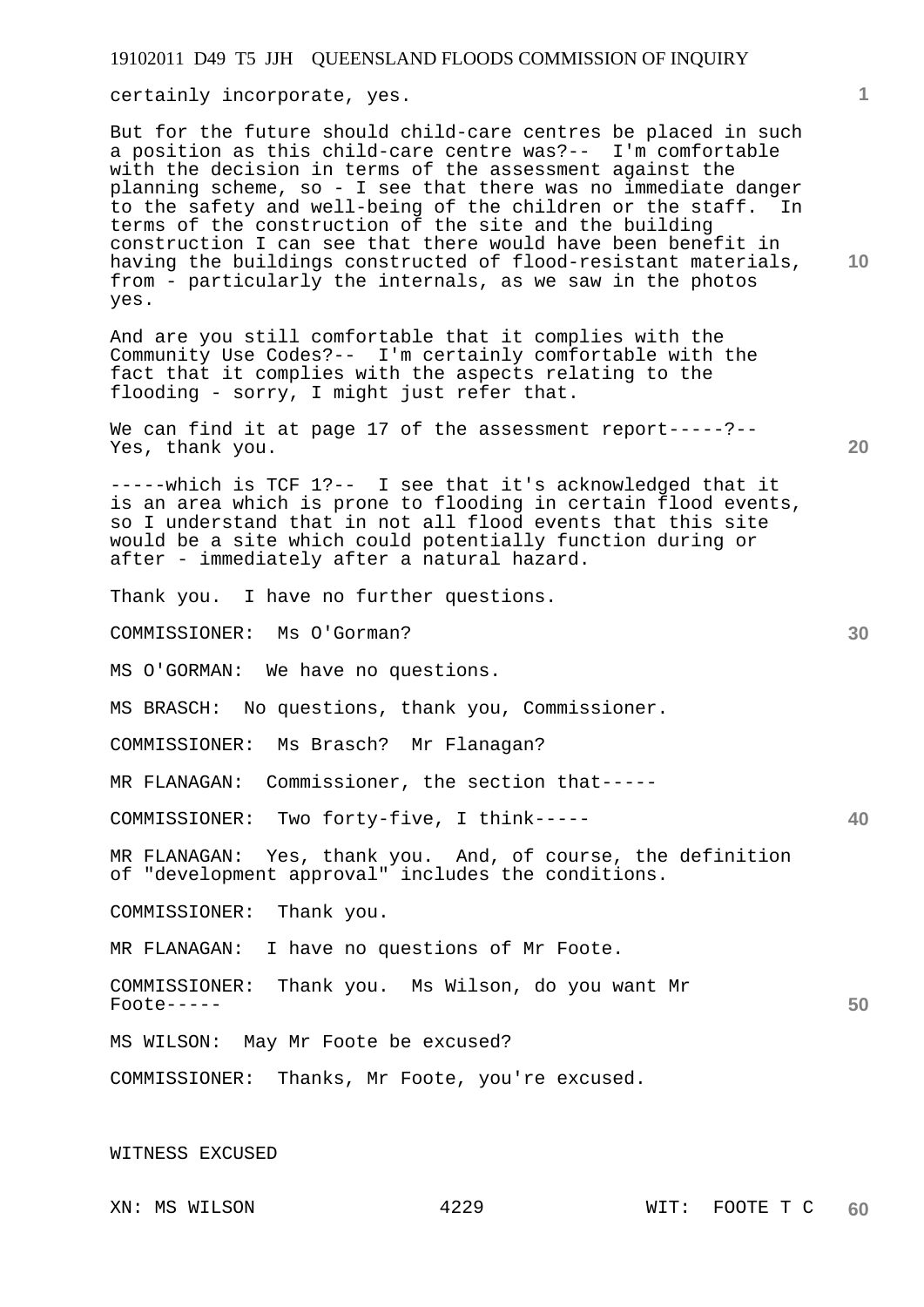certainly incorporate, yes.

But for the future should child-care centres be placed in such a position as this child-care centre was?-- I'm comfortable with the decision in terms of the assessment against the planning scheme, so - I see that there was no immediate danger to the safety and well-being of the children or the staff. In terms of the construction of the site and the building construction I can see that there would have been benefit in having the buildings constructed of flood-resistant materials, from - particularly the internals, as we saw in the photos yes.

And are you still comfortable that it complies with the Community Use Codes?-- I'm certainly comfortable with the fact that it complies with the aspects relating to the flooding - sorry, I might just refer that.

We can find it at page 17 of the assessment report-----?--Yes, thank you.

-----which is TCF 1?-- I see that it's acknowledged that it is an area which is prone to flooding in certain flood events, so I understand that in not all flood events that this site would be a site which could potentially function during or after - immediately after a natural hazard.

Thank you. I have no further questions.

COMMISSIONER: Ms O'Gorman?

MS O'GORMAN: We have no questions.

MS BRASCH: No questions, thank you, Commissioner.

COMMISSIONER: Ms Brasch? Mr Flanagan?

MR FLANAGAN: Commissioner, the section that-----

COMMISSIONER: Two forty-five, I think-----

MR FLANAGAN: Yes, thank you. And, of course, the definition of "development approval" includes the conditions.

COMMISSIONER: Thank you.

MR FLANAGAN: I have no questions of Mr Foote.

COMMISSIONER: Thank you. Ms Wilson, do you want Mr Foote-----

MS WILSON: May Mr Foote be excused?

COMMISSIONER: Thanks, Mr Foote, you're excused.

WITNESS EXCUSED

**1**

**10** 

**20** 

**30** 

**40**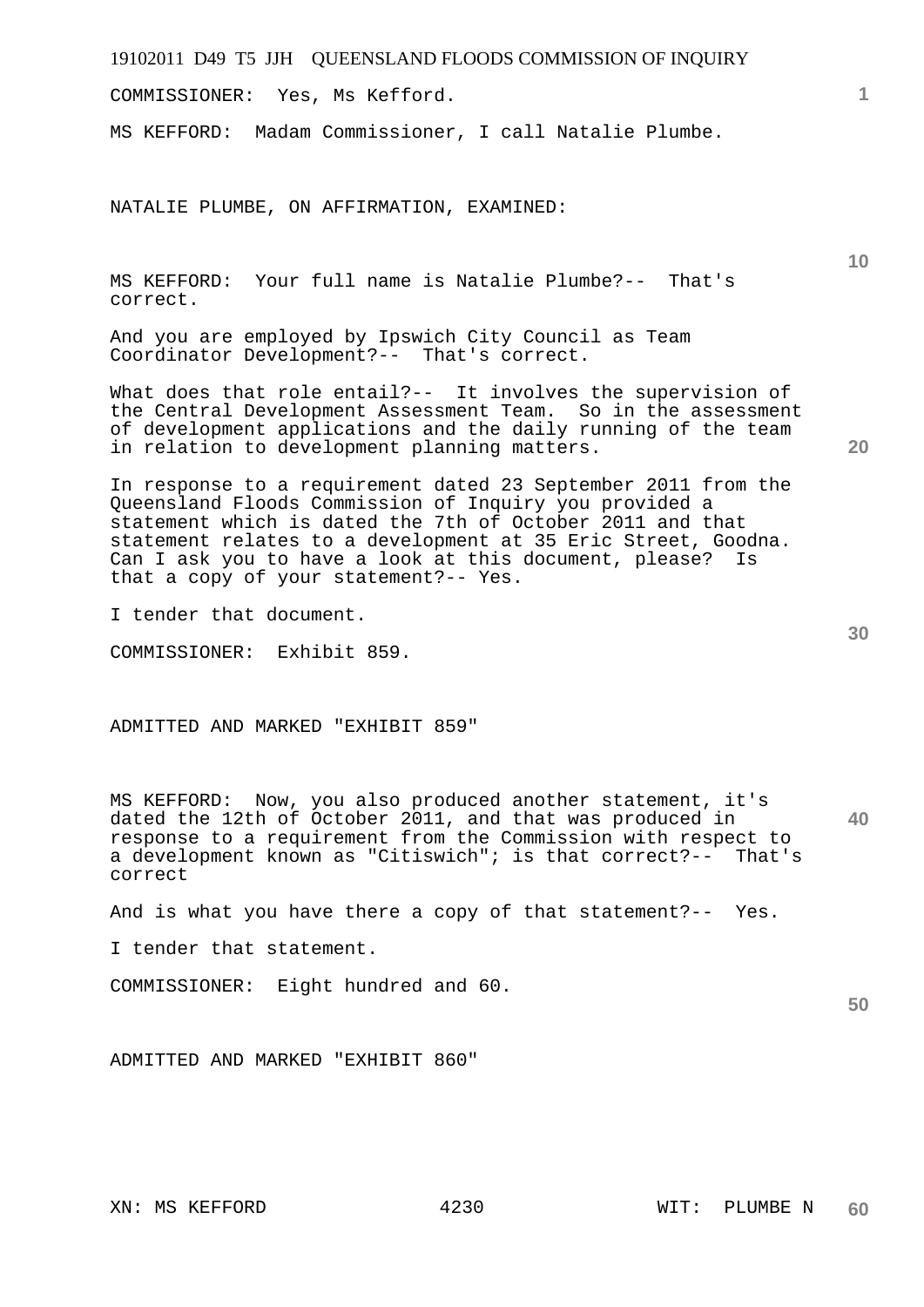COMMISSIONER: Yes, Ms Kefford.

MS KEFFORD: Madam Commissioner, I call Natalie Plumbe.

NATALIE PLUMBE, ON AFFIRMATION, EXAMINED:

MS KEFFORD: Your full name is Natalie Plumbe?-- That's correct.

And you are employed by Ipswich City Council as Team Coordinator Development?-- That's correct.

What does that role entail?-- It involves the supervision of the Central Development Assessment Team. So in the assessment of development applications and the daily running of the team in relation to development planning matters.

In response to a requirement dated 23 September 2011 from the Queensland Floods Commission of Inquiry you provided a statement which is dated the 7th of October 2011 and that statement relates to a development at 35 Eric Street, Goodna. Can I ask you to have a look at this document, please? Is that a copy of your statement?-- Yes.

I tender that document.

COMMISSIONER: Exhibit 859.

ADMITTED AND MARKED "EXHIBIT 859"

**40**  MS KEFFORD: Now, you also produced another statement, it's dated the 12th of October 2011, and that was produced in response to a requirement from the Commission with respect to a development known as "Citiswich"; is that correct?-- That's correct

And is what you have there a copy of that statement?-- Yes.

I tender that statement.

COMMISSIONER: Eight hundred and 60.

**50** 

ADMITTED AND MARKED "EXHIBIT 860"

**10** 

**1**

**30**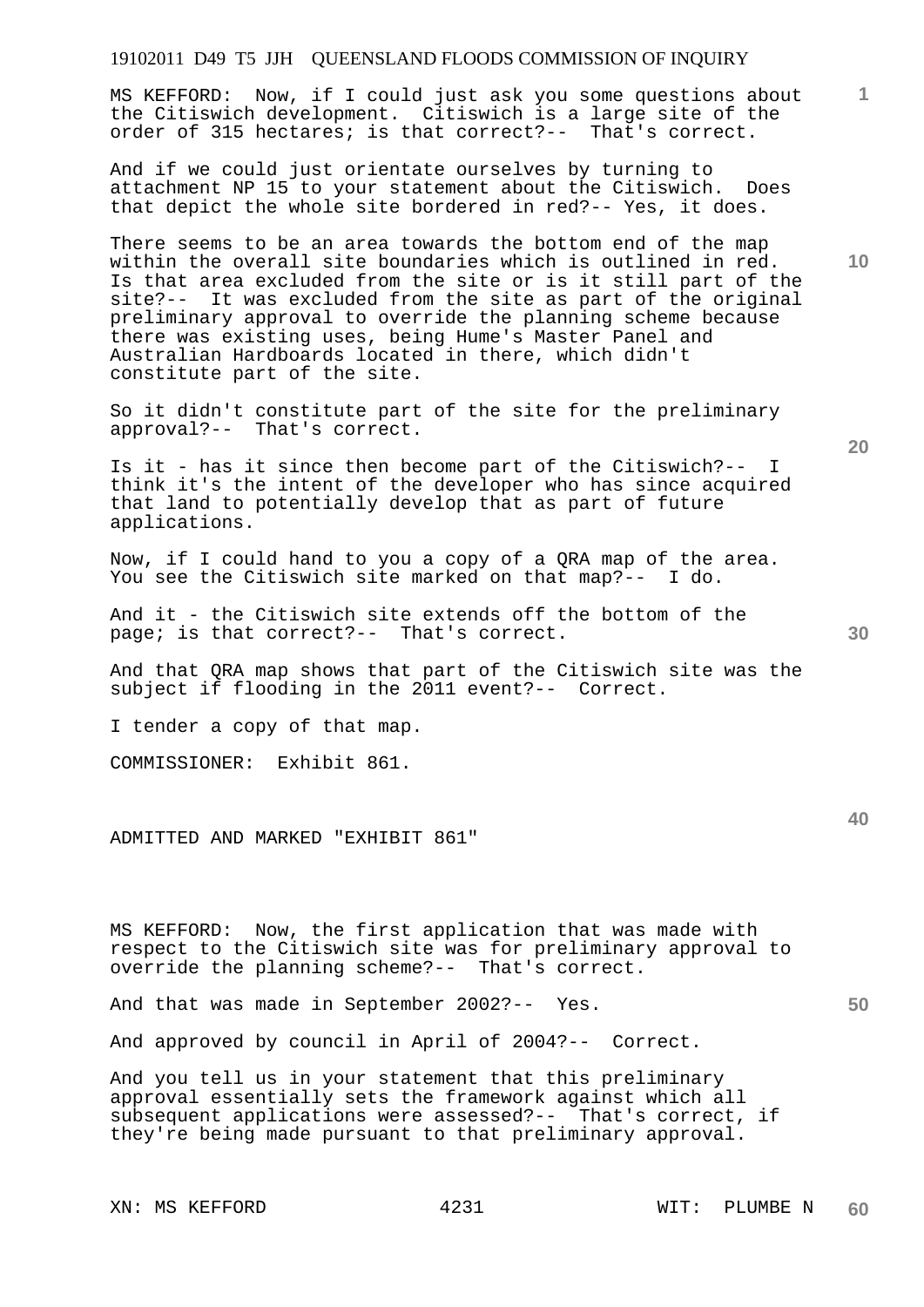MS KEFFORD: Now, if I could just ask you some questions about the Citiswich development. Citiswich is a large site of the order of 315 hectares; is that correct?-- That's correct.

And if we could just orientate ourselves by turning to attachment NP 15 to your statement about the Citiswich. Does that depict the whole site bordered in red?-- Yes, it does.

There seems to be an area towards the bottom end of the map within the overall site boundaries which is outlined in red. Is that area excluded from the site or is it still part of the site?-- It was excluded from the site as part of the original preliminary approval to override the planning scheme because there was existing uses, being Hume's Master Panel and Australian Hardboards located in there, which didn't constitute part of the site.

So it didn't constitute part of the site for the preliminary approval?-- That's correct.

Is it - has it since then become part of the Citiswich?-- I think it's the intent of the developer who has since acquired that land to potentially develop that as part of future applications.

Now, if I could hand to you a copy of a QRA map of the area. You see the Citiswich site marked on that map?-- I do.

And it - the Citiswich site extends off the bottom of the page; is that correct?-- That's correct.

And that QRA map shows that part of the Citiswich site was the subject if flooding in the 2011 event?-- Correct.

I tender a copy of that map.

COMMISSIONER: Exhibit 861.

ADMITTED AND MARKED "EXHIBIT 861"

MS KEFFORD: Now, the first application that was made with respect to the Citiswich site was for preliminary approval to override the planning scheme?-- That's correct.

And that was made in September 2002?-- Yes.

And approved by council in April of 2004?-- Correct.

And you tell us in your statement that this preliminary approval essentially sets the framework against which all subsequent applications were assessed?-- That's correct, if they're being made pursuant to that preliminary approval.

XN: MS KEFFORD 4231 WIT: PLUMBE N

**10** 

**20** 

**1**

**30**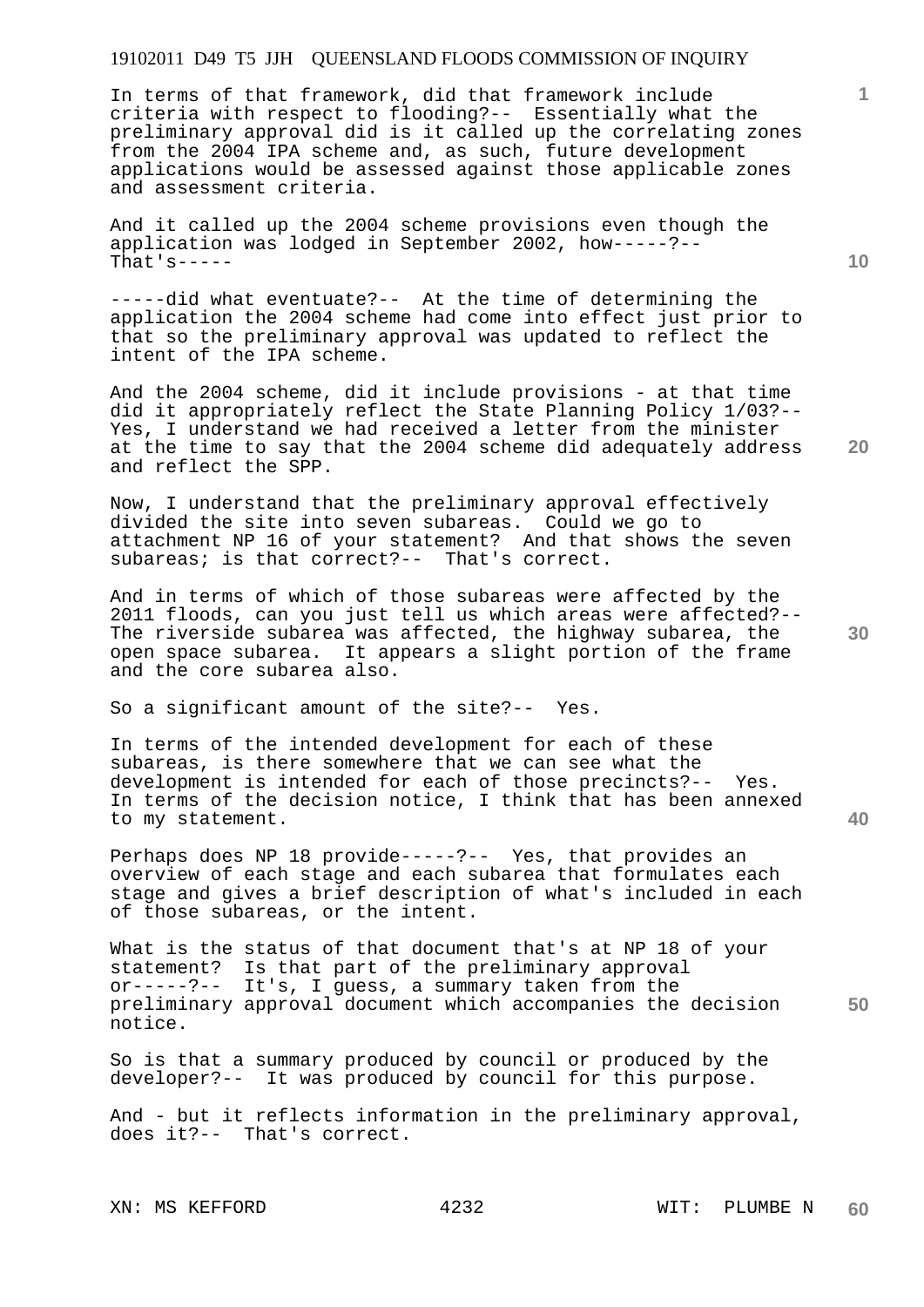In terms of that framework, did that framework include criteria with respect to flooding?-- Essentially what the preliminary approval did is it called up the correlating zones from the 2004 IPA scheme and, as such, future development applications would be assessed against those applicable zones and assessment criteria.

And it called up the 2004 scheme provisions even though the application was lodged in September 2002, how-----?-- That's-----

-----did what eventuate?-- At the time of determining the application the 2004 scheme had come into effect just prior to that so the preliminary approval was updated to reflect the intent of the IPA scheme.

And the 2004 scheme, did it include provisions - at that time did it appropriately reflect the State Planning Policy 1/03?-- Yes, I understand we had received a letter from the minister at the time to say that the 2004 scheme did adequately address and reflect the SPP.

Now, I understand that the preliminary approval effectively divided the site into seven subareas. Could we go to attachment NP 16 of your statement? And that shows the seven subareas; is that correct?-- That's correct.

And in terms of which of those subareas were affected by the 2011 floods, can you just tell us which areas were affected?-- The riverside subarea was affected, the highway subarea, the open space subarea. It appears a slight portion of the frame and the core subarea also.

So a significant amount of the site?-- Yes.

In terms of the intended development for each of these subareas, is there somewhere that we can see what the development is intended for each of those precincts?-- Yes. In terms of the decision notice, I think that has been annexed to my statement.

Perhaps does NP 18 provide-----?-- Yes, that provides an overview of each stage and each subarea that formulates each stage and gives a brief description of what's included in each of those subareas, or the intent.

**50**  What is the status of that document that's at NP 18 of your statement? Is that part of the preliminary approval or-----?-- It's, I guess, a summary taken from the preliminary approval document which accompanies the decision notice.

So is that a summary produced by council or produced by the developer?-- It was produced by council for this purpose.

And - but it reflects information in the preliminary approval, does it?-- That's correct.

**10** 

**1**

**20** 

**30**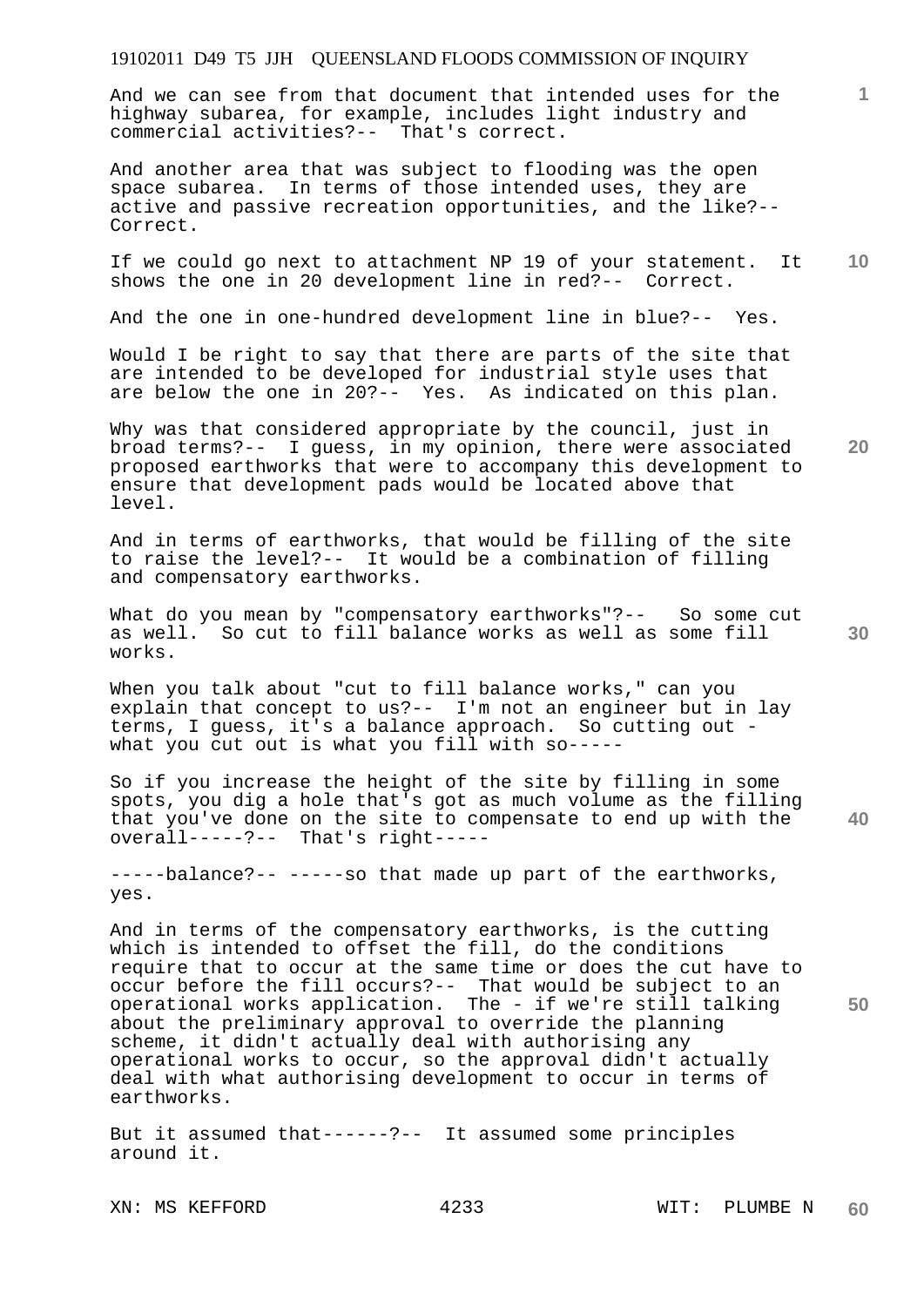And we can see from that document that intended uses for the highway subarea, for example, includes light industry and commercial activities?-- That's correct.

And another area that was subject to flooding was the open space subarea. In terms of those intended uses, they are active and passive recreation opportunities, and the like?-- Correct.

**10**  If we could go next to attachment NP 19 of your statement. It shows the one in 20 development line in red?-- Correct.

And the one in one-hundred development line in blue?-- Yes.

Would I be right to say that there are parts of the site that are intended to be developed for industrial style uses that are below the one in 20?-- Yes. As indicated on this plan.

Why was that considered appropriate by the council, just in broad terms?-- I guess, in my opinion, there were associated proposed earthworks that were to accompany this development to ensure that development pads would be located above that level.

And in terms of earthworks, that would be filling of the site to raise the level?-- It would be a combination of filling and compensatory earthworks.

What do you mean by "compensatory earthworks"?-- So some cut as well. So cut to fill balance works as well as some fill works.

When you talk about "cut to fill balance works," can you explain that concept to us?-- I'm not an engineer but in lay terms, I guess, it's a balance approach. So cutting out what you cut out is what you fill with so-----

**40**  So if you increase the height of the site by filling in some spots, you dig a hole that's got as much volume as the filling that you've done on the site to compensate to end up with the overall-----?-- That's right-----

-----balance?-- -----so that made up part of the earthworks, yes.

And in terms of the compensatory earthworks, is the cutting which is intended to offset the fill, do the conditions require that to occur at the same time or does the cut have to occur before the fill occurs?-- That would be subject to an operational works application. The - if we're still talking about the preliminary approval to override the planning scheme, it didn't actually deal with authorising any operational works to occur, so the approval didn't actually deal with what authorising development to occur in terms of earthworks.

But it assumed that------?-- It assumed some principles around it.

XN: MS KEFFORD 4233 WIT: PLUMBE N

**20** 

**1**

**30**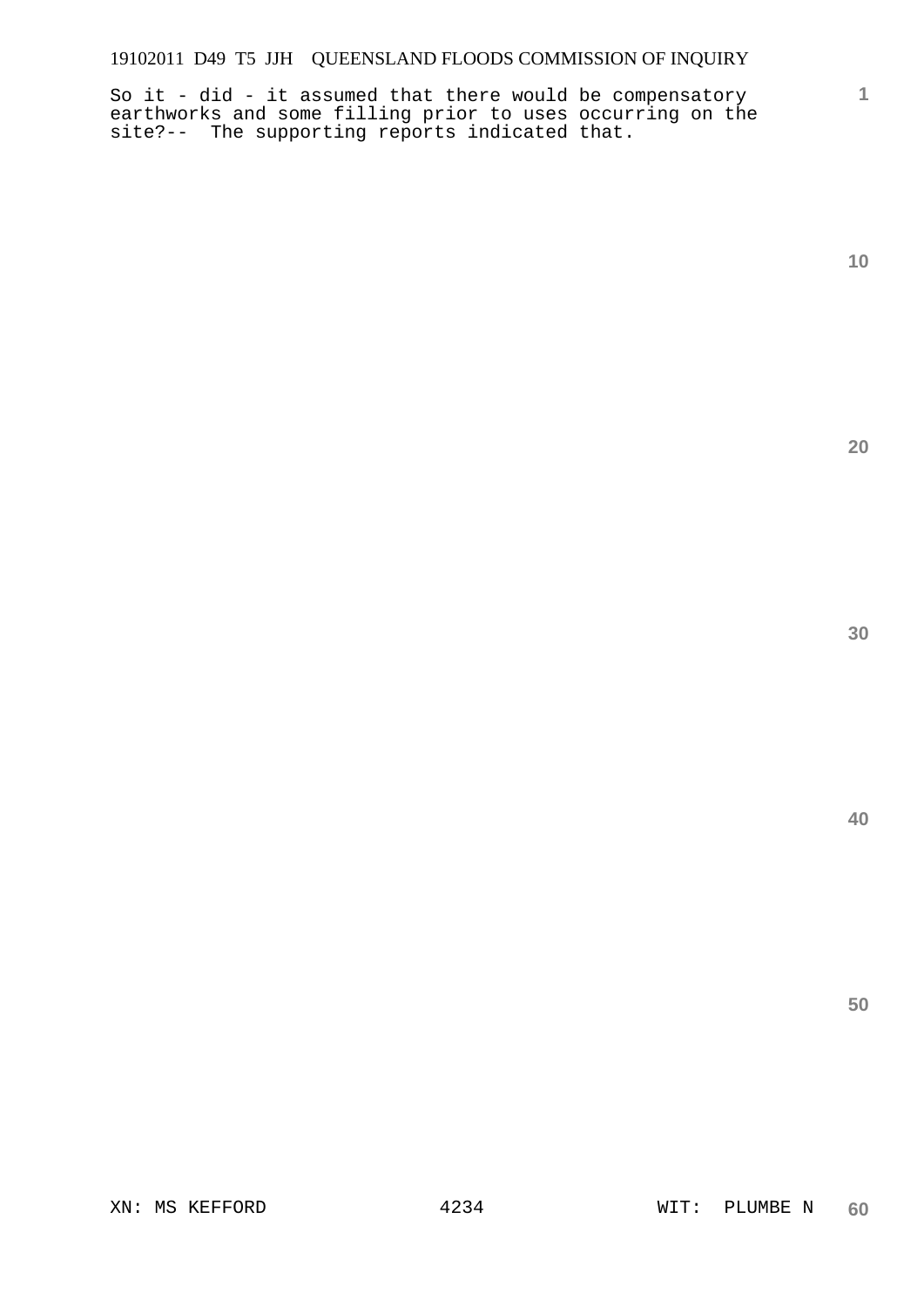So it - did - it assumed that there would be compensatory earthworks and some filling prior to uses occurring on the site?-- The supporting reports indicated that.

**10** 

**1**

**20** 

**30** 

**40**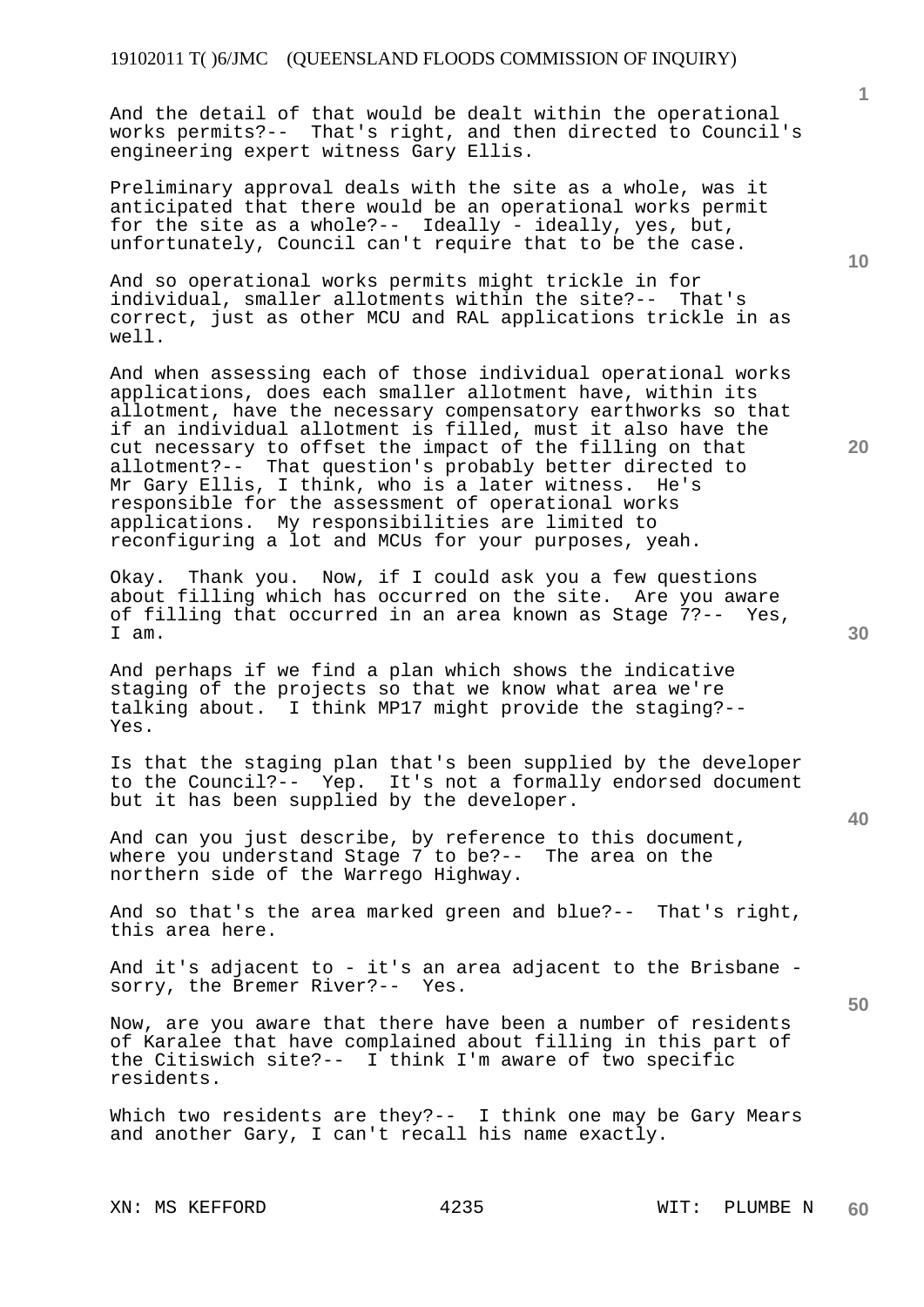And the detail of that would be dealt within the operational works permits?-- That's right, and then directed to Council's engineering expert witness Gary Ellis.

Preliminary approval deals with the site as a whole, was it anticipated that there would be an operational works permit for the site as a whole?-- Ideally - ideally, yes, but, unfortunately, Council can't require that to be the case.

And so operational works permits might trickle in for individual, smaller allotments within the site?-- That's correct, just as other MCU and RAL applications trickle in as well.

And when assessing each of those individual operational works applications, does each smaller allotment have, within its allotment, have the necessary compensatory earthworks so that if an individual allotment is filled, must it also have the cut necessary to offset the impact of the filling on that allotment?-- That question's probably better directed to Mr Gary Ellis, I think, who is a later witness. He's responsible for the assessment of operational works applications. My responsibilities are limited to reconfiguring a lot and MCUs for your purposes, yeah.

Okay. Thank you. Now, if I could ask you a few questions about filling which has occurred on the site. Are you aware of filling that occurred in an area known as Stage 7?-- Yes, I am.

And perhaps if we find a plan which shows the indicative staging of the projects so that we know what area we're talking about. I think MP17 might provide the staging?-- Yes.

Is that the staging plan that's been supplied by the developer to the Council?-- Yep. It's not a formally endorsed document but it has been supplied by the developer.

And can you just describe, by reference to this document, where you understand Stage 7 to be?-- The area on the northern side of the Warrego Highway.

And so that's the area marked green and blue?-- That's right, this area here.

And it's adjacent to - it's an area adjacent to the Brisbane sorry, the Bremer River?-- Yes.

Now, are you aware that there have been a number of residents of Karalee that have complained about filling in this part of the Citiswich site?-- I think I'm aware of two specific residents.

Which two residents are they?-- I think one may be Gary Mears and another Gary, I can't recall his name exactly.

XN: MS KEFFORD 4235 WIT: PLUMBE N

**10** 

**1**

**20** 

**30**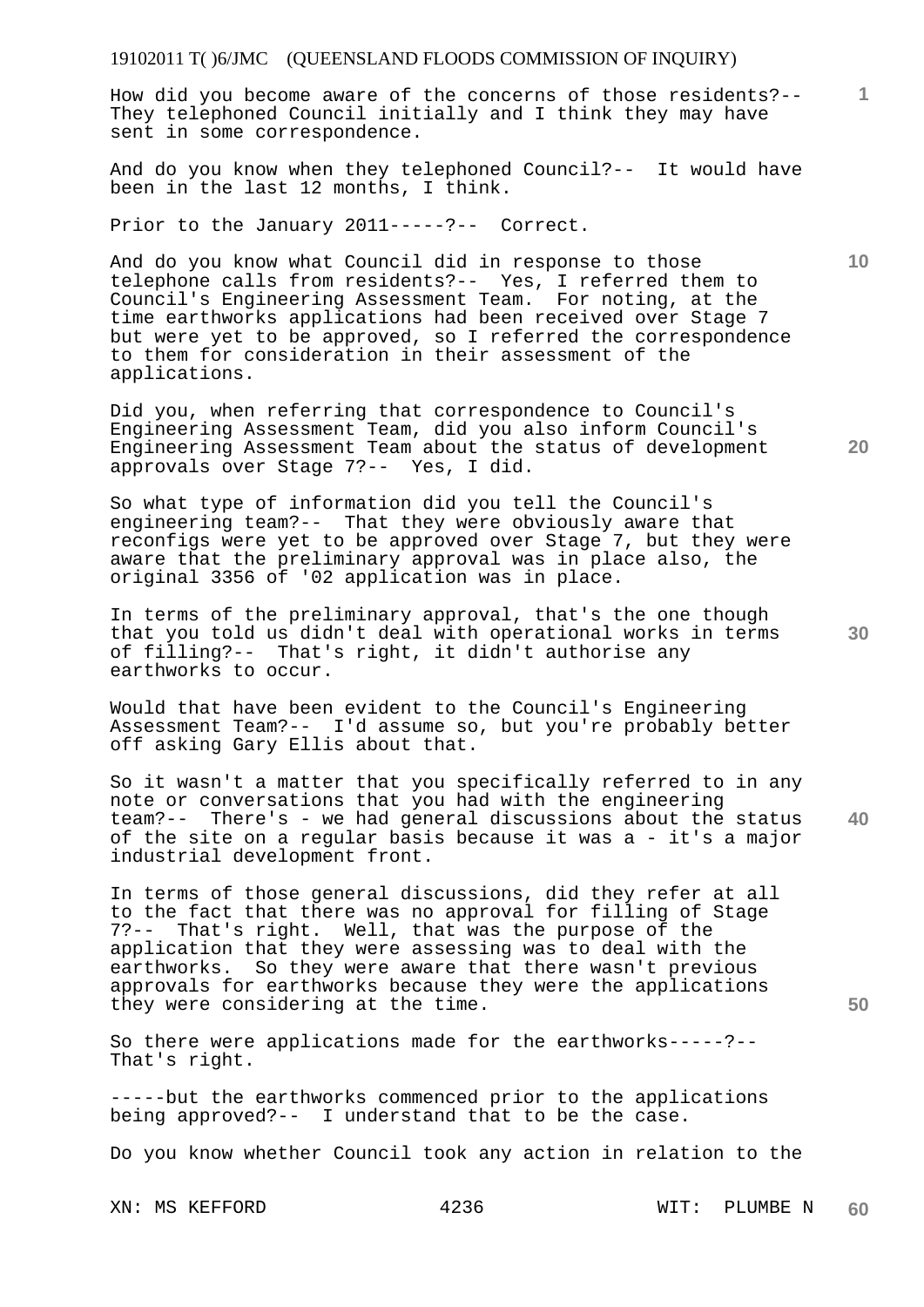How did you become aware of the concerns of those residents?-- They telephoned Council initially and I think they may have sent in some correspondence.

And do you know when they telephoned Council?-- It would have been in the last 12 months, I think.

Prior to the January 2011-----?-- Correct.

And do you know what Council did in response to those telephone calls from residents?-- Yes, I referred them to Council's Engineering Assessment Team. For noting, at the time earthworks applications had been received over Stage 7 but were yet to be approved, so I referred the correspondence to them for consideration in their assessment of the applications.

Did you, when referring that correspondence to Council's Engineering Assessment Team, did you also inform Council's Engineering Assessment Team about the status of development approvals over Stage 7?-- Yes, I did.

So what type of information did you tell the Council's engineering team?-- That they were obviously aware that reconfigs were yet to be approved over Stage 7, but they were aware that the preliminary approval was in place also, the original 3356 of '02 application was in place.

In terms of the preliminary approval, that's the one though that you told us didn't deal with operational works in terms of filling?-- That's right, it didn't authorise any earthworks to occur.

Would that have been evident to the Council's Engineering Assessment Team?-- I'd assume so, but you're probably better off asking Gary Ellis about that.

**40**  So it wasn't a matter that you specifically referred to in any note or conversations that you had with the engineering team?-- There's - we had general discussions about the status of the site on a regular basis because it was a - it's a major industrial development front.

In terms of those general discussions, did they refer at all to the fact that there was no approval for filling of Stage 7?-- That's right. Well, that was the purpose of the application that they were assessing was to deal with the earthworks. So they were aware that there wasn't previous approvals for earthworks because they were the applications they were considering at the time.

So there were applications made for the earthworks-----?-- That's right.

-----but the earthworks commenced prior to the applications being approved?-- I understand that to be the case.

Do you know whether Council took any action in relation to the

**10** 

**20** 

**1**

**30**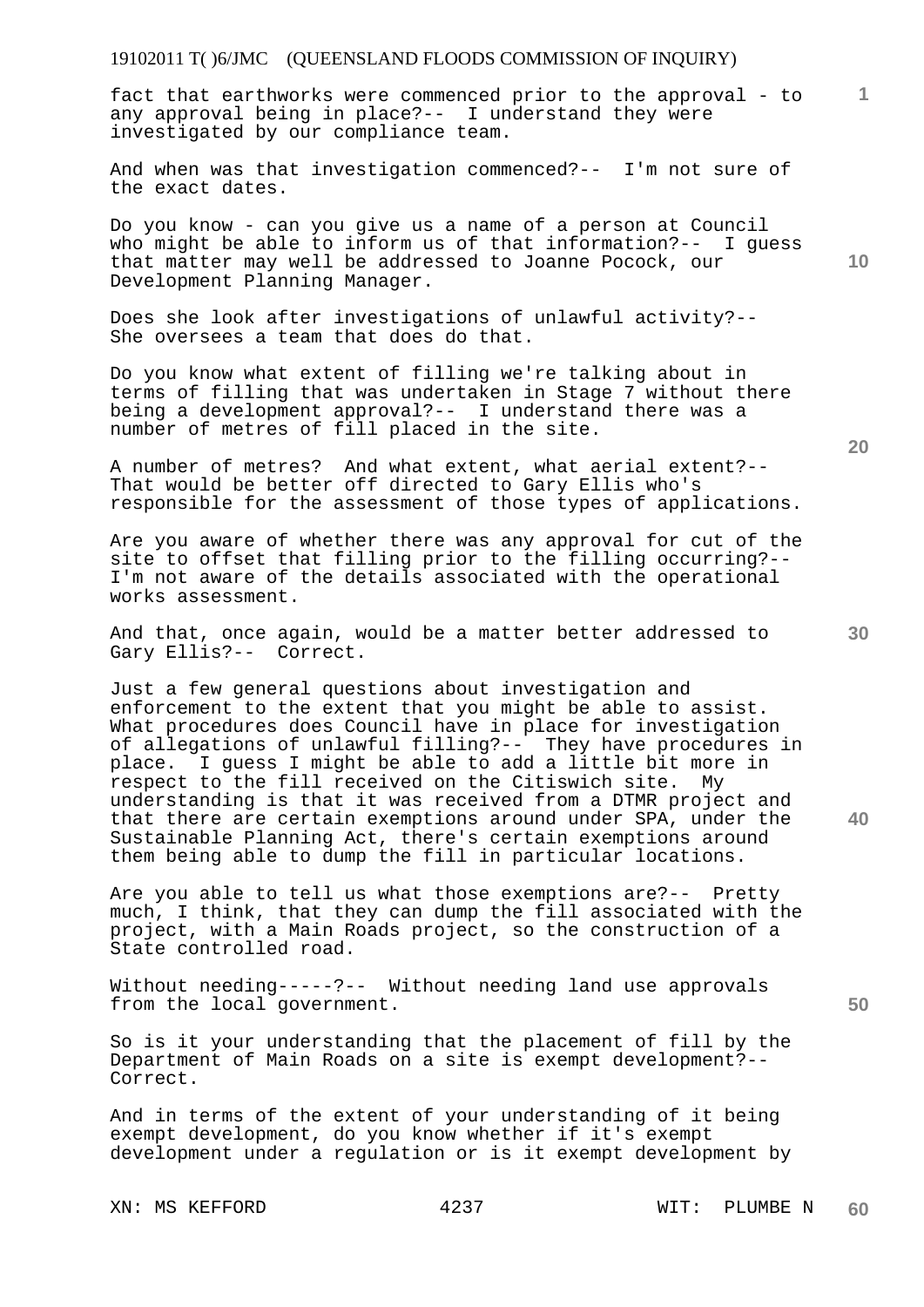**1** fact that earthworks were commenced prior to the approval - to any approval being in place?-- I understand they were investigated by our compliance team.

And when was that investigation commenced?-- I'm not sure of the exact dates.

Do you know - can you give us a name of a person at Council who might be able to inform us of that information?-- I guess that matter may well be addressed to Joanne Pocock, our Development Planning Manager.

Does she look after investigations of unlawful activity?-- She oversees a team that does do that.

Do you know what extent of filling we're talking about in terms of filling that was undertaken in Stage 7 without there being a development approval?-- I understand there was a number of metres of fill placed in the site.

A number of metres? And what extent, what aerial extent?-- That would be better off directed to Gary Ellis who's responsible for the assessment of those types of applications.

Are you aware of whether there was any approval for cut of the site to offset that filling prior to the filling occurring?-- I'm not aware of the details associated with the operational works assessment.

And that, once again, would be a matter better addressed to Gary Ellis?-- Correct.

Just a few general questions about investigation and enforcement to the extent that you might be able to assist. What procedures does Council have in place for investigation of allegations of unlawful filling?-- They have procedures in place. I guess I might be able to add a little bit more in respect to the fill received on the Citiswich site. My understanding is that it was received from a DTMR project and that there are certain exemptions around under SPA, under the Sustainable Planning Act, there's certain exemptions around them being able to dump the fill in particular locations.

Are you able to tell us what those exemptions are?-- Pretty much, I think, that they can dump the fill associated with the project, with a Main Roads project, so the construction of a State controlled road.

Without needing-----?-- Without needing land use approvals from the local government.

So is it your understanding that the placement of fill by the Department of Main Roads on a site is exempt development?-- Correct.

And in terms of the extent of your understanding of it being exempt development, do you know whether if it's exempt development under a regulation or is it exempt development by

XN: MS KEFFORD 4237 WIT: PLUMBE N

**20** 

**10** 

**30** 

**40**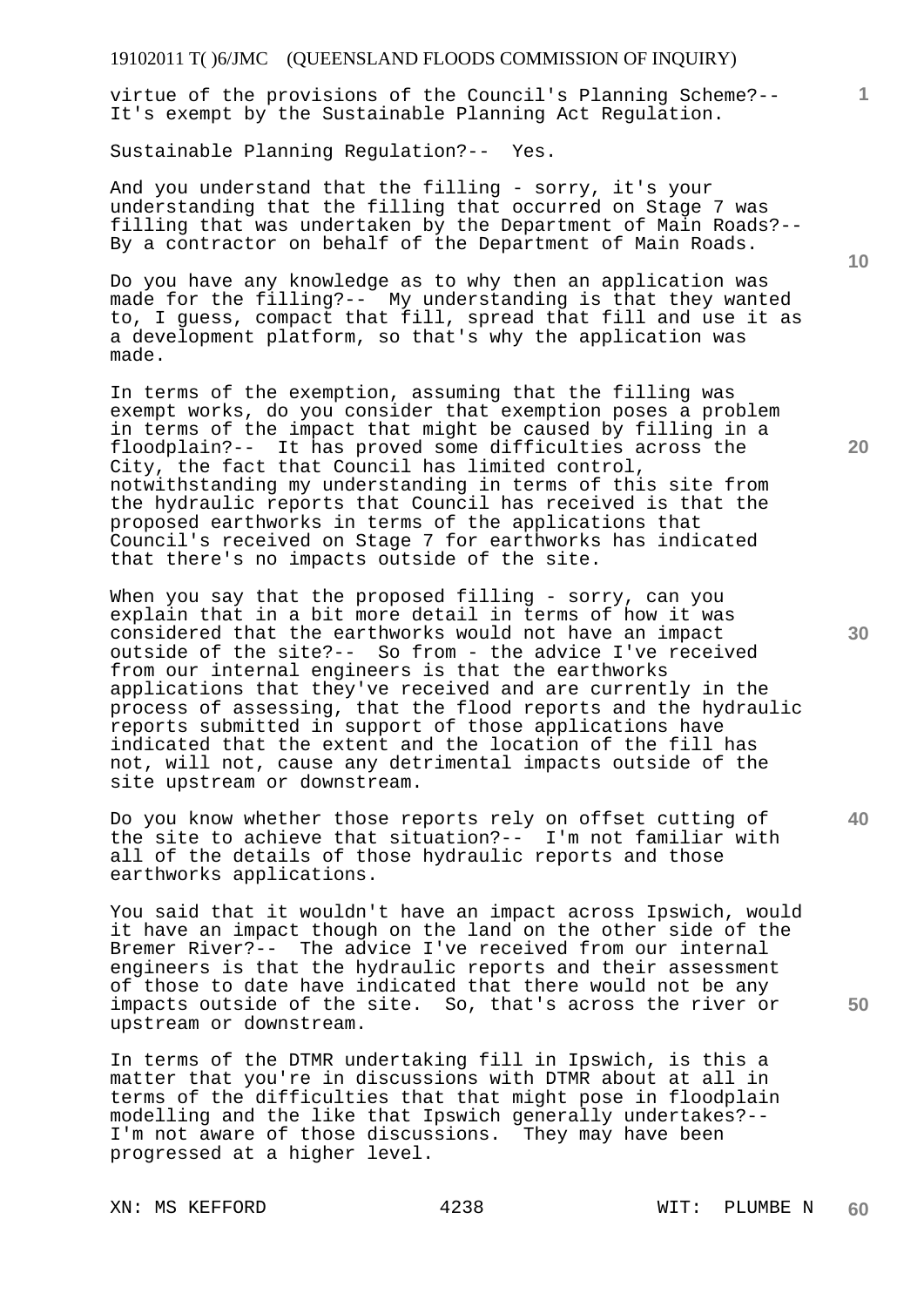virtue of the provisions of the Council's Planning Scheme?-- It's exempt by the Sustainable Planning Act Regulation.

Sustainable Planning Regulation?-- Yes.

And you understand that the filling - sorry, it's your understanding that the filling that occurred on Stage 7 was filling that was undertaken by the Department of Main Roads?-- By a contractor on behalf of the Department of Main Roads.

Do you have any knowledge as to why then an application was made for the filling?-- My understanding is that they wanted to, I guess, compact that fill, spread that fill and use it as a development platform, so that's why the application was made.

In terms of the exemption, assuming that the filling was exempt works, do you consider that exemption poses a problem in terms of the impact that might be caused by filling in a floodplain?-- It has proved some difficulties across the City, the fact that Council has limited control, notwithstanding my understanding in terms of this site from the hydraulic reports that Council has received is that the proposed earthworks in terms of the applications that Council's received on Stage 7 for earthworks has indicated that there's no impacts outside of the site.

When you say that the proposed filling - sorry, can you explain that in a bit more detail in terms of how it was considered that the earthworks would not have an impact outside of the site?-- So from - the advice I've received from our internal engineers is that the earthworks applications that they've received and are currently in the process of assessing, that the flood reports and the hydraulic reports submitted in support of those applications have indicated that the extent and the location of the fill has not, will not, cause any detrimental impacts outside of the site upstream or downstream.

Do you know whether those reports rely on offset cutting of the site to achieve that situation?-- I'm not familiar with all of the details of those hydraulic reports and those earthworks applications.

You said that it wouldn't have an impact across Ipswich, would it have an impact though on the land on the other side of the Bremer River?-- The advice I've received from our internal engineers is that the hydraulic reports and their assessment of those to date have indicated that there would not be any impacts outside of the site. So, that's across the river or upstream or downstream.

In terms of the DTMR undertaking fill in Ipswich, is this a matter that you're in discussions with DTMR about at all in terms of the difficulties that that might pose in floodplain modelling and the like that Ipswich generally undertakes?-- I'm not aware of those discussions. They may have been progressed at a higher level.

**10** 

**1**

**20** 

**30** 

**40**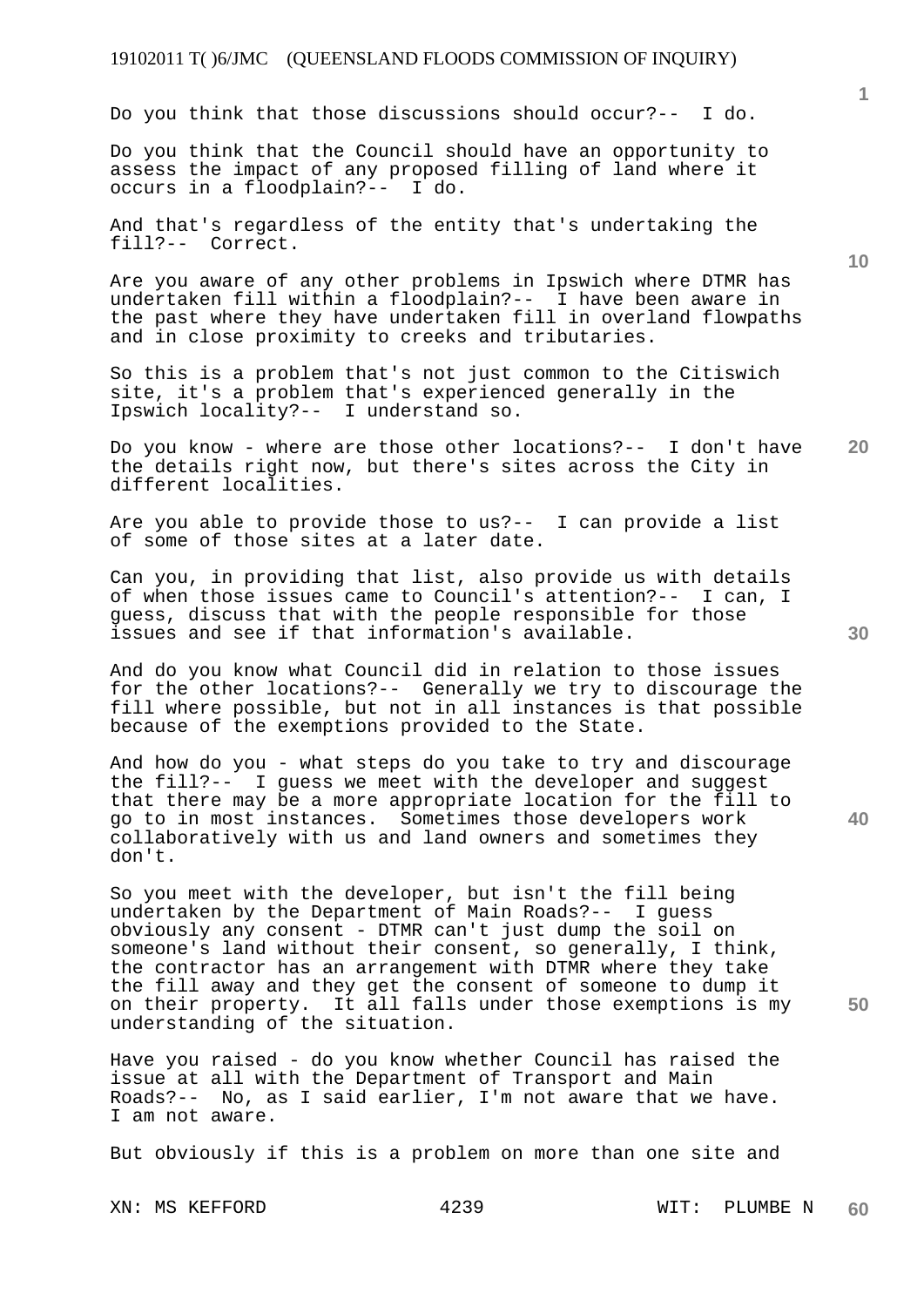Do you think that those discussions should occur?-- I do.

Do you think that the Council should have an opportunity to assess the impact of any proposed filling of land where it occurs in a floodplain?-- I do.

And that's regardless of the entity that's undertaking the fill?-- Correct.

Are you aware of any other problems in Ipswich where DTMR has undertaken fill within a floodplain?-- I have been aware in the past where they have undertaken fill in overland flowpaths and in close proximity to creeks and tributaries.

So this is a problem that's not just common to the Citiswich site, it's a problem that's experienced generally in the Ipswich locality?-- I understand so.

**20**  Do you know - where are those other locations?-- I don't have the details right now, but there's sites across the City in different localities.

Are you able to provide those to us?-- I can provide a list of some of those sites at a later date.

Can you, in providing that list, also provide us with details of when those issues came to Council's attention?-- I can, I guess, discuss that with the people responsible for those issues and see if that information's available.

And do you know what Council did in relation to those issues for the other locations?-- Generally we try to discourage the fill where possible, but not in all instances is that possible because of the exemptions provided to the State.

And how do you - what steps do you take to try and discourage the fill?-- I guess we meet with the developer and suggest that there may be a more appropriate location for the fill to go to in most instances. Sometimes those developers work collaboratively with us and land owners and sometimes they don't.

So you meet with the developer, but isn't the fill being undertaken by the Department of Main Roads?-- I guess obviously any consent - DTMR can't just dump the soil on someone's land without their consent, so generally, I think, the contractor has an arrangement with DTMR where they take the fill away and they get the consent of someone to dump it on their property. It all falls under those exemptions is my understanding of the situation.

Have you raised - do you know whether Council has raised the issue at all with the Department of Transport and Main Roads?-- No, as I said earlier, I'm not aware that we have. I am not aware.

But obviously if this is a problem on more than one site and

XN: MS KEFFORD 4239 WIT: PLUMBE N **60** 

**30** 

**40** 

**50** 

**10**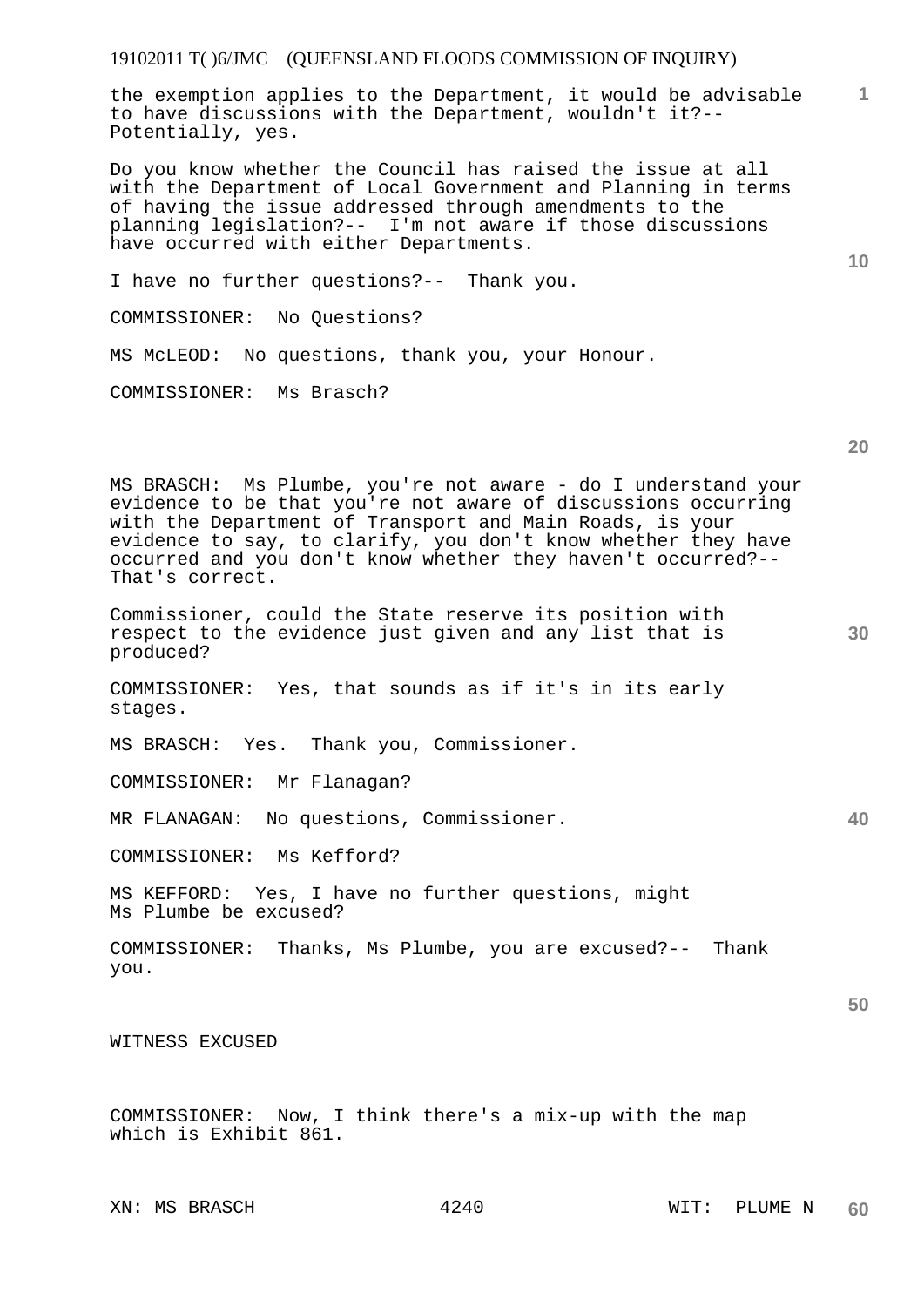the exemption applies to the Department, it would be advisable to have discussions with the Department, wouldn't it?-- Potentially, yes.

Do you know whether the Council has raised the issue at all with the Department of Local Government and Planning in terms of having the issue addressed through amendments to the planning legislation?-- I'm not aware if those discussions have occurred with either Departments.

I have no further questions?-- Thank you.

COMMISSIONER: No Questions?

MS McLEOD: No questions, thank you, your Honour.

COMMISSIONER: Ms Brasch?

**20** 

**30** 

**40** 

**50** 

**1**

**10** 

MS BRASCH: Ms Plumbe, you're not aware - do I understand your evidence to be that you're not aware of discussions occurring with the Department of Transport and Main Roads, is your evidence to say, to clarify, you don't know whether they have occurred and you don't know whether they haven't occurred?-- That's correct.

Commissioner, could the State reserve its position with respect to the evidence just given and any list that is produced?

COMMISSIONER: Yes, that sounds as if it's in its early stages.

MS BRASCH: Yes. Thank you, Commissioner.

COMMISSIONER: Mr Flanagan?

MR FLANAGAN: No questions, Commissioner.

COMMISSIONER: Ms Kefford?

MS KEFFORD: Yes, I have no further questions, might Ms Plumbe be excused?

COMMISSIONER: Thanks, Ms Plumbe, you are excused?-- Thank you.

WITNESS EXCUSED

COMMISSIONER: Now, I think there's a mix-up with the map which is Exhibit 861.

XN: MS BRASCH  $4240$  WIT: PLUME N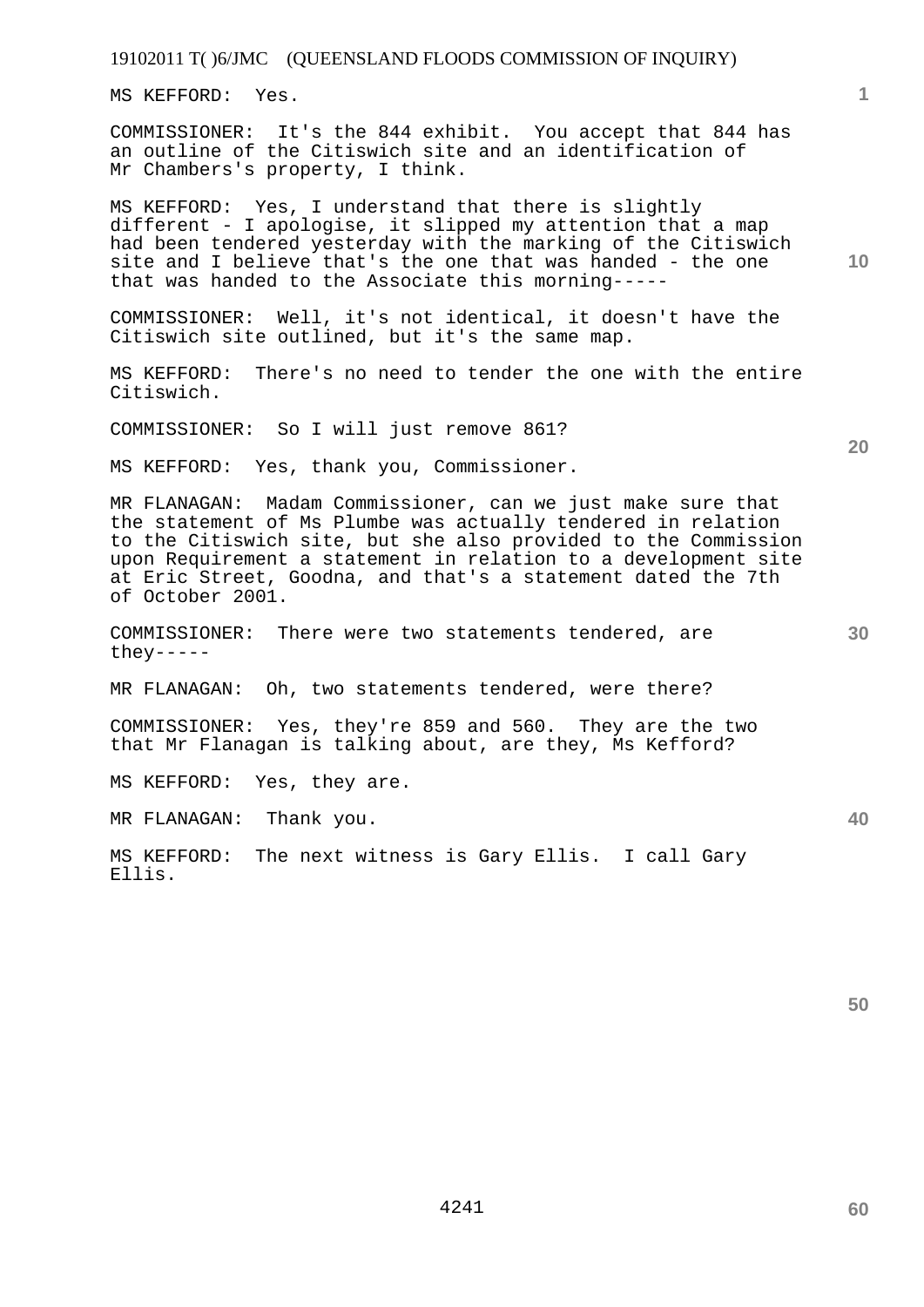MS KEFFORD: Yes.

COMMISSIONER: It's the 844 exhibit. You accept that 844 has an outline of the Citiswich site and an identification of Mr Chambers's property, I think.

MS KEFFORD: Yes, I understand that there is slightly different - I apologise, it slipped my attention that a map had been tendered yesterday with the marking of the Citiswich site and I believe that's the one that was handed - the one that was handed to the Associate this morning-----

COMMISSIONER: Well, it's not identical, it doesn't have the Citiswich site outlined, but it's the same map.

MS KEFFORD: There's no need to tender the one with the entire Citiswich.

COMMISSIONER: So I will just remove 861?

MS KEFFORD: Yes, thank you, Commissioner.

MR FLANAGAN: Madam Commissioner, can we just make sure that the statement of Ms Plumbe was actually tendered in relation to the Citiswich site, but she also provided to the Commission upon Requirement a statement in relation to a development site at Eric Street, Goodna, and that's a statement dated the 7th of October 2001.

COMMISSIONER: There were two statements tendered, are they-----

MR FLANAGAN: Oh, two statements tendered, were there?

COMMISSIONER: Yes, they're 859 and 560. They are the two that Mr Flanagan is talking about, are they, Ms Kefford?

MS KEFFORD: Yes, they are.

MR FLANAGAN: Thank you.

MS KEFFORD: The next witness is Gary Ellis. I call Gary Ellis.

**50** 

**60** 

**20** 

**40** 

**10**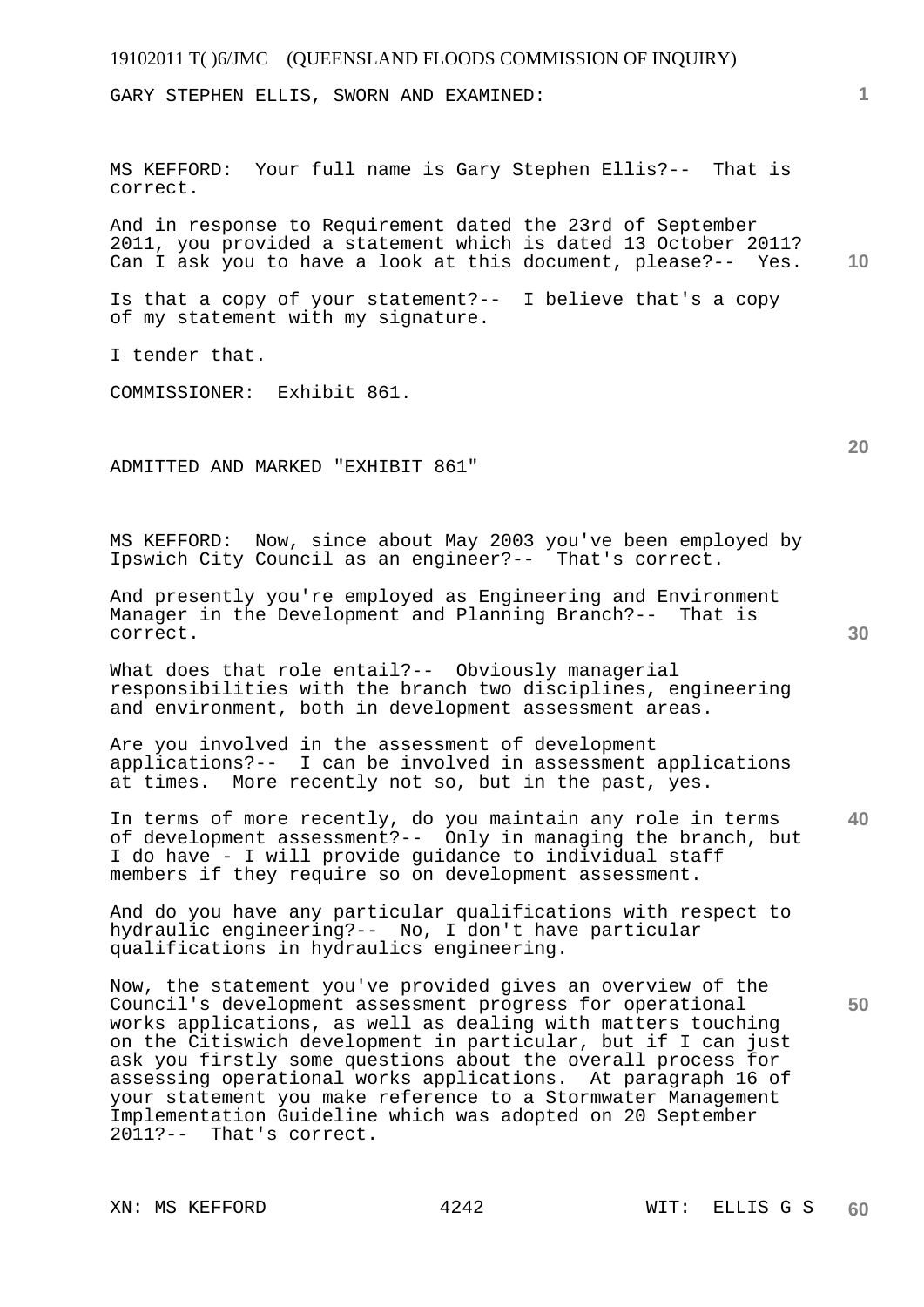GARY STEPHEN ELLIS, SWORN AND EXAMINED:

MS KEFFORD: Your full name is Gary Stephen Ellis?-- That is correct.

**10**  And in response to Requirement dated the 23rd of September 2011, you provided a statement which is dated 13 October 2011? Can I ask you to have a look at this document, please?-- Yes.

Is that a copy of your statement?-- I believe that's a copy of my statement with my signature.

I tender that.

COMMISSIONER: Exhibit 861.

ADMITTED AND MARKED "EXHIBIT 861"

MS KEFFORD: Now, since about May 2003 you've been employed by Ipswich City Council as an engineer?-- That's correct.

And presently you're employed as Engineering and Environment Manager in the Development and Planning Branch?-- That is correct.

What does that role entail?-- Obviously managerial responsibilities with the branch two disciplines, engineering and environment, both in development assessment areas.

Are you involved in the assessment of development applications?-- I can be involved in assessment applications at times. More recently not so, but in the past, yes.

**40**  In terms of more recently, do you maintain any role in terms of development assessment?-- Only in managing the branch, but I do have - I will provide guidance to individual staff members if they require so on development assessment.

And do you have any particular qualifications with respect to hydraulic engineering?-- No, I don't have particular qualifications in hydraulics engineering.

Now, the statement you've provided gives an overview of the Council's development assessment progress for operational works applications, as well as dealing with matters touching on the Citiswich development in particular, but if I can just ask you firstly some questions about the overall process for assessing operational works applications. At paragraph 16 of your statement you make reference to a Stormwater Management Implementation Guideline which was adopted on 20 September 2011?-- That's correct.

**1**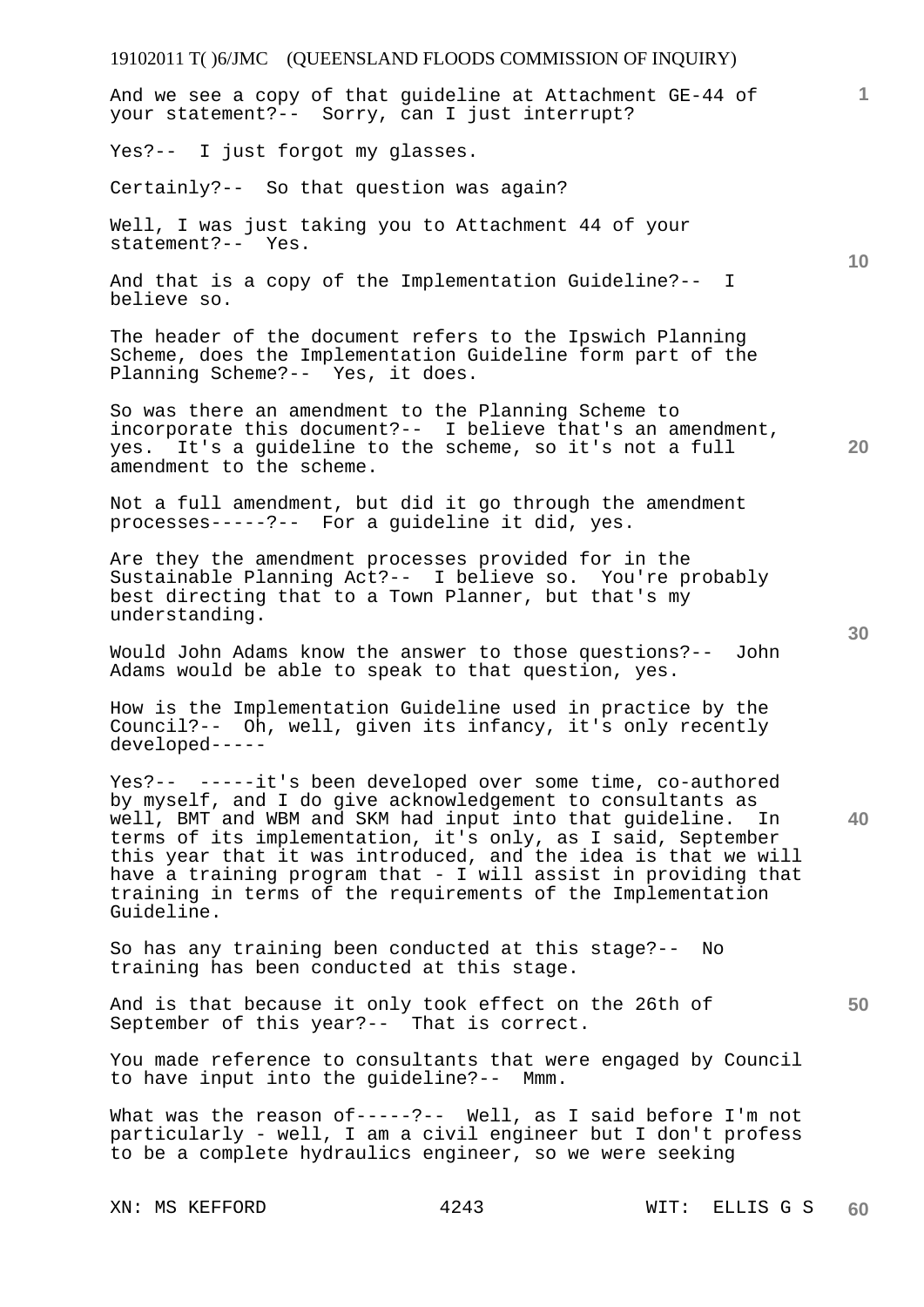# 19102011 T( )6/JMC (QUEENSLAND FLOODS COMMISSION OF INQUIRY) XN: MS KEFFORD 4243 WIT: ELLIS G S **1 10 20 30 40 50 60**  And we see a copy of that guideline at Attachment GE-44 of your statement?-- Sorry, can I just interrupt? Yes?-- I just forgot my glasses. Certainly?-- So that question was again? Well, I was just taking you to Attachment 44 of your statement?-- Yes. And that is a copy of the Implementation Guideline?-- I believe so. The header of the document refers to the Ipswich Planning Scheme, does the Implementation Guideline form part of the Planning Scheme?-- Yes, it does. So was there an amendment to the Planning Scheme to incorporate this document?-- I believe that's an amendment, yes. It's a guideline to the scheme, so it's not a full amendment to the scheme. Not a full amendment, but did it go through the amendment processes-----?-- For a guideline it did, yes. Are they the amendment processes provided for in the Sustainable Planning Act?-- I believe so. You're probably best directing that to a Town Planner, but that's my understanding. Would John Adams know the answer to those questions?-- John Adams would be able to speak to that question, yes. How is the Implementation Guideline used in practice by the Council?-- Oh, well, given its infancy, it's only recently developed----- Yes?-- -----it's been developed over some time, co-authored by myself, and I do give acknowledgement to consultants as well, BMT and WBM and SKM had input into that guideline. In terms of its implementation, it's only, as I said, September this year that it was introduced, and the idea is that we will have a training program that - I will assist in providing that training in terms of the requirements of the Implementation Guideline. So has any training been conducted at this stage?-- No training has been conducted at this stage. And is that because it only took effect on the 26th of September of this year?-- That is correct. You made reference to consultants that were engaged by Council to have input into the guideline?-- Mmm. What was the reason of-----?-- Well, as I said before I'm not particularly - well, I am a civil engineer but I don't profess to be a complete hydraulics engineer, so we were seeking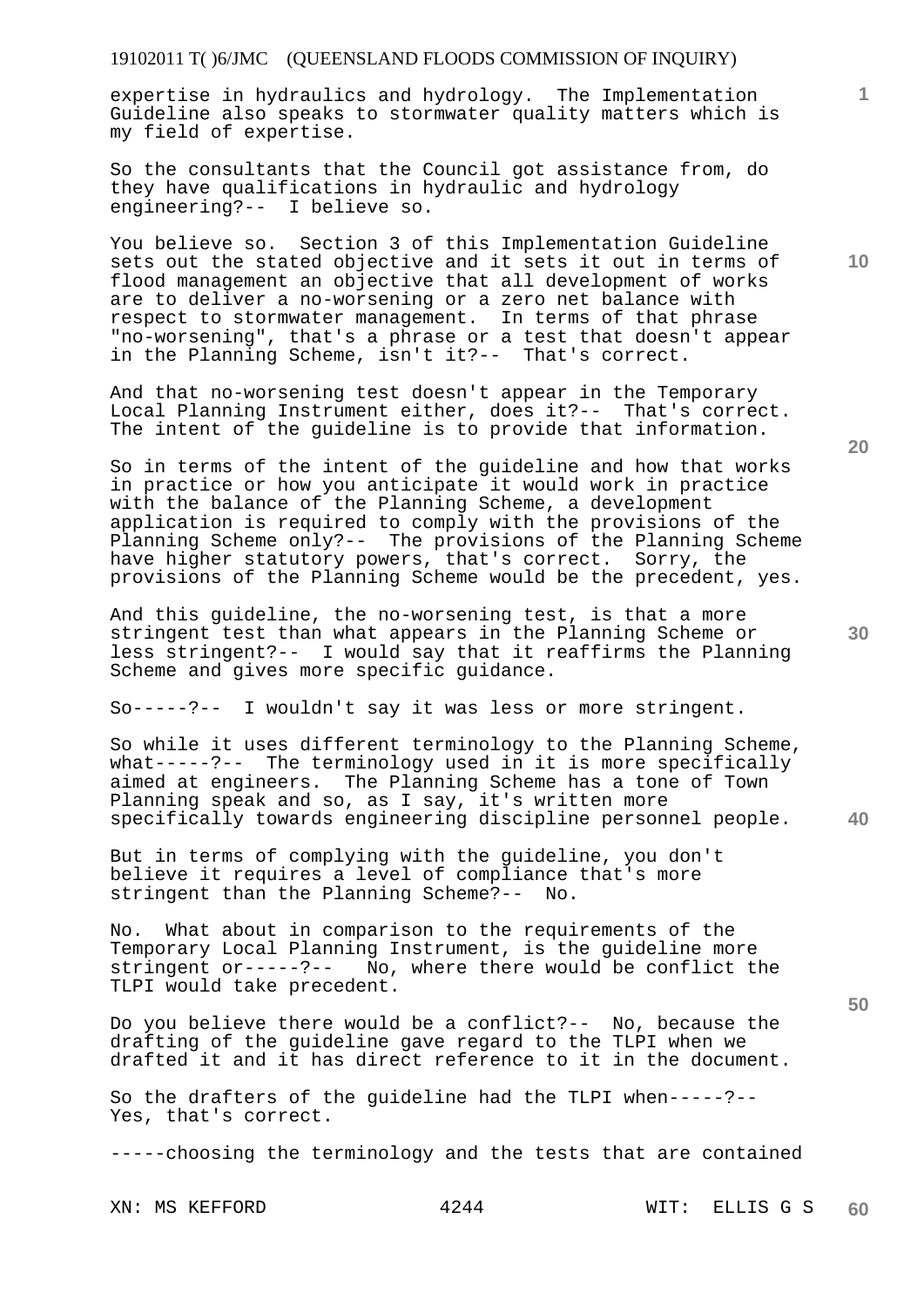expertise in hydraulics and hydrology. The Implementation Guideline also speaks to stormwater quality matters which is my field of expertise.

So the consultants that the Council got assistance from, do they have qualifications in hydraulic and hydrology engineering?-- I believe so.

You believe so. Section 3 of this Implementation Guideline sets out the stated objective and it sets it out in terms of flood management an objective that all development of works are to deliver a no-worsening or a zero net balance with respect to stormwater management. In terms of that phrase "no-worsening", that's a phrase or a test that doesn't appear in the Planning Scheme, isn't it?-- That's correct.

And that no-worsening test doesn't appear in the Temporary Local Planning Instrument either, does it?-- That's correct. The intent of the guideline is to provide that information.

So in terms of the intent of the guideline and how that works in practice or how you anticipate it would work in practice with the balance of the Planning Scheme, a development application is required to comply with the provisions of the Planning Scheme only?-- The provisions of the Planning Scheme have higher statutory powers, that's correct. Sorry, the provisions of the Planning Scheme would be the precedent, yes.

And this guideline, the no-worsening test, is that a more stringent test than what appears in the Planning Scheme or less stringent?-- I would say that it reaffirms the Planning Scheme and gives more specific guidance.

So-----?-- I wouldn't say it was less or more stringent.

So while it uses different terminology to the Planning Scheme, what-----?-- The terminology used in it is more specifically aimed at engineers. The Planning Scheme has a tone of Town Planning speak and so, as I say, it's written more specifically towards engineering discipline personnel people.

But in terms of complying with the guideline, you don't believe it requires a level of compliance that's more stringent than the Planning Scheme?-- No.

No. What about in comparison to the requirements of the Temporary Local Planning Instrument, is the guideline more<br>stringent or-----?-- No, where there would be conflict t No, where there would be conflict the TLPI would take precedent.

Do you believe there would be a conflict?-- No, because the drafting of the guideline gave regard to the TLPI when we drafted it and it has direct reference to it in the document.

So the drafters of the guideline had the TLPI when-----?-- Yes, that's correct.

-----choosing the terminology and the tests that are contained

**20** 

**40** 

**50** 

**10**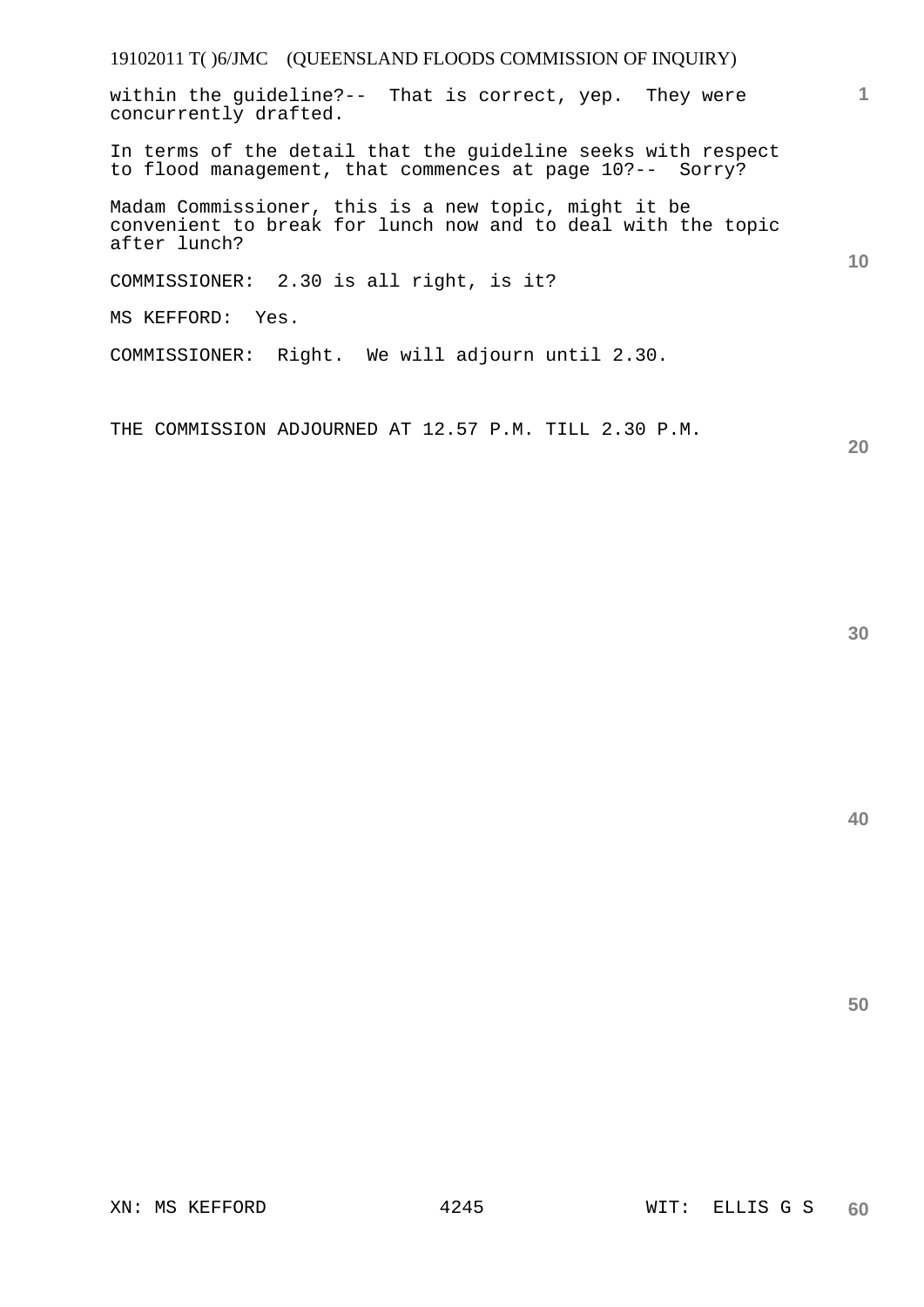within the guideline?-- That is correct, yep. They were concurrently drafted.

In terms of the detail that the guideline seeks with respect to flood management, that commences at page 10?-- Sorry?

Madam Commissioner, this is a new topic, might it be convenient to break for lunch now and to deal with the topic after lunch?

COMMISSIONER: 2.30 is all right, is it?

MS KEFFORD: Yes.

COMMISSIONER: Right. We will adjourn until 2.30.

THE COMMISSION ADJOURNED AT 12.57 P.M. TILL 2.30 P.M.

**20** 

**1**

**10** 

**40**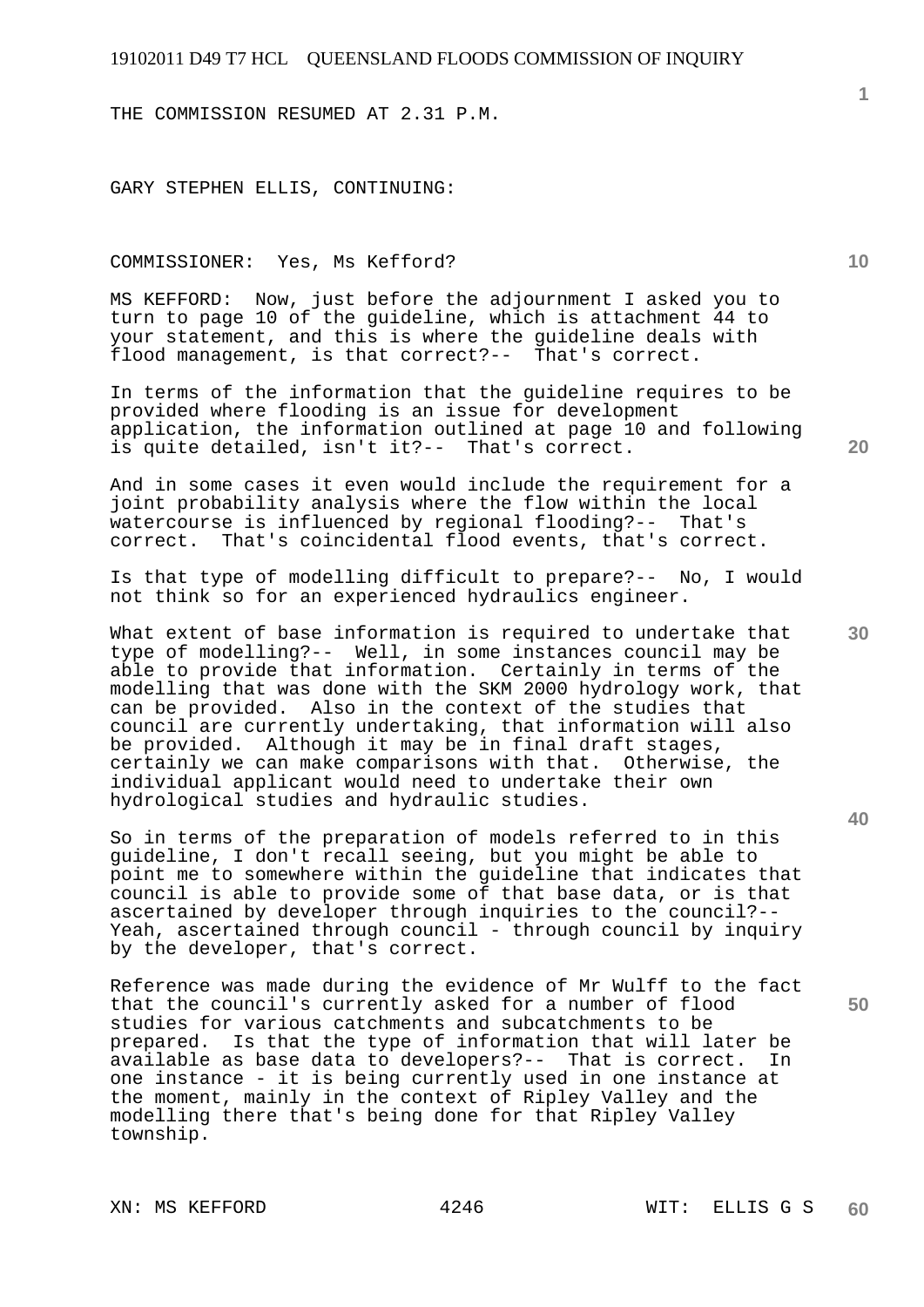THE COMMISSION RESUMED AT 2.31 P.M.

GARY STEPHEN ELLIS, CONTINUING:

#### COMMISSIONER: Yes, Ms Kefford?

MS KEFFORD: Now, just before the adjournment I asked you to turn to page 10 of the guideline, which is attachment 44 to your statement, and this is where the guideline deals with flood management, is that correct?-- That's correct.

In terms of the information that the guideline requires to be provided where flooding is an issue for development application, the information outlined at page 10 and following is quite detailed, isn't it?-- That's correct.

And in some cases it even would include the requirement for a joint probability analysis where the flow within the local watercourse is influenced by regional flooding?-- That's correct. That's coincidental flood events, that's correct.

Is that type of modelling difficult to prepare?-- No, I would not think so for an experienced hydraulics engineer.

What extent of base information is required to undertake that type of modelling?-- Well, in some instances council may be able to provide that information. Certainly in terms of the modelling that was done with the SKM 2000 hydrology work, that can be provided. Also in the context of the studies that council are currently undertaking, that information will also be provided. Although it may be in final draft stages, certainly we can make comparisons with that. Otherwise, the individual applicant would need to undertake their own hydrological studies and hydraulic studies.

So in terms of the preparation of models referred to in this guideline, I don't recall seeing, but you might be able to point me to somewhere within the guideline that indicates that council is able to provide some of that base data, or is that ascertained by developer through inquiries to the council?-- Yeah, ascertained through council - through council by inquiry by the developer, that's correct.

Reference was made during the evidence of Mr Wulff to the fact that the council's currently asked for a number of flood studies for various catchments and subcatchments to be prepared. Is that the type of information that will la Is that the type of information that will later be available as base data to developers?-- That is correct. In one instance - it is being currently used in one instance at the moment, mainly in the context of Ripley Valley and the modelling there that's being done for that Ripley Valley township.

**10** 

**20** 

**30** 

**40**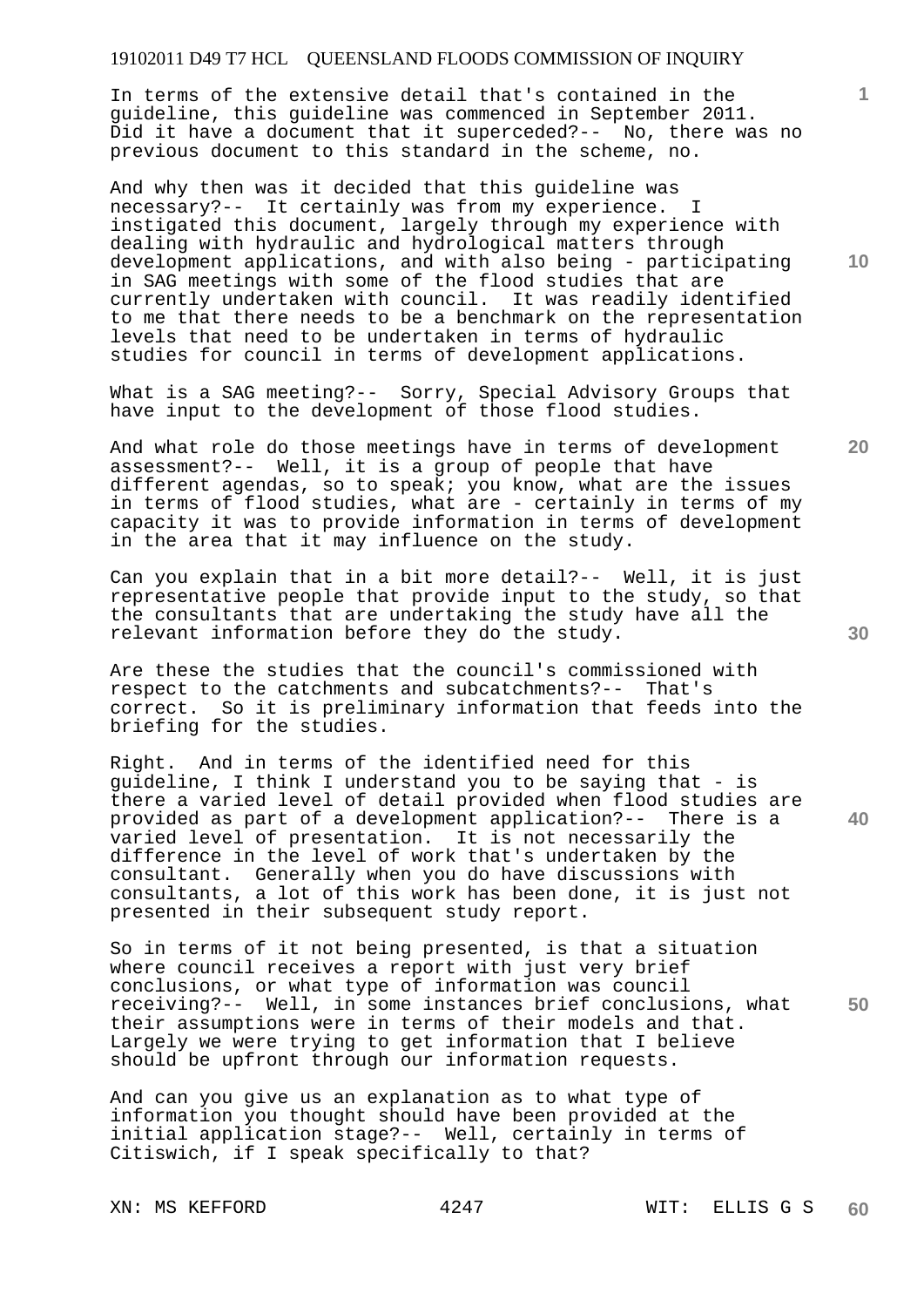In terms of the extensive detail that's contained in the guideline, this guideline was commenced in September 2011. Did it have a document that it superceded?-- No, there was no previous document to this standard in the scheme, no.

And why then was it decided that this guideline was necessary?-- It certainly was from my experience. I instigated this document, largely through my experience with dealing with hydraulic and hydrological matters through development applications, and with also being - participating in SAG meetings with some of the flood studies that are currently undertaken with council. It was readily identified to me that there needs to be a benchmark on the representation levels that need to be undertaken in terms of hydraulic studies for council in terms of development applications.

What is a SAG meeting?-- Sorry, Special Advisory Groups that have input to the development of those flood studies.

And what role do those meetings have in terms of development assessment?-- Well, it is a group of people that have different agendas, so to speak; you know, what are the issues in terms of flood studies, what are - certainly in terms of my capacity it was to provide information in terms of development in the area that it may influence on the study.

Can you explain that in a bit more detail?-- Well, it is just representative people that provide input to the study, so that the consultants that are undertaking the study have all the relevant information before they do the study.

Are these the studies that the council's commissioned with respect to the catchments and subcatchments?-- That's correct. So it is preliminary information that feeds into the briefing for the studies.

Right. And in terms of the identified need for this guideline, I think I understand you to be saying that - is there a varied level of detail provided when flood studies are provided as part of a development application?-- There is a varied level of presentation. It is not necessarily the difference in the level of work that's undertaken by the consultant. Generally when you do have discussions with consultants, a lot of this work has been done, it is just not presented in their subsequent study report.

**50**  So in terms of it not being presented, is that a situation where council receives a report with just very brief conclusions, or what type of information was council receiving?-- Well, in some instances brief conclusions, what their assumptions were in terms of their models and that. Largely we were trying to get information that I believe should be upfront through our information requests.

And can you give us an explanation as to what type of information you thought should have been provided at the initial application stage?-- Well, certainly in terms of Citiswich, if I speak specifically to that?

**10** 

**1**

**30**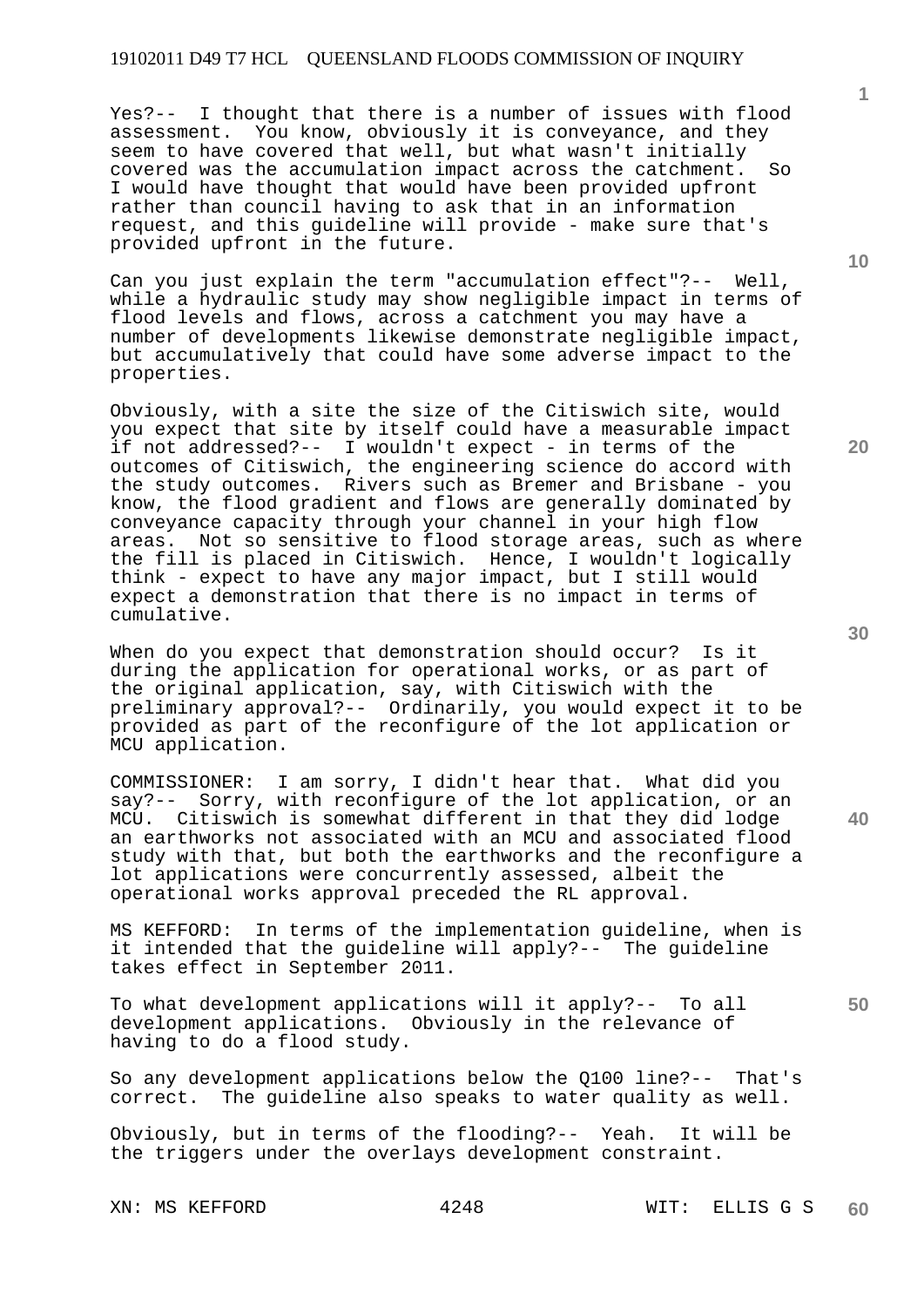Yes?-- I thought that there is a number of issues with flood assessment. You know, obviously it is conveyance, and they seem to have covered that well, but what wasn't initially covered was the accumulation impact across the catchment. So I would have thought that would have been provided upfront rather than council having to ask that in an information request, and this guideline will provide - make sure that's provided upfront in the future.

Can you just explain the term "accumulation effect"?-- Well, while a hydraulic study may show negligible impact in terms of flood levels and flows, across a catchment you may have a number of developments likewise demonstrate negligible impact, but accumulatively that could have some adverse impact to the properties.

Obviously, with a site the size of the Citiswich site, would you expect that site by itself could have a measurable impact if not addressed?-- I wouldn't expect - in terms of the outcomes of Citiswich, the engineering science do accord with the study outcomes. Rivers such as Bremer and Brisbane - you know, the flood gradient and flows are generally dominated by conveyance capacity through your channel in your high flow areas. Not so sensitive to flood storage areas, such as where the fill is placed in Citiswich. Hence, I wouldn't logically think - expect to have any major impact, but I still would expect a demonstration that there is no impact in terms of cumulative.

When do you expect that demonstration should occur? Is it during the application for operational works, or as part of the original application, say, with Citiswich with the preliminary approval?-- Ordinarily, you would expect it to be provided as part of the reconfigure of the lot application or MCU application.

COMMISSIONER: I am sorry, I didn't hear that. What did you say?-- Sorry, with reconfigure of the lot application, or an MCU. Citiswich is somewhat different in that they did lodge an earthworks not associated with an MCU and associated flood study with that, but both the earthworks and the reconfigure a lot applications were concurrently assessed, albeit the operational works approval preceded the RL approval.

MS KEFFORD: In terms of the implementation guideline, when is it intended that the guideline will apply?-- The guideline takes effect in September 2011.

To what development applications will it apply?-- To all development applications. Obviously in the relevance of having to do a flood study.

So any development applications below the Q100 line?-- That's correct. The guideline also speaks to water quality as well.

Obviously, but in terms of the flooding?-- Yeah. It will be the triggers under the overlays development constraint.

**10** 

**1**

**20** 

**40** 

**30**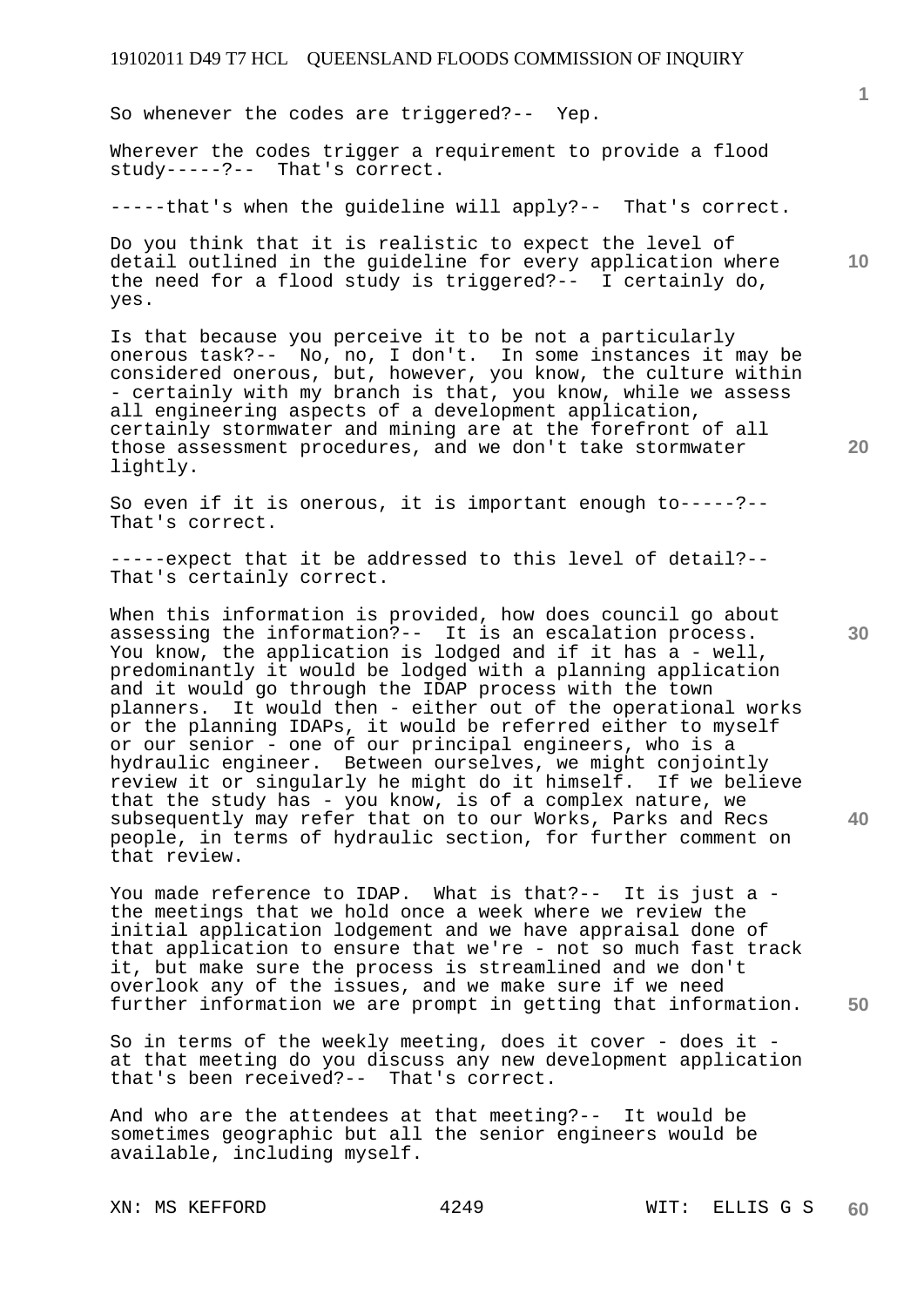So whenever the codes are triggered?-- Yep.

Wherever the codes trigger a requirement to provide a flood study-----?-- That's correct.

-----that's when the guideline will apply?-- That's correct.

**10**  Do you think that it is realistic to expect the level of detail outlined in the guideline for every application where the need for a flood study is triggered?-- I certainly do, yes.

Is that because you perceive it to be not a particularly onerous task?-- No, no, I don't. In some instances it may be considered onerous, but, however, you know, the culture within - certainly with my branch is that, you know, while we assess all engineering aspects of a development application, certainly stormwater and mining are at the forefront of all those assessment procedures, and we don't take stormwater lightly.

So even if it is onerous, it is important enough to-----?-- That's correct.

-----expect that it be addressed to this level of detail?-- That's certainly correct.

When this information is provided, how does council go about assessing the information?-- It is an escalation process. You know, the application is lodged and if it has a - well, predominantly it would be lodged with a planning application and it would go through the IDAP process with the town planners. It would then - either out of the operational works or the planning IDAPs, it would be referred either to myself or our senior - one of our principal engineers, who is a hydraulic engineer. Between ourselves, we might conjointly review it or singularly he might do it himself. If we believe that the study has - you know, is of a complex nature, we subsequently may refer that on to our Works, Parks and Recs people, in terms of hydraulic section, for further comment on that review.

You made reference to IDAP. What is that?-- It is just a the meetings that we hold once a week where we review the initial application lodgement and we have appraisal done of that application to ensure that we're - not so much fast track it, but make sure the process is streamlined and we don't overlook any of the issues, and we make sure if we need further information we are prompt in getting that information.

So in terms of the weekly meeting, does it cover - does it at that meeting do you discuss any new development application that's been received?-- That's correct.

And who are the attendees at that meeting?-- It would be sometimes geographic but all the senior engineers would be available, including myself.

**20** 

**30** 

**40**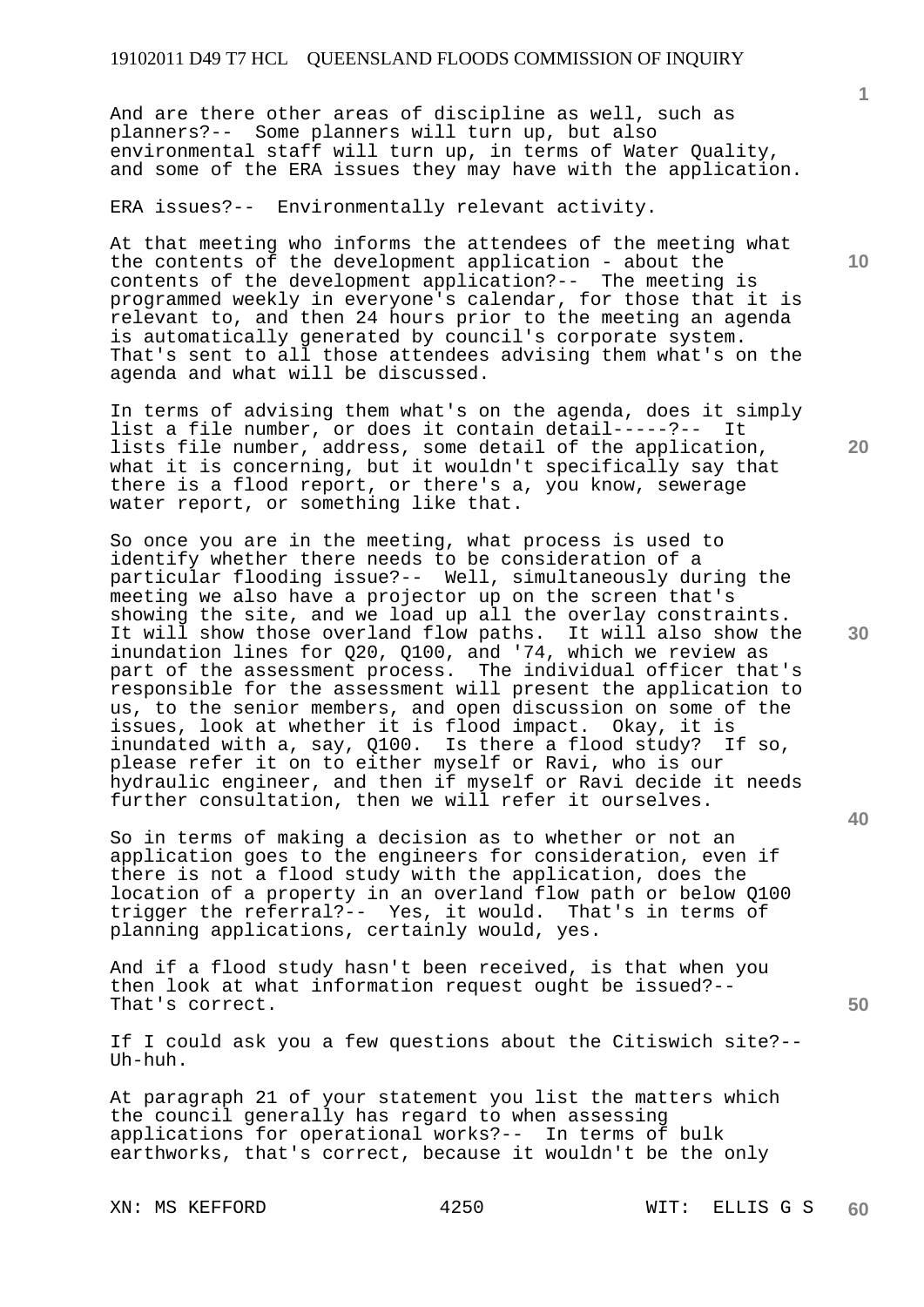And are there other areas of discipline as well, such as planners?-- Some planners will turn up, but also environmental staff will turn up, in terms of Water Quality, and some of the ERA issues they may have with the application.

ERA issues?-- Environmentally relevant activity.

At that meeting who informs the attendees of the meeting what the contents of the development application - about the contents of the development application?-- The meeting is programmed weekly in everyone's calendar, for those that it is relevant to, and then 24 hours prior to the meeting an agenda is automatically generated by council's corporate system. That's sent to all those attendees advising them what's on the agenda and what will be discussed.

In terms of advising them what's on the agenda, does it simply list a file number, or does it contain detail-----?-- It lists file number, address, some detail of the application, what it is concerning, but it wouldn't specifically say that there is a flood report, or there's a, you know, sewerage water report, or something like that.

So once you are in the meeting, what process is used to identify whether there needs to be consideration of a particular flooding issue?-- Well, simultaneously during the meeting we also have a projector up on the screen that's showing the site, and we load up all the overlay constraints. It will show those overland flow paths. It will also show the inundation lines for Q20, Q100, and '74, which we review as part of the assessment process. The individual officer that's responsible for the assessment will present the application to us, to the senior members, and open discussion on some of the issues, look at whether it is flood impact. Okay, it is inundated with a, say, Q100. Is there a flood study? If so, please refer it on to either myself or Ravi, who is our hydraulic engineer, and then if myself or Ravi decide it needs further consultation, then we will refer it ourselves.

So in terms of making a decision as to whether or not an application goes to the engineers for consideration, even if there is not a flood study with the application, does the location of a property in an overland flow path or below Q100 trigger the referral?-- Yes, it would. That's in terms of planning applications, certainly would, yes.

And if a flood study hasn't been received, is that when you then look at what information request ought be issued?-- That's correct.

If I could ask you a few questions about the Citiswich site?-- Uh-huh.

At paragraph 21 of your statement you list the matters which the council generally has regard to when assessing applications for operational works?-- In terms of bulk earthworks, that's correct, because it wouldn't be the only

**10** 

**1**

**20** 

**30** 

**50**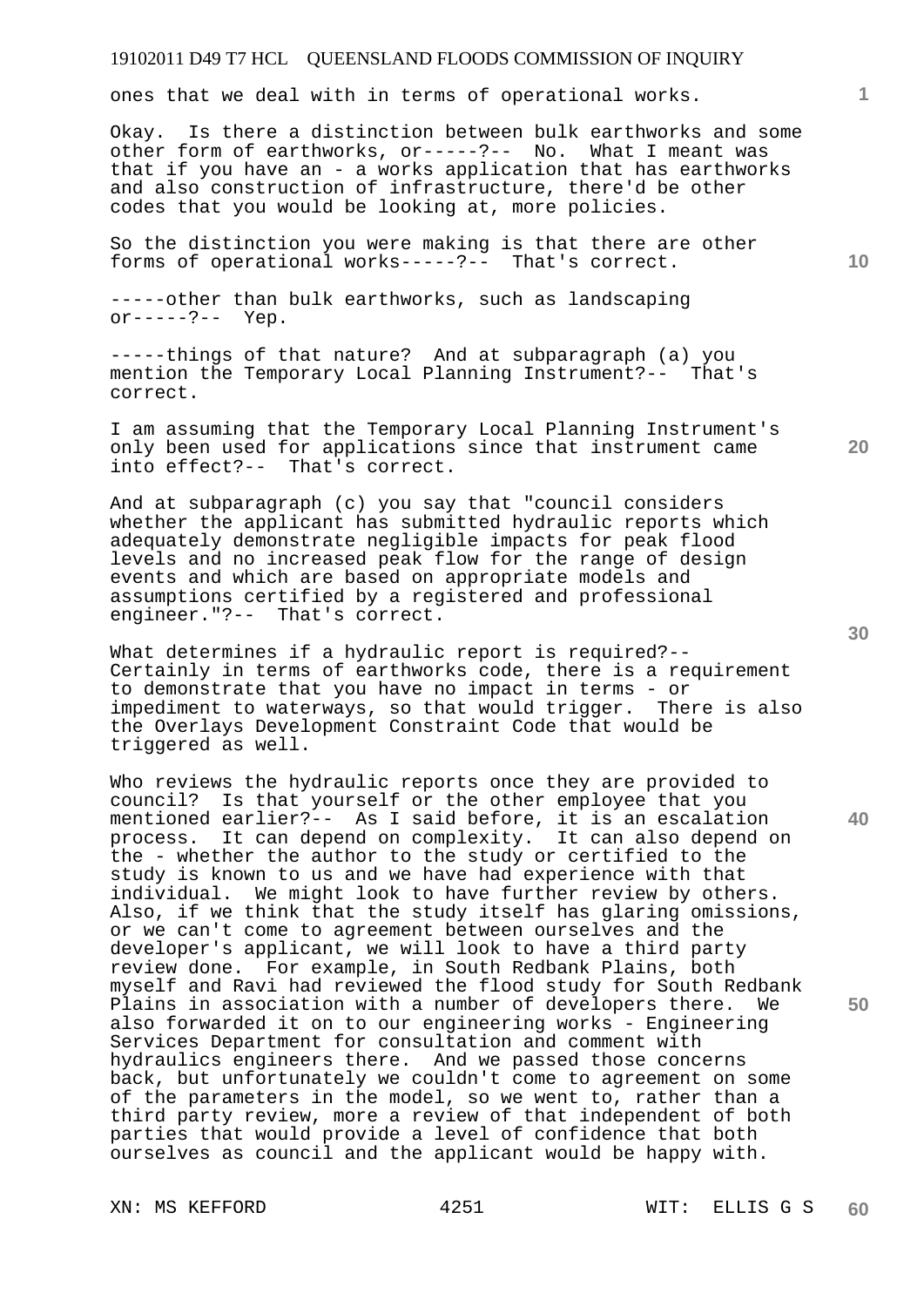ones that we deal with in terms of operational works.

Okay. Is there a distinction between bulk earthworks and some other form of earthworks, or-----?-- No. What I meant was that if you have an - a works application that has earthworks and also construction of infrastructure, there'd be other codes that you would be looking at, more policies.

So the distinction you were making is that there are other forms of operational works-----?-- That's correct.

-----other than bulk earthworks, such as landscaping  $or---?---$  Yep.

-----things of that nature? And at subparagraph (a) you mention the Temporary Local Planning Instrument?-- That's correct.

I am assuming that the Temporary Local Planning Instrument's only been used for applications since that instrument came into effect?-- That's correct.

And at subparagraph (c) you say that "council considers whether the applicant has submitted hydraulic reports which adequately demonstrate negligible impacts for peak flood levels and no increased peak flow for the range of design events and which are based on appropriate models and assumptions certified by a registered and professional engineer."?-- That's correct.

What determines if a hydraulic report is required?-- Certainly in terms of earthworks code, there is a requirement to demonstrate that you have no impact in terms - or impediment to waterways, so that would trigger. There is also the Overlays Development Constraint Code that would be triggered as well.

Who reviews the hydraulic reports once they are provided to council? Is that yourself or the other employee that you mentioned earlier?-- As I said before, it is an escalation process. It can depend on complexity. It can also depend on the - whether the author to the study or certified to the study is known to us and we have had experience with that individual. We might look to have further review by others. Also, if we think that the study itself has glaring omissions, or we can't come to agreement between ourselves and the developer's applicant, we will look to have a third party review done. For example, in South Redbank Plains, both myself and Ravi had reviewed the flood study for South Redbank Plains in association with a number of developers there. We also forwarded it on to our engineering works - Engineering Services Department for consultation and comment with hydraulics engineers there. And we passed those concerns back, but unfortunately we couldn't come to agreement on some of the parameters in the model, so we went to, rather than a third party review, more a review of that independent of both parties that would provide a level of confidence that both ourselves as council and the applicant would be happy with.

**30** 

**40** 

**50** 

**20** 

**10**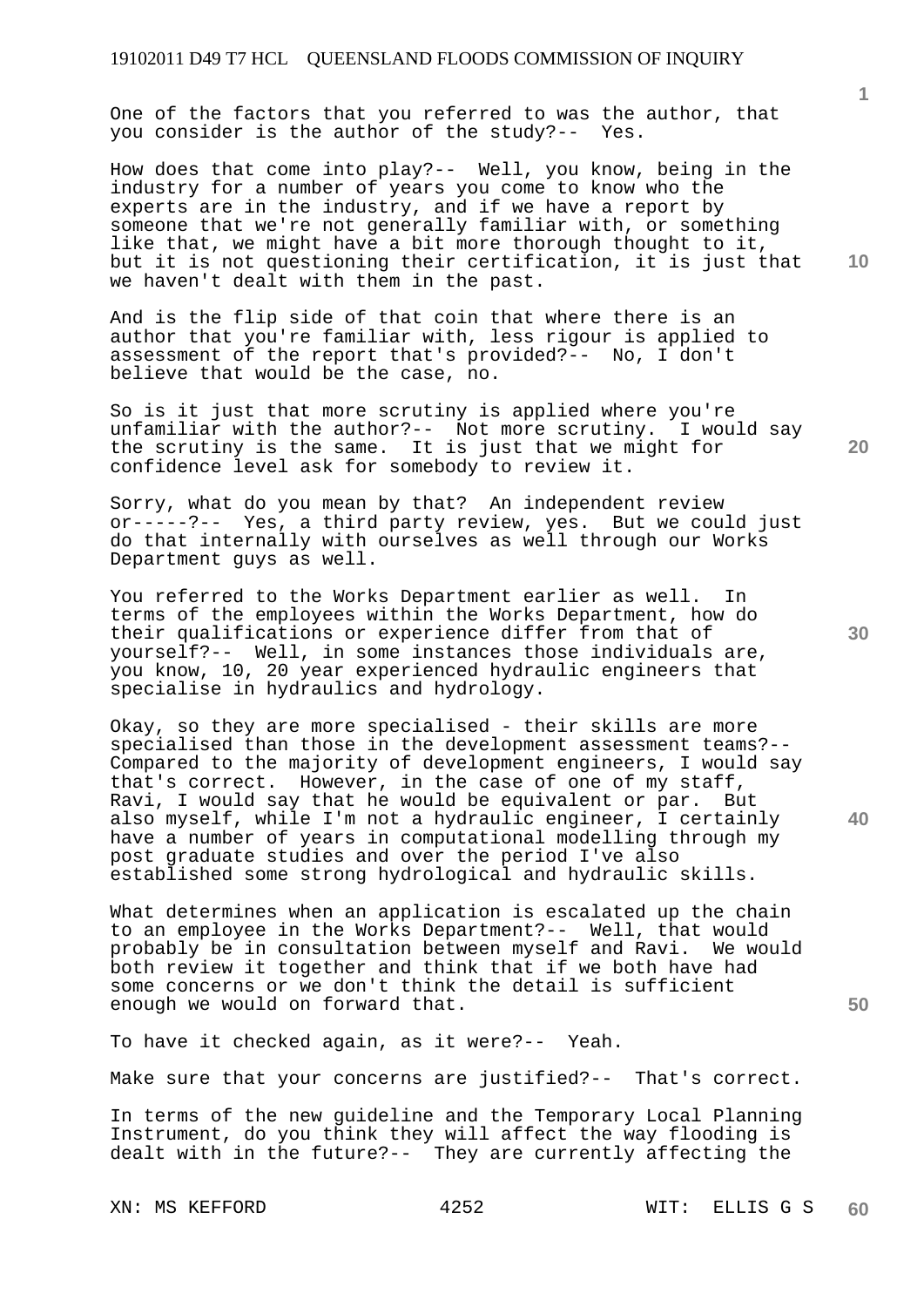One of the factors that you referred to was the author, that you consider is the author of the study?-- Yes.

How does that come into play?-- Well, you know, being in the industry for a number of years you come to know who the experts are in the industry, and if we have a report by someone that we're not generally familiar with, or something like that, we might have a bit more thorough thought to it, but it is not questioning their certification, it is just that we haven't dealt with them in the past.

And is the flip side of that coin that where there is an author that you're familiar with, less rigour is applied to assessment of the report that's provided?-- No, I don't believe that would be the case, no.

So is it just that more scrutiny is applied where you're unfamiliar with the author?-- Not more scrutiny. I would say the scrutiny is the same. It is just that we might for confidence level ask for somebody to review it.

Sorry, what do you mean by that? An independent review or-----?-- Yes, a third party review, yes. But we could just do that internally with ourselves as well through our Works Department guys as well.

You referred to the Works Department earlier as well. In terms of the employees within the Works Department, how do their qualifications or experience differ from that of yourself?-- Well, in some instances those individuals are, you know, 10, 20 year experienced hydraulic engineers that specialise in hydraulics and hydrology.

Okay, so they are more specialised - their skills are more specialised than those in the development assessment teams?-- Compared to the majority of development engineers, I would say that's correct. However, in the case of one of my staff, Ravi, I would say that he would be equivalent or par. But also myself, while I'm not a hydraulic engineer, I certainly have a number of years in computational modelling through my post graduate studies and over the period I've also established some strong hydrological and hydraulic skills.

What determines when an application is escalated up the chain to an employee in the Works Department?-- Well, that would probably be in consultation between myself and Ravi. We would both review it together and think that if we both have had some concerns or we don't think the detail is sufficient enough we would on forward that.

To have it checked again, as it were?-- Yeah.

Make sure that your concerns are justified?-- That's correct.

In terms of the new guideline and the Temporary Local Planning Instrument, do you think they will affect the way flooding is dealt with in the future?-- They are currently affecting the

XN: MS KEFFORD 4252 WIT: ELLIS G S

**1**

**10** 

**20** 

**30** 

**40**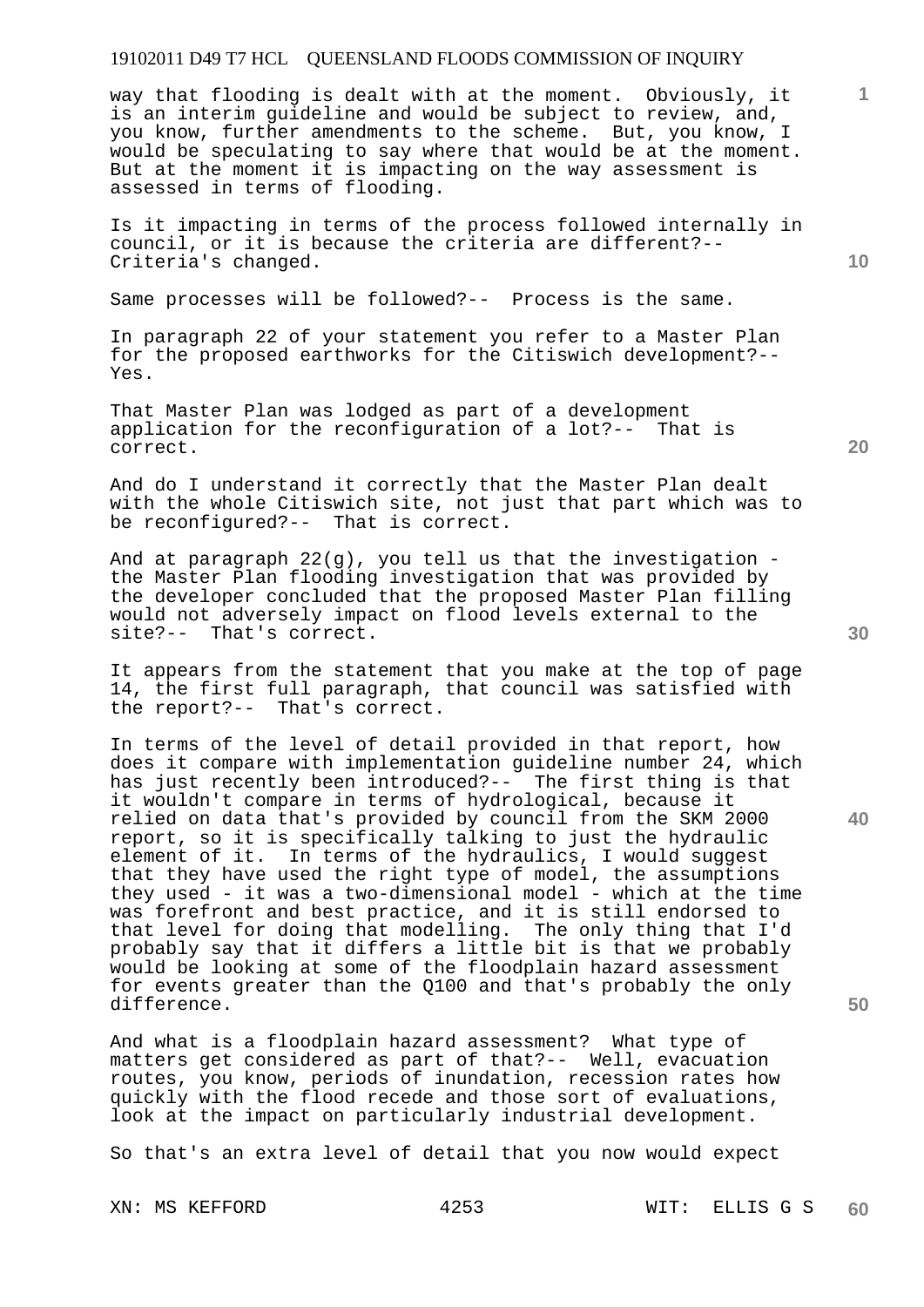way that flooding is dealt with at the moment. Obviously, it is an interim guideline and would be subject to review, and, you know, further amendments to the scheme. But, you know, I would be speculating to say where that would be at the moment. But at the moment it is impacting on the way assessment is assessed in terms of flooding.

Is it impacting in terms of the process followed internally in council, or it is because the criteria are different?-- Criteria's changed.

Same processes will be followed?-- Process is the same.

In paragraph 22 of your statement you refer to a Master Plan for the proposed earthworks for the Citiswich development?-- Yes.

That Master Plan was lodged as part of a development application for the reconfiguration of a lot?-- That is correct.

And do I understand it correctly that the Master Plan dealt with the whole Citiswich site, not just that part which was to be reconfigured?-- That is correct.

And at paragraph 22(g), you tell us that the investigation the Master Plan flooding investigation that was provided by the developer concluded that the proposed Master Plan filling would not adversely impact on flood levels external to the site?-- That's correct.

It appears from the statement that you make at the top of page 14, the first full paragraph, that council was satisfied with the report?-- That's correct.

In terms of the level of detail provided in that report, how does it compare with implementation guideline number 24, which has just recently been introduced?-- The first thing is that it wouldn't compare in terms of hydrological, because it relied on data that's provided by council from the SKM 2000 report, so it is specifically talking to just the hydraulic element of it. In terms of the hydraulics, I would suggest that they have used the right type of model, the assumptions they used - it was a two-dimensional model - which at the time was forefront and best practice, and it is still endorsed to that level for doing that modelling. The only thing that I'd probably say that it differs a little bit is that we probably would be looking at some of the floodplain hazard assessment for events greater than the Q100 and that's probably the only difference.

And what is a floodplain hazard assessment? What type of matters get considered as part of that?-- Well, evacuation routes, you know, periods of inundation, recession rates how quickly with the flood recede and those sort of evaluations, look at the impact on particularly industrial development.

So that's an extra level of detail that you now would expect

**20** 

**40** 

**50** 

**10**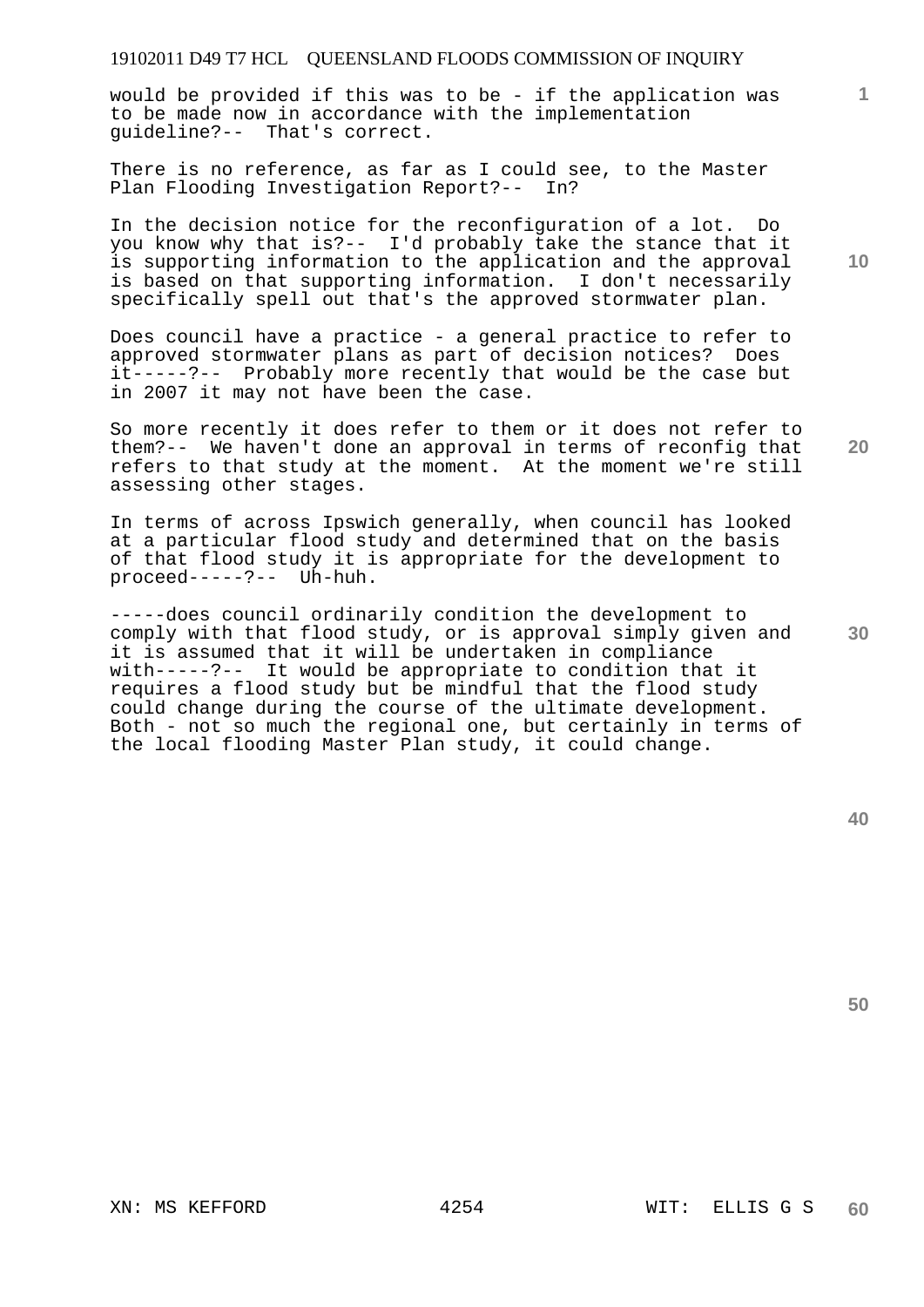would be provided if this was to be - if the application was to be made now in accordance with the implementation guideline?-- That's correct.

There is no reference, as far as I could see, to the Master Plan Flooding Investigation Report?-- In?

In the decision notice for the reconfiguration of a lot. Do you know why that is?-- I'd probably take the stance that it is supporting information to the application and the approval is based on that supporting information. I don't necessarily specifically spell out that's the approved stormwater plan.

Does council have a practice - a general practice to refer to approved stormwater plans as part of decision notices? Does it-----?-- Probably more recently that would be the case but in 2007 it may not have been the case.

**20**  So more recently it does refer to them or it does not refer to them?-- We haven't done an approval in terms of reconfig that refers to that study at the moment. At the moment we're still assessing other stages.

In terms of across Ipswich generally, when council has looked at a particular flood study and determined that on the basis of that flood study it is appropriate for the development to proceed-----?-- Uh-huh.

-----does council ordinarily condition the development to comply with that flood study, or is approval simply given and it is assumed that it will be undertaken in compliance with-----?-- It would be appropriate to condition that it requires a flood study but be mindful that the flood study could change during the course of the ultimate development. Both - not so much the regional one, but certainly in terms of the local flooding Master Plan study, it could change.

**50** 

**10** 

**1**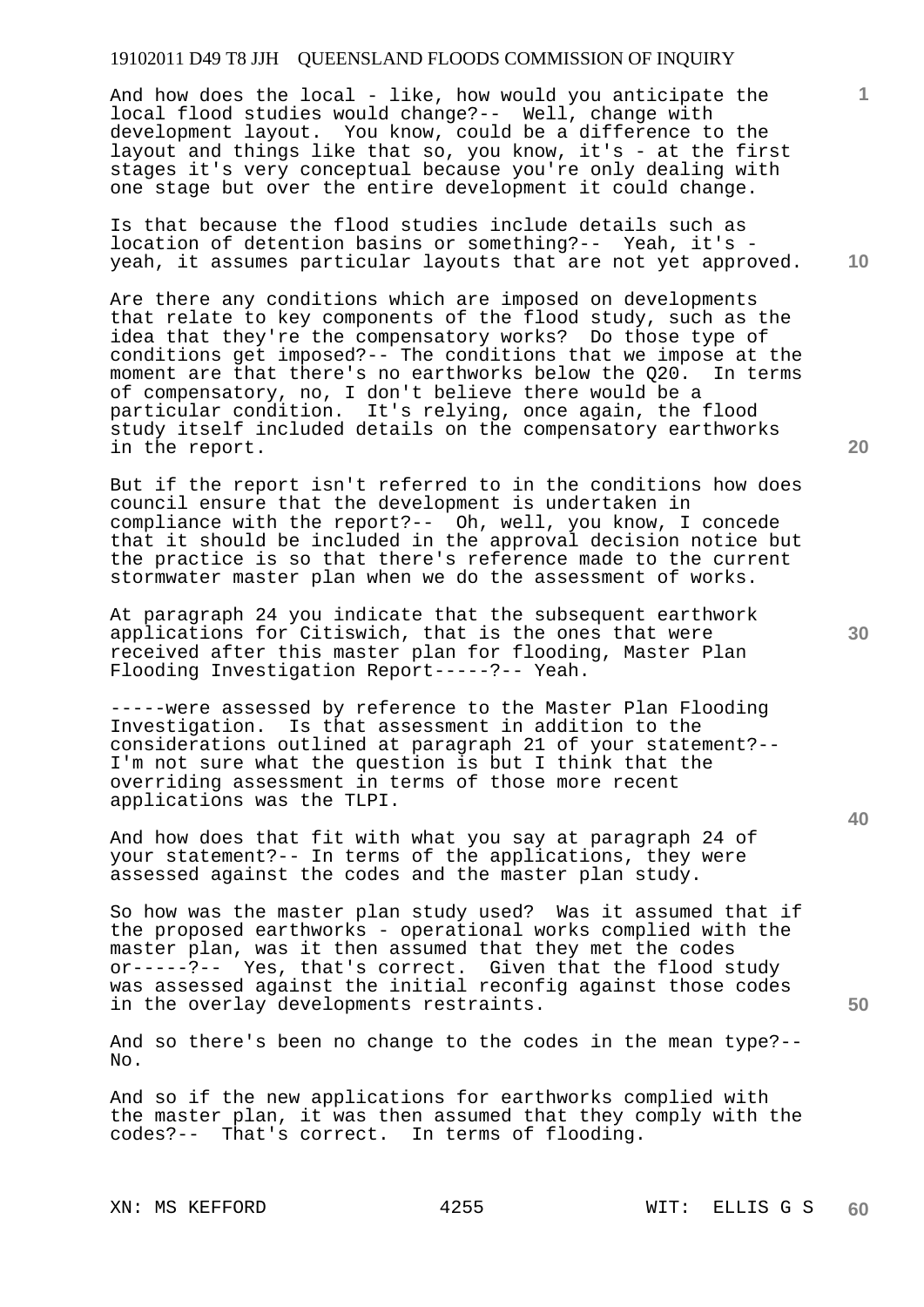And how does the local - like, how would you anticipate the local flood studies would change?-- Well, change with development layout. You know, could be a difference to the layout and things like that so, you know, it's - at the first stages it's very conceptual because you're only dealing with one stage but over the entire development it could change.

Is that because the flood studies include details such as location of detention basins or something?-- Yeah, it's yeah, it assumes particular layouts that are not yet approved.

Are there any conditions which are imposed on developments that relate to key components of the flood study, such as the idea that they're the compensatory works? Do those type of conditions get imposed?-- The conditions that we impose at the moment are that there's no earthworks below the Q20. In terms of compensatory, no, I don't believe there would be a particular condition. It's relying, once again, the flood study itself included details on the compensatory earthworks in the report.

But if the report isn't referred to in the conditions how does council ensure that the development is undertaken in compliance with the report?-- Oh, well, you know, I concede that it should be included in the approval decision notice but the practice is so that there's reference made to the current stormwater master plan when we do the assessment of works.

At paragraph 24 you indicate that the subsequent earthwork applications for Citiswich, that is the ones that were received after this master plan for flooding, Master Plan Flooding Investigation Report-----?-- Yeah.

-----were assessed by reference to the Master Plan Flooding Investigation. Is that assessment in addition to the considerations outlined at paragraph 21 of your statement?-- I'm not sure what the question is but I think that the overriding assessment in terms of those more recent applications was the TLPI.

And how does that fit with what you say at paragraph 24 of your statement?-- In terms of the applications, they were assessed against the codes and the master plan study.

So how was the master plan study used? Was it assumed that if the proposed earthworks - operational works complied with the master plan, was it then assumed that they met the codes or-----?-- Yes, that's correct. Given that the flood study was assessed against the initial reconfig against those codes in the overlay developments restraints.

And so there's been no change to the codes in the mean type?-- No.

And so if the new applications for earthworks complied with the master plan, it was then assumed that they comply with the codes?-- That's correct. In terms of flooding.

**20** 

**10** 

**1**

**40**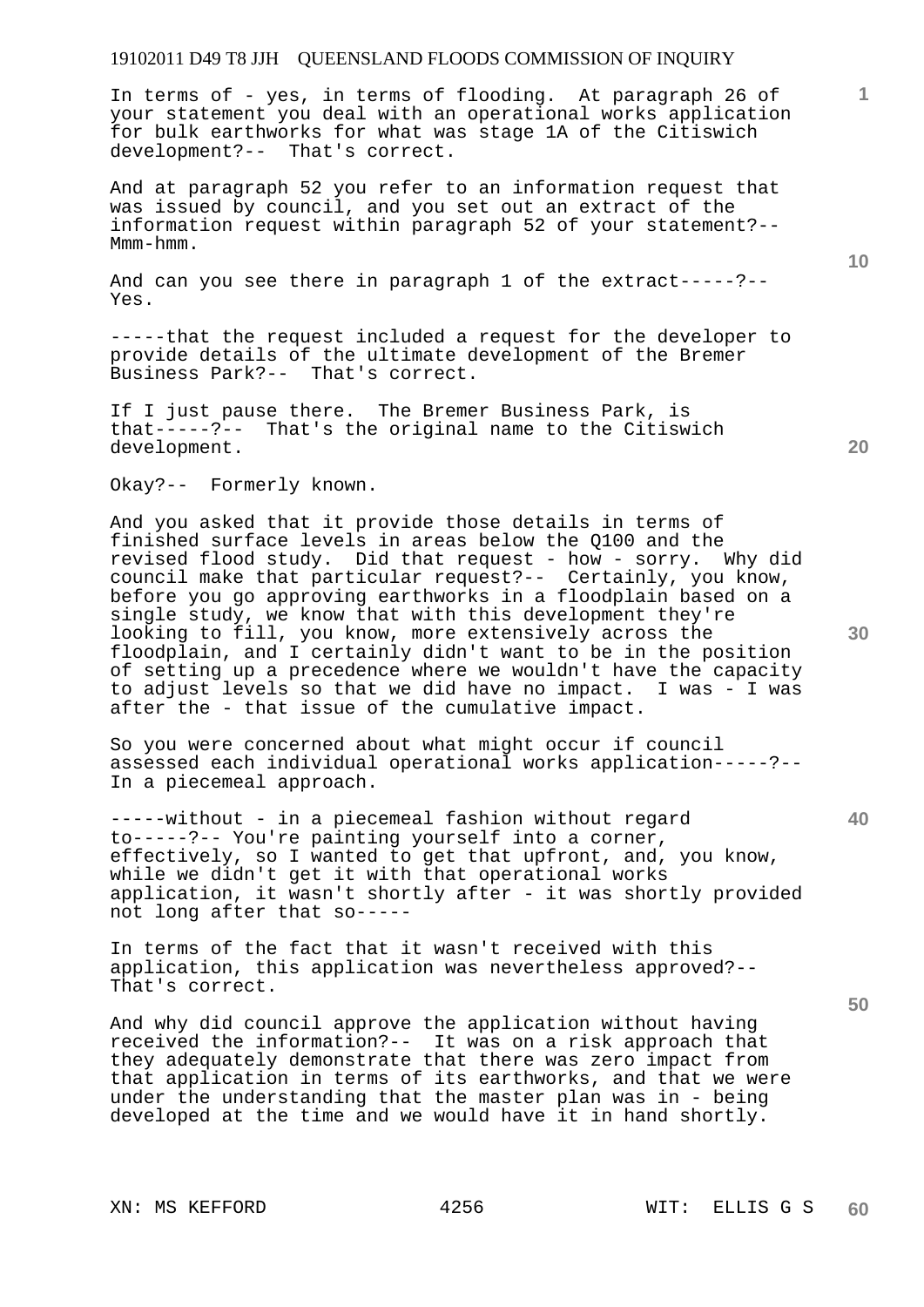In terms of - yes, in terms of flooding. At paragraph 26 of your statement you deal with an operational works application for bulk earthworks for what was stage 1A of the Citiswich development?-- That's correct.

And at paragraph 52 you refer to an information request that was issued by council, and you set out an extract of the information request within paragraph 52 of your statement?-- Mmm-hmm.

And can you see there in paragraph 1 of the extract-----?-- Yes.

-----that the request included a request for the developer to provide details of the ultimate development of the Bremer Business Park?-- That's correct.

If I just pause there. The Bremer Business Park, is that-----?-- That's the original name to the Citiswich development.

Okay?-- Formerly known.

And you asked that it provide those details in terms of finished surface levels in areas below the Q100 and the revised flood study. Did that request - how - sorry. Why did council make that particular request?-- Certainly, you know, before you go approving earthworks in a floodplain based on a single study, we know that with this development they're looking to fill, you know, more extensively across the floodplain, and I certainly didn't want to be in the position of setting up a precedence where we wouldn't have the capacity to adjust levels so that we did have no impact. I was - I was after the - that issue of the cumulative impact.

So you were concerned about what might occur if council assessed each individual operational works application-----?-- In a piecemeal approach.

-----without - in a piecemeal fashion without regard to-----?-- You're painting yourself into a corner, effectively, so I wanted to get that upfront, and, you know, while we didn't get it with that operational works application, it wasn't shortly after - it was shortly provided not long after that so-----

In terms of the fact that it wasn't received with this application, this application was nevertheless approved?-- That's correct.

And why did council approve the application without having received the information?-- It was on a risk approach that they adequately demonstrate that there was zero impact from that application in terms of its earthworks, and that we were under the understanding that the master plan was in - being developed at the time and we would have it in hand shortly.

XN: MS KEFFORD 4256 WIT: ELLIS G S

**10** 

**1**

**20** 

**30**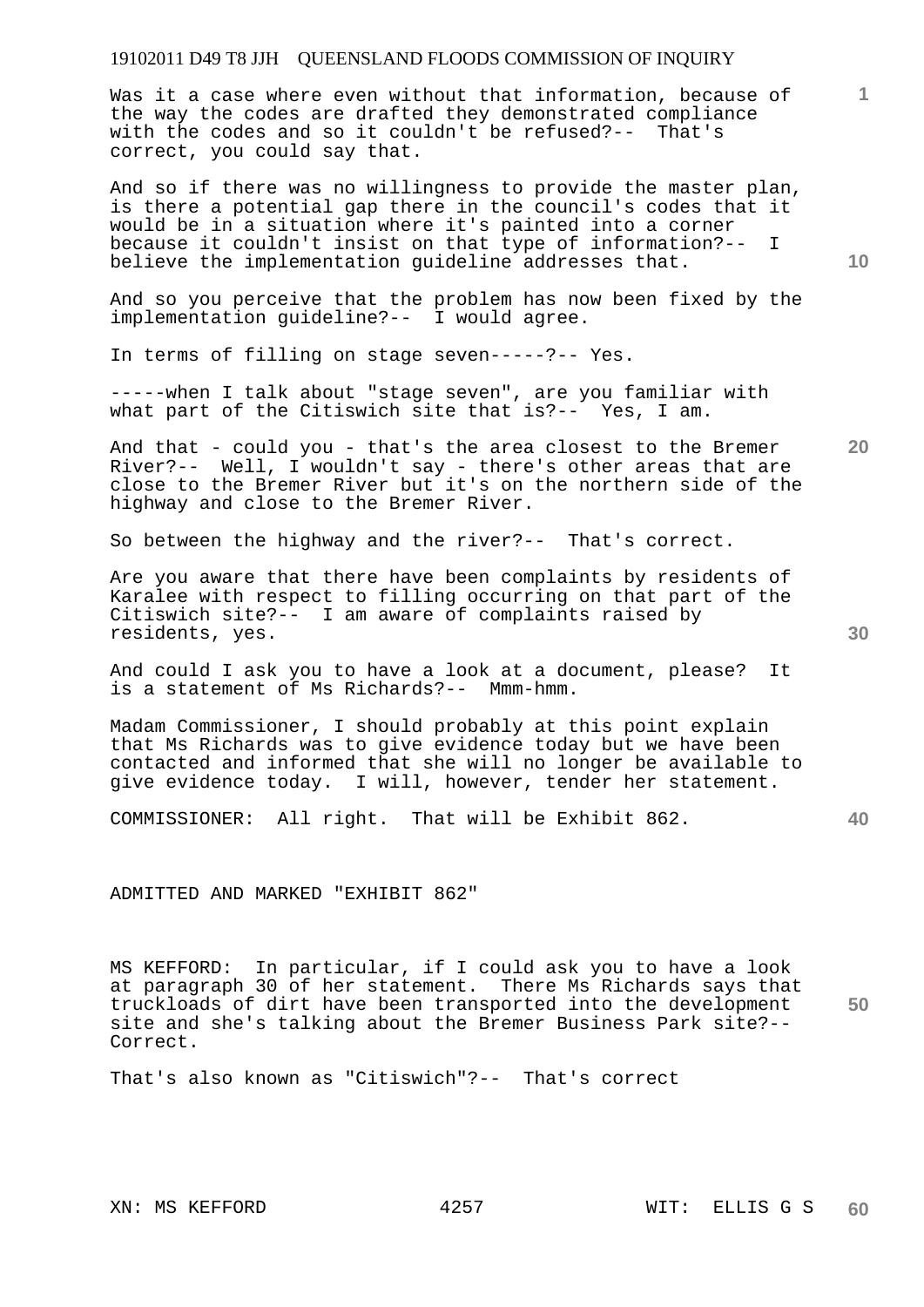Was it a case where even without that information, because of the way the codes are drafted they demonstrated compliance with the codes and so it couldn't be refused?-- That's correct, you could say that.

And so if there was no willingness to provide the master plan, is there a potential gap there in the council's codes that it would be in a situation where it's painted into a corner because it couldn't insist on that type of information?-- I believe the implementation guideline addresses that.

And so you perceive that the problem has now been fixed by the implementation guideline?-- I would agree.

In terms of filling on stage seven-----?-- Yes.

-----when I talk about "stage seven", are you familiar with what part of the Citiswich site that is?-- Yes, I am.

And that - could you - that's the area closest to the Bremer River?-- Well, I wouldn't say - there's other areas that are close to the Bremer River but it's on the northern side of the highway and close to the Bremer River.

So between the highway and the river?-- That's correct.

Are you aware that there have been complaints by residents of Karalee with respect to filling occurring on that part of the Citiswich site?-- I am aware of complaints raised by residents, yes.

And could I ask you to have a look at a document, please? It is a statement of Ms Richards?-- Mmm-hmm.

Madam Commissioner, I should probably at this point explain that Ms Richards was to give evidence today but we have been contacted and informed that she will no longer be available to give evidence today. I will, however, tender her statement.

COMMISSIONER: All right. That will be Exhibit 862.

## ADMITTED AND MARKED "EXHIBIT 862"

**50**  MS KEFFORD: In particular, if I could ask you to have a look at paragraph 30 of her statement. There Ms Richards says that truckloads of dirt have been transported into the development site and she's talking about the Bremer Business Park site?-- Correct.

That's also known as "Citiswich"?-- That's correct

**10** 

**1**

**30** 

**40**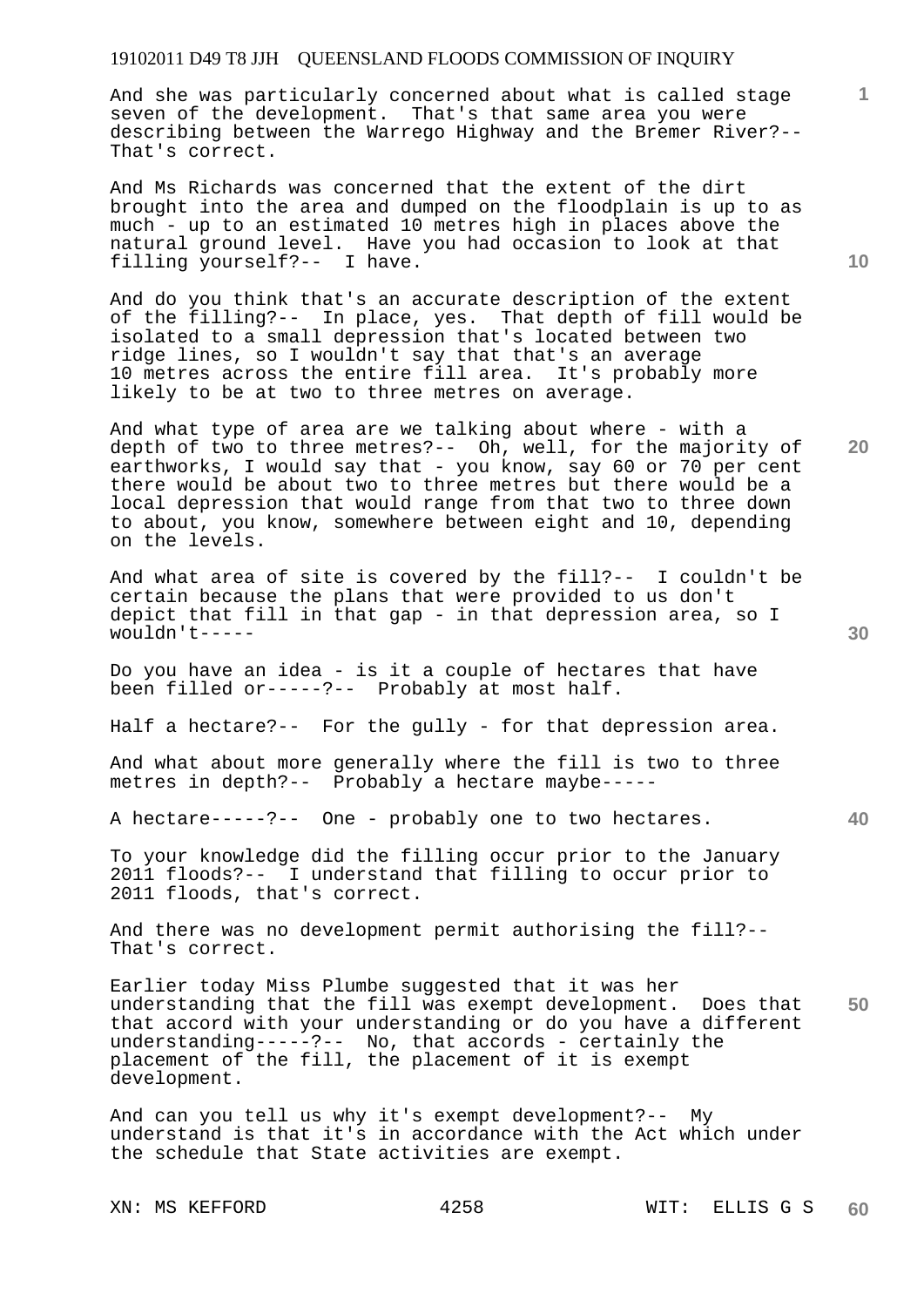And she was particularly concerned about what is called stage seven of the development. That's that same area you were describing between the Warrego Highway and the Bremer River?-- That's correct.

And Ms Richards was concerned that the extent of the dirt brought into the area and dumped on the floodplain is up to as much - up to an estimated 10 metres high in places above the natural ground level. Have you had occasion to look at that filling yourself?-- I have.

And do you think that's an accurate description of the extent of the filling?-- In place, yes. That depth of fill would be isolated to a small depression that's located between two ridge lines, so I wouldn't say that that's an average 10 metres across the entire fill area. It's probably more likely to be at two to three metres on average.

And what type of area are we talking about where - with a depth of two to three metres?-- Oh, well, for the majority of earthworks, I would say that - you know, say 60 or 70 per cent there would be about two to three metres but there would be a local depression that would range from that two to three down to about, you know, somewhere between eight and 10, depending on the levels.

And what area of site is covered by the fill?-- I couldn't be certain because the plans that were provided to us don't depict that fill in that gap - in that depression area, so I wouldn't-----

Do you have an idea - is it a couple of hectares that have been filled or-----?-- Probably at most half.

Half a hectare?-- For the gully - for that depression area.

And what about more generally where the fill is two to three metres in depth?-- Probably a hectare maybe-----

A hectare-----?-- One - probably one to two hectares.

To your knowledge did the filling occur prior to the January 2011 floods?-- I understand that filling to occur prior to 2011 floods, that's correct.

And there was no development permit authorising the fill?-- That's correct.

**50**  Earlier today Miss Plumbe suggested that it was her understanding that the fill was exempt development. Does that that accord with your understanding or do you have a different understanding-----?-- No, that accords - certainly the placement of the fill, the placement of it is exempt development.

And can you tell us why it's exempt development?-- My understand is that it's in accordance with the Act which under the schedule that State activities are exempt.

**10** 

**1**

**40**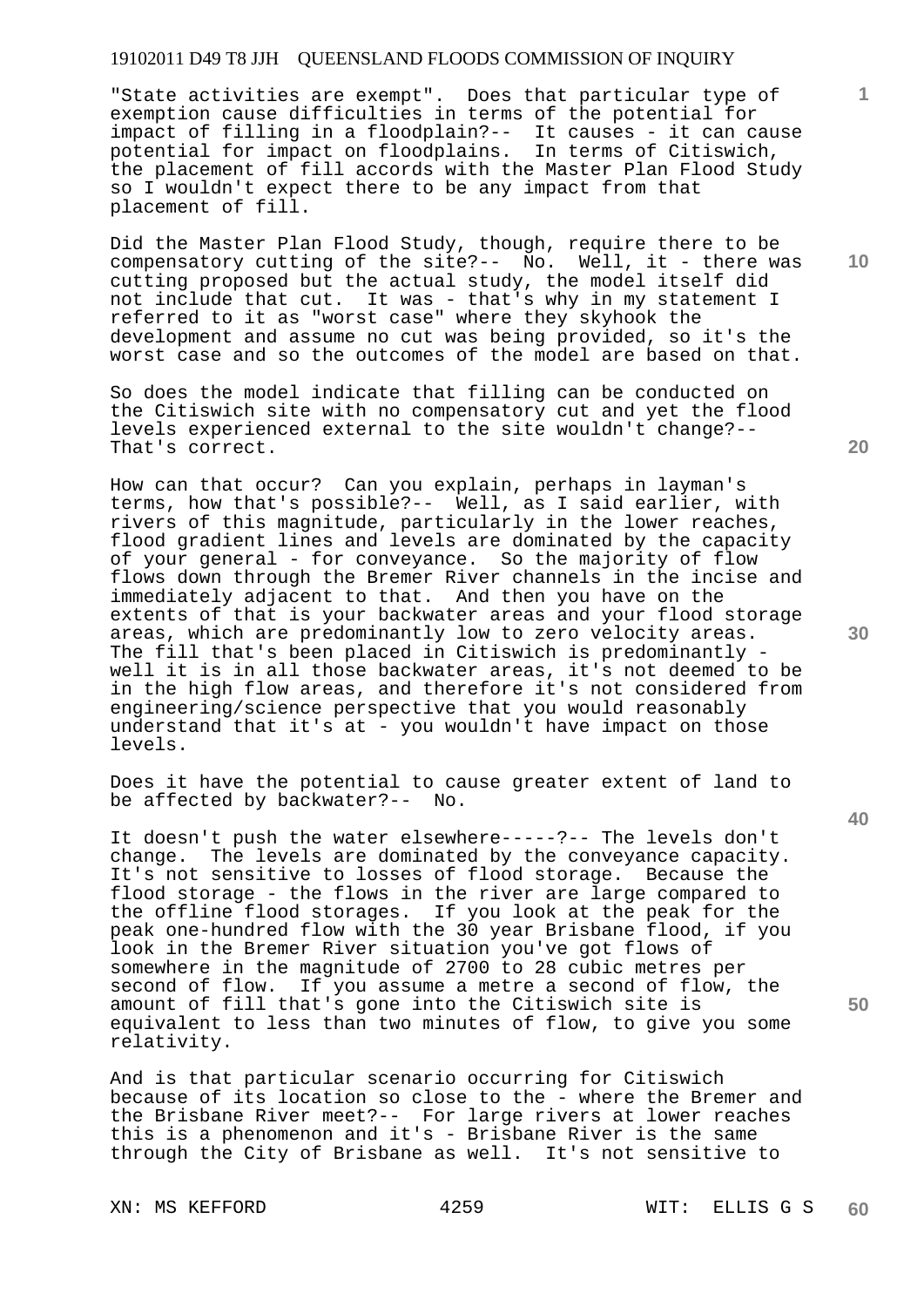"State activities are exempt". Does that particular type of exemption cause difficulties in terms of the potential for impact of filling in a floodplain?-- It causes - it can cause potential for impact on floodplains. In terms of Citiswich, the placement of fill accords with the Master Plan Flood Study so I wouldn't expect there to be any impact from that placement of fill.

Did the Master Plan Flood Study, though, require there to be compensatory cutting of the site?-- No. Well, it - there was cutting proposed but the actual study, the model itself did not include that cut. It was - that's why in my statement I referred to it as "worst case" where they skyhook the development and assume no cut was being provided, so it's the worst case and so the outcomes of the model are based on that.

So does the model indicate that filling can be conducted on the Citiswich site with no compensatory cut and yet the flood levels experienced external to the site wouldn't change?-- That's correct.

How can that occur? Can you explain, perhaps in layman's terms, how that's possible?-- Well, as I said earlier, with rivers of this magnitude, particularly in the lower reaches, flood gradient lines and levels are dominated by the capacity of your general - for conveyance. So the majority of flow flows down through the Bremer River channels in the incise and immediately adjacent to that. And then you have on the extents of that is your backwater areas and your flood storage areas, which are predominantly low to zero velocity areas. The fill that's been placed in Citiswich is predominantly well it is in all those backwater areas, it's not deemed to be in the high flow areas, and therefore it's not considered from engineering/science perspective that you would reasonably understand that it's at - you wouldn't have impact on those levels.

Does it have the potential to cause greater extent of land to be affected by backwater?-- No.

It doesn't push the water elsewhere-----?-- The levels don't change. The levels are dominated by the conveyance capacity. It's not sensitive to losses of flood storage. Because the flood storage - the flows in the river are large compared to the offline flood storages. If you look at the peak for the peak one-hundred flow with the 30 year Brisbane flood, if you look in the Bremer River situation you've got flows of somewhere in the magnitude of 2700 to 28 cubic metres per second of flow. If you assume a metre a second of flow, the amount of fill that's gone into the Citiswich site is equivalent to less than two minutes of flow, to give you some relativity.

And is that particular scenario occurring for Citiswich because of its location so close to the - where the Bremer and the Brisbane River meet?-- For large rivers at lower reaches this is a phenomenon and it's - Brisbane River is the same through the City of Brisbane as well. It's not sensitive to

XN: MS KEFFORD 4259 WIT: ELLIS G S

**20** 

**10** 

**1**

**40**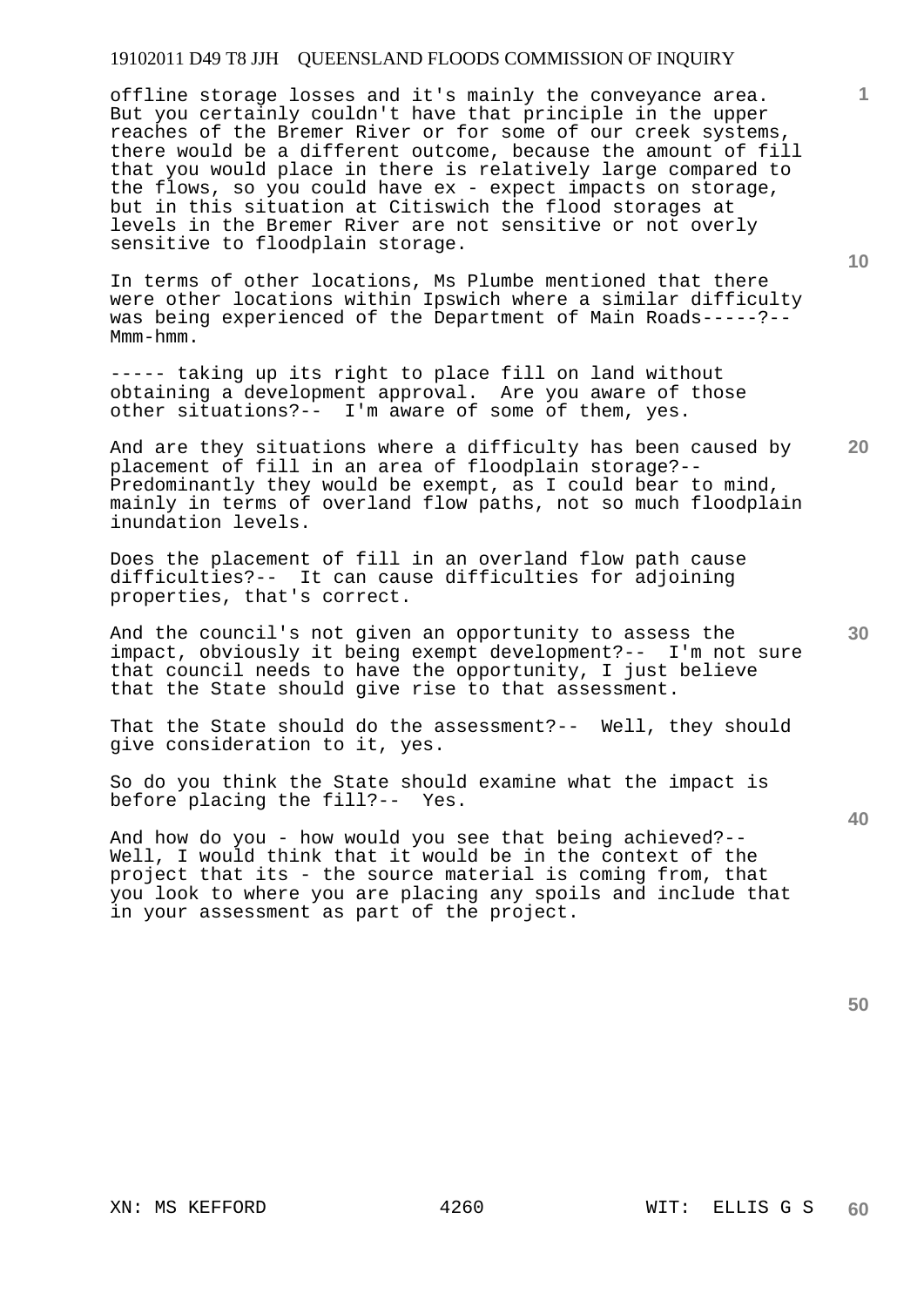offline storage losses and it's mainly the conveyance area. But you certainly couldn't have that principle in the upper reaches of the Bremer River or for some of our creek systems, there would be a different outcome, because the amount of fill that you would place in there is relatively large compared to the flows, so you could have ex - expect impacts on storage, but in this situation at Citiswich the flood storages at levels in the Bremer River are not sensitive or not overly sensitive to floodplain storage.

In terms of other locations, Ms Plumbe mentioned that there were other locations within Ipswich where a similar difficulty was being experienced of the Department of Main Roads-----?-- Mmm-hmm.

----- taking up its right to place fill on land without obtaining a development approval. Are you aware of those other situations?-- I'm aware of some of them, yes.

And are they situations where a difficulty has been caused by placement of fill in an area of floodplain storage?-- Predominantly they would be exempt, as I could bear to mind, mainly in terms of overland flow paths, not so much floodplain inundation levels.

Does the placement of fill in an overland flow path cause difficulties?-- It can cause difficulties for adjoining properties, that's correct.

And the council's not given an opportunity to assess the impact, obviously it being exempt development?-- I'm not sure that council needs to have the opportunity, I just believe that the State should give rise to that assessment.

That the State should do the assessment?-- Well, they should give consideration to it, yes.

So do you think the State should examine what the impact is before placing the fill?-- Yes.

And how do you - how would you see that being achieved?-- Well, I would think that it would be in the context of the project that its - the source material is coming from, that you look to where you are placing any spoils and include that in your assessment as part of the project.

**10** 

**1**

**30** 

**40**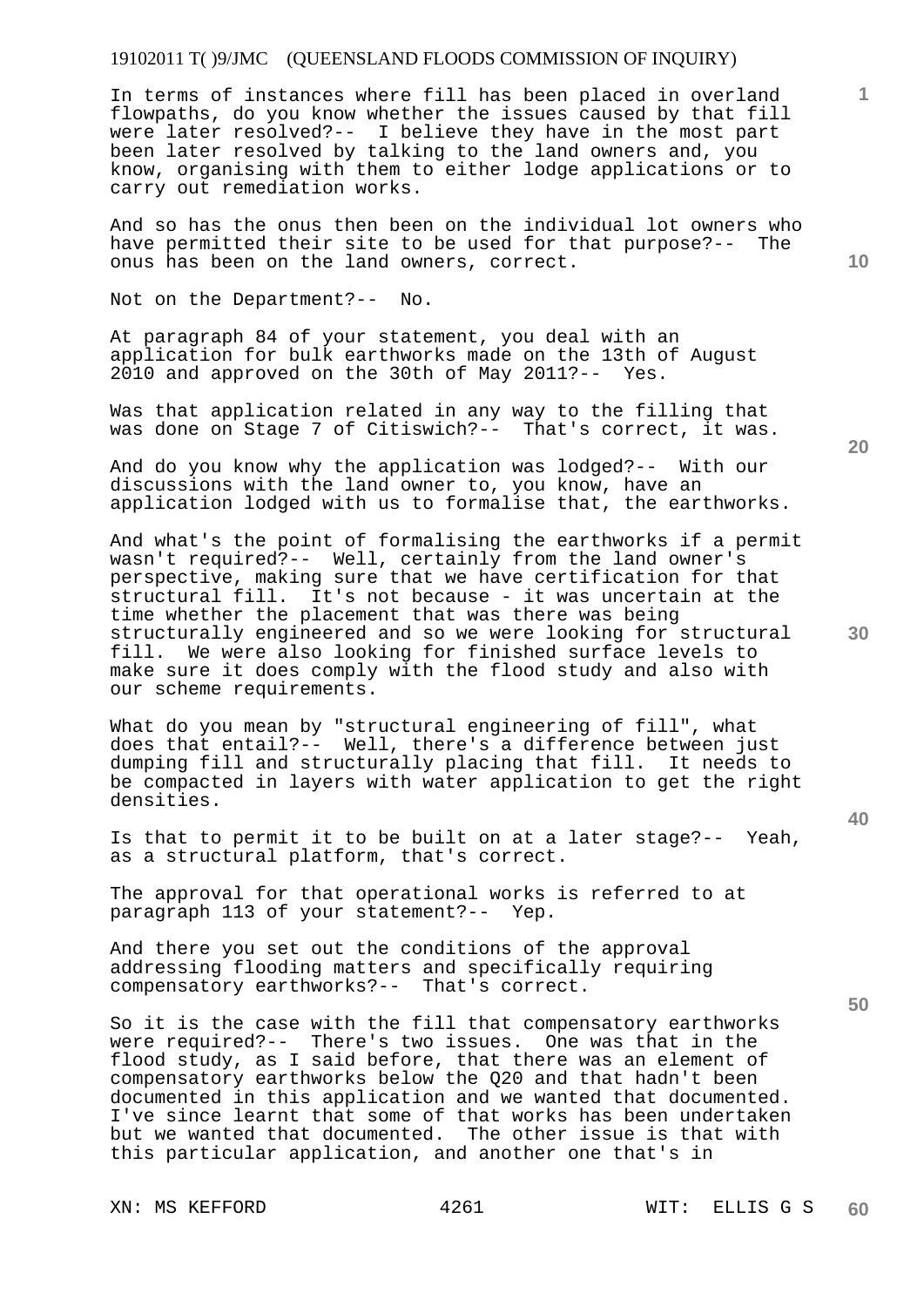## 19102011 T( )9/JMC (QUEENSLAND FLOODS COMMISSION OF INQUIRY)

In terms of instances where fill has been placed in overland flowpaths, do you know whether the issues caused by that fill were later resolved?-- I believe they have in the most part been later resolved by talking to the land owners and, you know, organising with them to either lodge applications or to carry out remediation works.

And so has the onus then been on the individual lot owners who have permitted their site to be used for that purpose?-- The onus has been on the land owners, correct.

Not on the Department?-- No.

At paragraph 84 of your statement, you deal with an application for bulk earthworks made on the 13th of August 2010 and approved on the 30th of May 2011?-- Yes.

Was that application related in any way to the filling that was done on Stage 7 of Citiswich?-- That's correct, it was.

And do you know why the application was lodged?-- With our discussions with the land owner to, you know, have an application lodged with us to formalise that, the earthworks.

And what's the point of formalising the earthworks if a permit wasn't required?-- Well, certainly from the land owner's perspective, making sure that we have certification for that structural fill. It's not because - it was uncertain at the time whether the placement that was there was being structurally engineered and so we were looking for structural fill. We were also looking for finished surface levels to make sure it does comply with the flood study and also with our scheme requirements.

What do you mean by "structural engineering of fill", what does that entail?-- Well, there's a difference between just dumping fill and structurally placing that fill. It needs to be compacted in layers with water application to get the right densities.

Is that to permit it to be built on at a later stage?-- Yeah, as a structural platform, that's correct.

The approval for that operational works is referred to at paragraph 113 of your statement?-- Yep.

And there you set out the conditions of the approval addressing flooding matters and specifically requiring compensatory earthworks?-- That's correct.

So it is the case with the fill that compensatory earthworks were required?-- There's two issues. One was that in the flood study, as I said before, that there was an element of compensatory earthworks below the Q20 and that hadn't been documented in this application and we wanted that documented. I've since learnt that some of that works has been undertaken but we wanted that documented. The other issue is that with this particular application, and another one that's in

**20** 

**30** 

**50** 

**10** 

**1**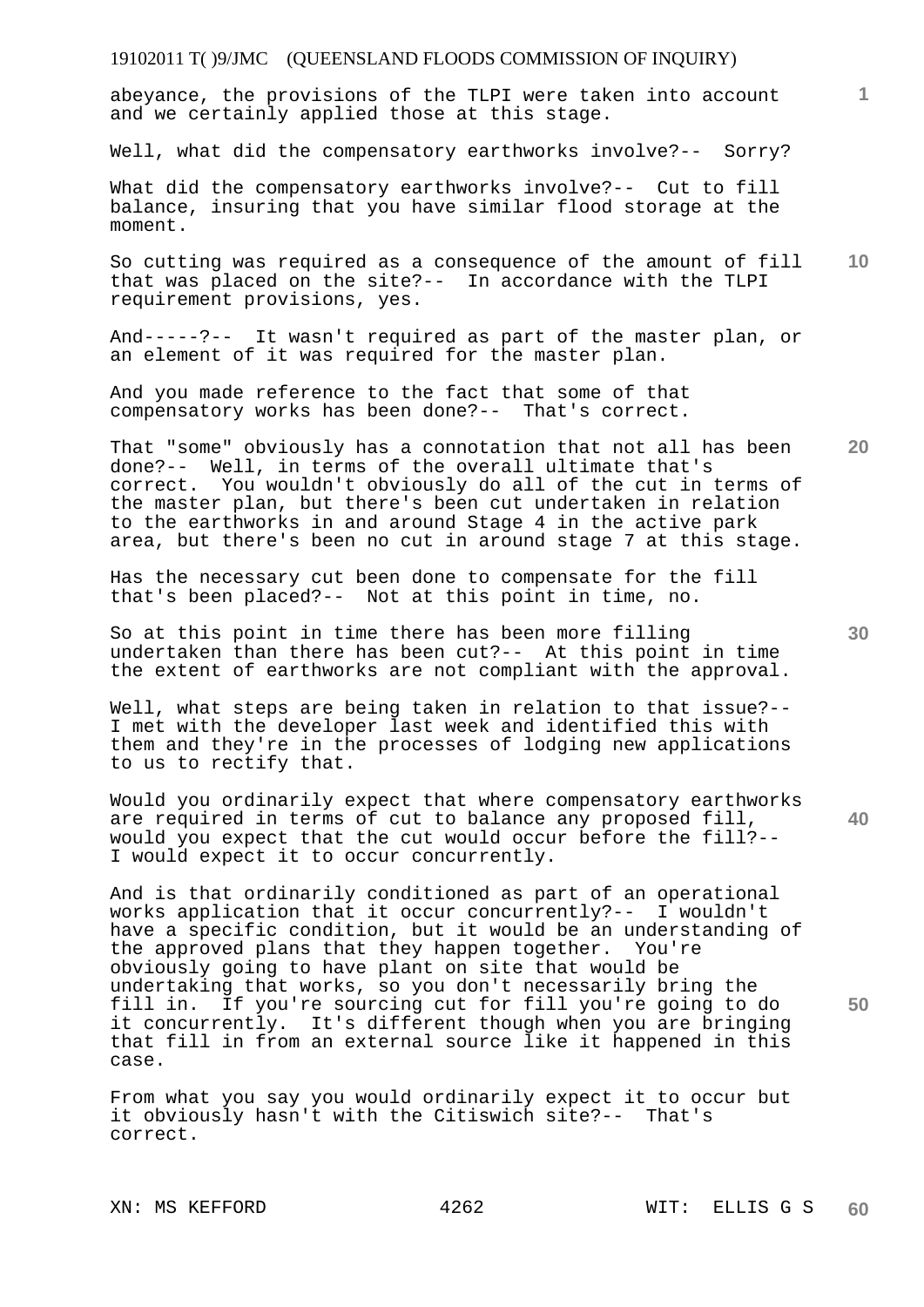## 19102011 T( )9/JMC (QUEENSLAND FLOODS COMMISSION OF INQUIRY)

abeyance, the provisions of the TLPI were taken into account and we certainly applied those at this stage.

Well, what did the compensatory earthworks involve?-- Sorry?

What did the compensatory earthworks involve?-- Cut to fill balance, insuring that you have similar flood storage at the moment.

**10**  So cutting was required as a consequence of the amount of fill that was placed on the site?-- In accordance with the TLPI requirement provisions, yes.

And-----?-- It wasn't required as part of the master plan, or an element of it was required for the master plan.

And you made reference to the fact that some of that compensatory works has been done?-- That's correct.

That "some" obviously has a connotation that not all has been done?-- Well, in terms of the overall ultimate that's correct. You wouldn't obviously do all of the cut in terms of the master plan, but there's been cut undertaken in relation to the earthworks in and around Stage 4 in the active park area, but there's been no cut in around stage 7 at this stage.

Has the necessary cut been done to compensate for the fill that's been placed?-- Not at this point in time, no.

So at this point in time there has been more filling undertaken than there has been cut?-- At this point in time the extent of earthworks are not compliant with the approval.

Well, what steps are being taken in relation to that issue?-- I met with the developer last week and identified this with them and they're in the processes of lodging new applications to us to rectify that.

**40**  Would you ordinarily expect that where compensatory earthworks are required in terms of cut to balance any proposed fill, would you expect that the cut would occur before the fill?-- I would expect it to occur concurrently.

And is that ordinarily conditioned as part of an operational works application that it occur concurrently?-- I wouldn't have a specific condition, but it would be an understanding of the approved plans that they happen together. You're obviously going to have plant on site that would be undertaking that works, so you don't necessarily bring the fill in. If you're sourcing cut for fill you're going to do it concurrently. It's different though when you are bringing that fill in from an external source like it happened in this case.

From what you say you would ordinarily expect it to occur but it obviously hasn't with the Citiswich site?-- That's correct.

**20** 

**50** 

**30** 

**1**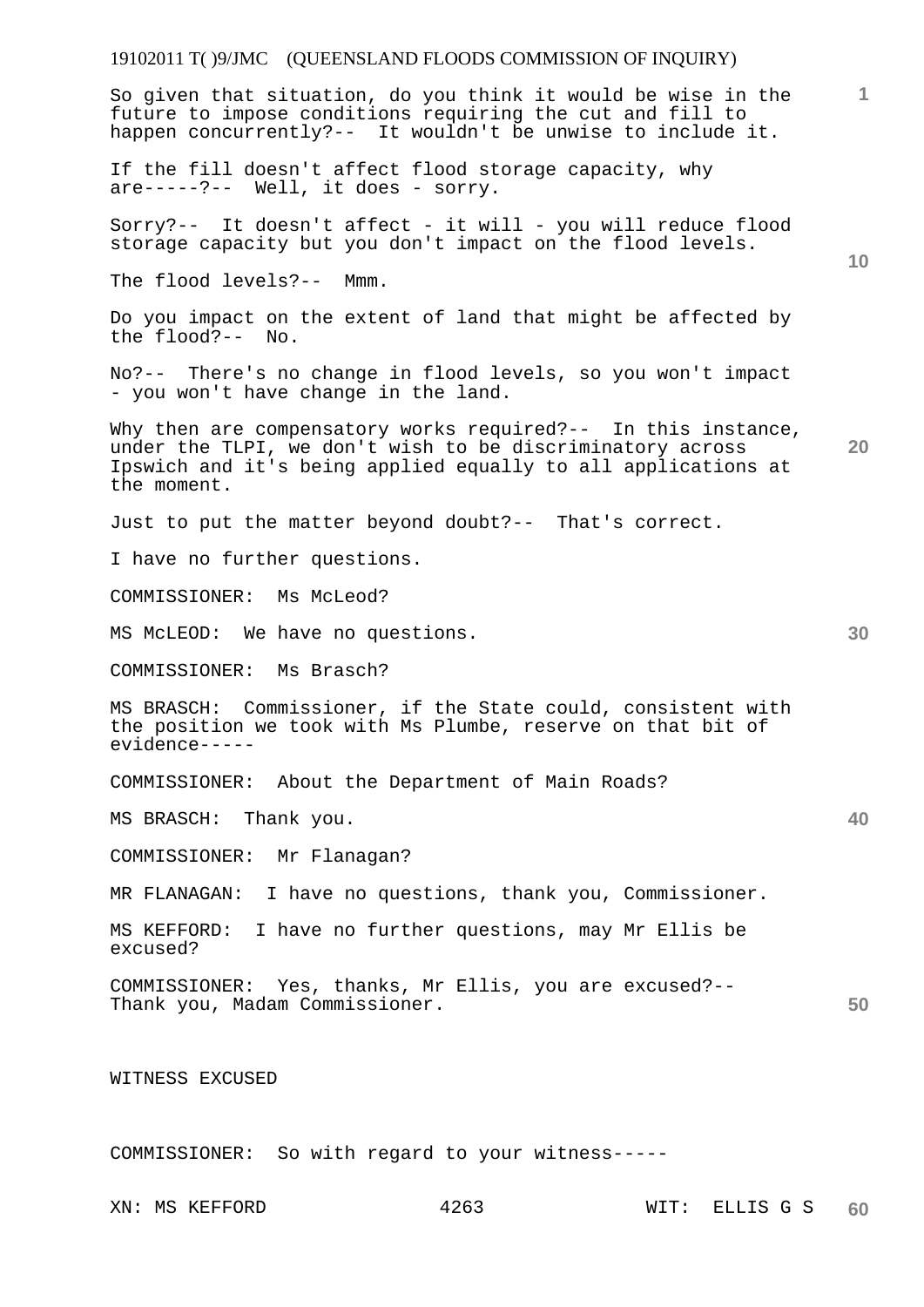## 19102011 T( )9/JMC (QUEENSLAND FLOODS COMMISSION OF INQUIRY)

**1 10 20 30 40 50**  So given that situation, do you think it would be wise in the future to impose conditions requiring the cut and fill to happen concurrently?-- It wouldn't be unwise to include it. If the fill doesn't affect flood storage capacity, why are-----?-- Well, it does - sorry. Sorry?-- It doesn't affect - it will - you will reduce flood storage capacity but you don't impact on the flood levels. The flood levels?-- Mmm. Do you impact on the extent of land that might be affected by  $the$  flood?-- No. No?-- There's no change in flood levels, so you won't impact - you won't have change in the land. Why then are compensatory works required?-- In this instance, under the TLPI, we don't wish to be discriminatory across Ipswich and it's being applied equally to all applications at the moment. Just to put the matter beyond doubt?-- That's correct. I have no further questions. COMMISSIONER: Ms McLeod? MS McLEOD: We have no questions. COMMISSIONER: Ms Brasch? MS BRASCH: Commissioner, if the State could, consistent with the position we took with Ms Plumbe, reserve on that bit of evidence----- COMMISSIONER: About the Department of Main Roads? MS BRASCH: Thank you. COMMISSIONER: Mr Flanagan? MR FLANAGAN: I have no questions, thank you, Commissioner. MS KEFFORD: I have no further questions, may Mr Ellis be excused? COMMISSIONER: Yes, thanks, Mr Ellis, you are excused?-- Thank you, Madam Commissioner. WITNESS EXCUSED

COMMISSIONER: So with regard to your witness-----

XN: MS KEFFORD 4263 WIT: ELLIS G S